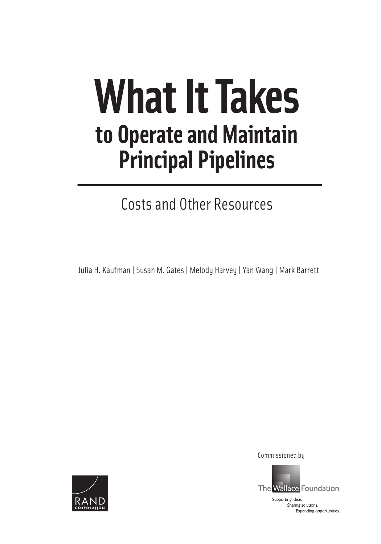# **What It Takes to Operate and Maintain Principal Pipelines**

Costs and Other Resources

Julia H. Kaufman | Susan M. Gates | Melody Harvey | Yan Wang | Mark Barrett



Commissioned by

Supporting ideas. Sharing solutions. Expanding opportunities.

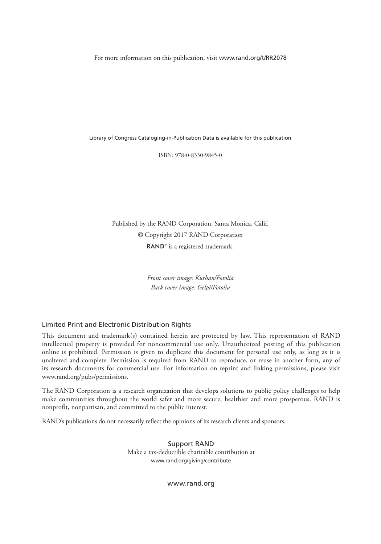For more information on this publication, visit www.rand.org/t/RR2078

Library of Congress Cataloging-in-Publication Data is available for this publication

ISBN: 978-0-8330-9845-0

Published by the RAND Corporation, Santa Monica, Calif. © Copyright 2017 RAND Corporation RAND<sup>®</sup> is a registered trademark.

> *Front cover image: Kurhan/Fotolia Back cover image: Gelpi/Fotolia*

#### Limited Print and Electronic Distribution Rights

This document and trademark(s) contained herein are protected by law. This representation of RAND intellectual property is provided for noncommercial use only. Unauthorized posting of this publication online is prohibited. Permission is given to duplicate this document for personal use only, as long as it is unaltered and complete. Permission is required from RAND to reproduce, or reuse in another form, any of its research documents for commercial use. For information on reprint and linking permissions, please visit www.rand.org/pubs/permissions.

The RAND Corporation is a research organization that develops solutions to public policy challenges to help make communities throughout the world safer and more secure, healthier and more prosperous. RAND is nonprofit, nonpartisan, and committed to the public interest.

RAND's publications do not necessarily reflect the opinions of its research clients and sponsors.

Support RAND Make a tax-deductible charitable contribution at www.rand.org/giving/contribute

www.rand.org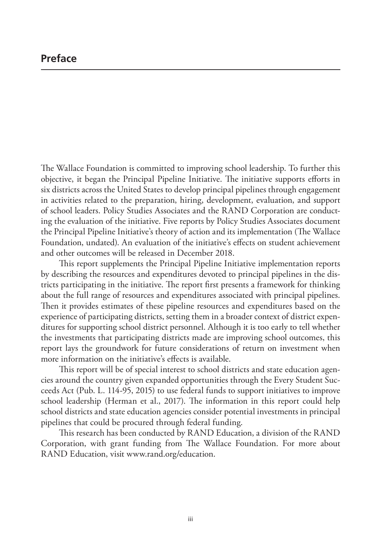# **Preface**

The Wallace Foundation is committed to improving school leadership. To further this objective, it began the Principal Pipeline Initiative. The initiative supports efforts in six districts across the United States to develop principal pipelines through engagement in activities related to the preparation, hiring, development, evaluation, and support of school leaders. Policy Studies Associates and the RAND Corporation are conducting the evaluation of the initiative. Five reports by Policy Studies Associates document the Principal Pipeline Initiative's theory of action and its implementation (The Wallace Foundation, undated). An evaluation of the initiative's effects on student achievement and other outcomes will be released in December 2018.

This report supplements the Principal Pipeline Initiative implementation reports by describing the resources and expenditures devoted to principal pipelines in the districts participating in the initiative. The report first presents a framework for thinking about the full range of resources and expenditures associated with principal pipelines. Then it provides estimates of these pipeline resources and expenditures based on the experience of participating districts, setting them in a broader context of district expenditures for supporting school district personnel. Although it is too early to tell whether the investments that participating districts made are improving school outcomes, this report lays the groundwork for future considerations of return on investment when more information on the initiative's effects is available.

This report will be of special interest to school districts and state education agencies around the country given expanded opportunities through the Every Student Succeeds Act (Pub. L. 114-95, 2015) to use federal funds to support initiatives to improve school leadership (Herman et al., 2017). The information in this report could help school districts and state education agencies consider potential investments in principal pipelines that could be procured through federal funding.

This research has been conducted by RAND Education, a division of the RAND Corporation, with grant funding from The Wallace Foundation. For more about RAND Education, visit www.rand.org/education.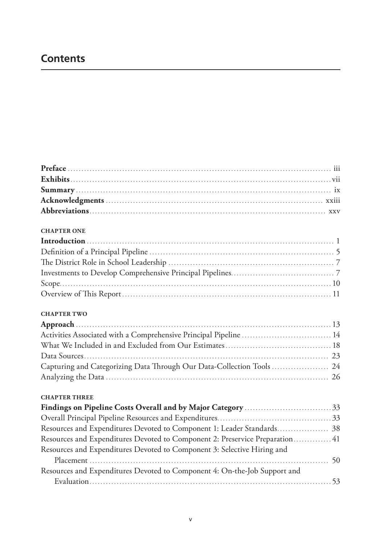# **Contents**

#### **CHAPTER ONE**

#### **CHAPTER TWO**

| Activities Associated with a Comprehensive Principal Pipeline  14 |  |
|-------------------------------------------------------------------|--|
|                                                                   |  |
|                                                                   |  |
|                                                                   |  |
|                                                                   |  |

#### **CHAPTER THREE**

| Resources and Expenditures Devoted to Component 1: Leader Standards 38       |
|------------------------------------------------------------------------------|
| Resources and Expenditures Devoted to Component 2: Preservice Preparation 41 |
|                                                                              |
|                                                                              |
|                                                                              |
|                                                                              |
|                                                                              |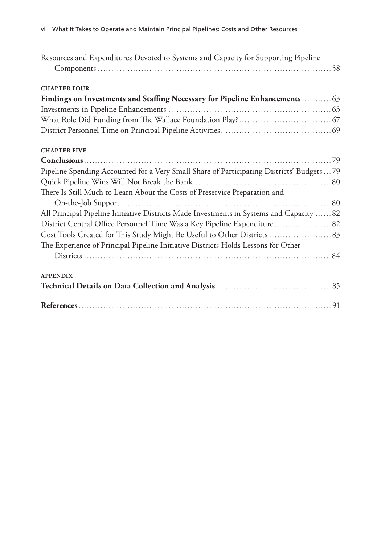| Resources and Expenditures Devoted to Systems and Capacity for Supporting Pipeline       |  |
|------------------------------------------------------------------------------------------|--|
| <b>CHAPTER FOUR</b>                                                                      |  |
| Findings on Investments and Staffing Necessary for Pipeline Enhancements 63              |  |
|                                                                                          |  |
|                                                                                          |  |
|                                                                                          |  |
| <b>CHAPTER FIVE</b>                                                                      |  |
|                                                                                          |  |
| Pipeline Spending Accounted for a Very Small Share of Participating Districts' Budgets79 |  |
|                                                                                          |  |
| There Is Still Much to Learn About the Costs of Preservice Preparation and               |  |
|                                                                                          |  |
| All Principal Pipeline Initiative Districts Made Investments in Systems and Capacity  82 |  |
|                                                                                          |  |
|                                                                                          |  |
| The Experience of Principal Pipeline Initiative Districts Holds Lessons for Other        |  |
|                                                                                          |  |
| <b>APPENDIX</b>                                                                          |  |
|                                                                                          |  |
|                                                                                          |  |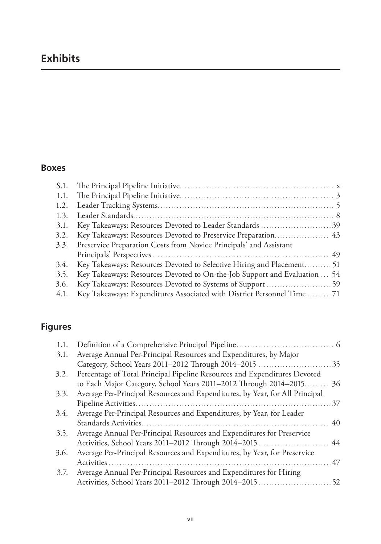# **Exhibits**

# **Boxes**

| 3.1. | Key Takeaways: Resources Devoted to Leader Standards 39                   |  |
|------|---------------------------------------------------------------------------|--|
| 3.2. |                                                                           |  |
| 3.3. | Preservice Preparation Costs from Novice Principals' and Assistant        |  |
|      |                                                                           |  |
| 3.4. | Key Takeaways: Resources Devoted to Selective Hiring and Placement 51     |  |
| 3.5. | Key Takeaways: Resources Devoted to On-the-Job Support and Evaluation  54 |  |
| 3.6. |                                                                           |  |
| 4.1. | Key Takeaways: Expenditures Associated with District Personnel Time 71    |  |
|      |                                                                           |  |

# **Figures**

| Average Annual Per-Principal Resources and Expenditures, by Major            |
|------------------------------------------------------------------------------|
|                                                                              |
| Percentage of Total Principal Pipeline Resources and Expenditures Devoted    |
| to Each Major Category, School Years 2011-2012 Through 2014-2015 36          |
| Average Per-Principal Resources and Expenditures, by Year, for All Principal |
| 37                                                                           |
| Average Per-Principal Resources and Expenditures, by Year, for Leader        |
| 40                                                                           |
| Average Annual Per-Principal Resources and Expenditures for Preservice       |
|                                                                              |
| Average Per-Principal Resources and Expenditures, by Year, for Preservice    |
| 47                                                                           |
| Average Annual Per-Principal Resources and Expenditures for Hiring           |
|                                                                              |
|                                                                              |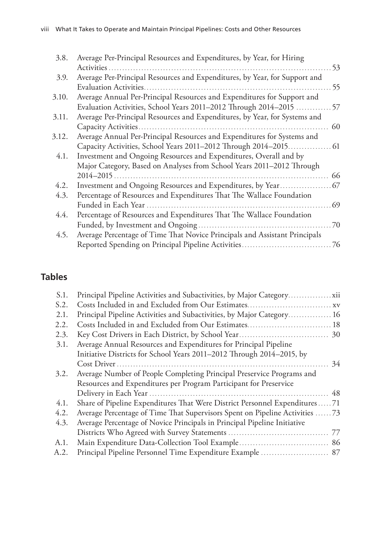| 3.8.  | Average Per-Principal Resources and Expenditures, by Year, for Hiring      |    |
|-------|----------------------------------------------------------------------------|----|
|       | Activities                                                                 | 53 |
| 3.9.  | Average Per-Principal Resources and Expenditures, by Year, for Support and |    |
|       | <b>Evaluation Activities.</b>                                              | 55 |
| 3.10. | Average Annual Per-Principal Resources and Expenditures for Support and    |    |
|       | Evaluation Activities, School Years 2011-2012 Through 2014-2015  57        |    |
| 3.11. | Average Per-Principal Resources and Expenditures, by Year, for Systems and |    |
|       |                                                                            | 60 |
| 3.12. | Average Annual Per-Principal Resources and Expenditures for Systems and    |    |
|       |                                                                            |    |
| 4.1.  | Investment and Ongoing Resources and Expenditures, Overall and by          |    |
|       | Major Category, Based on Analyses from School Years 2011-2012 Through      |    |
|       | $2014 - 2015$ .                                                            | 66 |
| 4.2.  |                                                                            |    |
| 4.3.  | Percentage of Resources and Expenditures That The Wallace Foundation       |    |
|       |                                                                            |    |
| 4.4.  | Percentage of Resources and Expenditures That The Wallace Foundation       |    |
|       |                                                                            |    |
| 4.5.  | Average Percentage of Time That Novice Principals and Assistant Principals |    |
|       |                                                                            |    |

# **Tables**

| S.1. | Principal Pipeline Activities and Subactivities, by Major Category          |    |
|------|-----------------------------------------------------------------------------|----|
| S.2. |                                                                             |    |
| 2.1. | Principal Pipeline Activities and Subactivities, by Major Category 16       |    |
| 2.2. | Costs Included in and Excluded from Our Estimates 18                        |    |
| 2.3. |                                                                             |    |
| 3.1. | Average Annual Resources and Expenditures for Principal Pipeline            |    |
|      | Initiative Districts for School Years 2011-2012 Through 2014-2015, by       |    |
|      |                                                                             | 34 |
| 3.2. | Average Number of People Completing Principal Preservice Programs and       |    |
|      | Resources and Expenditures per Program Participant for Preservice           |    |
|      |                                                                             |    |
| 4.1. | Share of Pipeline Expenditures That Were District Personnel Expenditures71  |    |
| 4.2. | Average Percentage of Time That Supervisors Spent on Pipeline Activities 73 |    |
| 4.3. | Average Percentage of Novice Principals in Principal Pipeline Initiative    |    |
|      |                                                                             |    |
| A.1. |                                                                             |    |
| A.2. | Principal Pipeline Personnel Time Expenditure Example  87                   |    |
|      |                                                                             |    |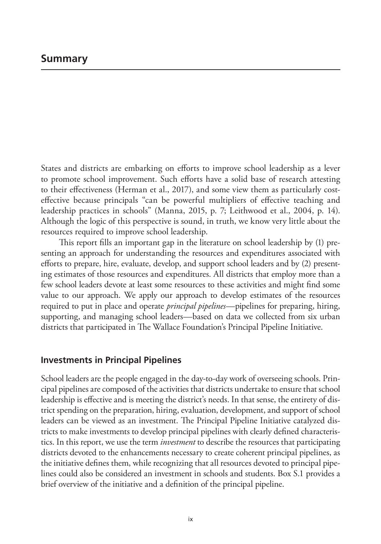States and districts are embarking on efforts to improve school leadership as a lever to promote school improvement. Such efforts have a solid base of research attesting to their effectiveness (Herman et al., 2017), and some view them as particularly costeffective because principals "can be powerful multipliers of effective teaching and leadership practices in schools" (Manna, 2015, p. 7; Leithwood et al., 2004, p. 14). Although the logic of this perspective is sound, in truth, we know very little about the resources required to improve school leadership.

This report fills an important gap in the literature on school leadership by (1) presenting an approach for understanding the resources and expenditures associated with efforts to prepare, hire, evaluate, develop, and support school leaders and by (2) presenting estimates of those resources and expenditures. All districts that employ more than a few school leaders devote at least some resources to these activities and might find some value to our approach. We apply our approach to develop estimates of the resources required to put in place and operate *principal pipelines*—pipelines for preparing, hiring, supporting, and managing school leaders—based on data we collected from six urban districts that participated in The Wallace Foundation's Principal Pipeline Initiative.

# **Investments in Principal Pipelines**

School leaders are the people engaged in the day-to-day work of overseeing schools. Principal pipelines are composed of the activities that districts undertake to ensure that school leadership is effective and is meeting the district's needs. In that sense, the entirety of district spending on the preparation, hiring, evaluation, development, and support of school leaders can be viewed as an investment. The Principal Pipeline Initiative catalyzed districts to make investments to develop principal pipelines with clearly defined characteristics. In this report, we use the term *investment* to describe the resources that participating districts devoted to the enhancements necessary to create coherent principal pipelines, as the initiative defines them, while recognizing that all resources devoted to principal pipelines could also be considered an investment in schools and students. Box S.1 provides a brief overview of the initiative and a definition of the principal pipeline.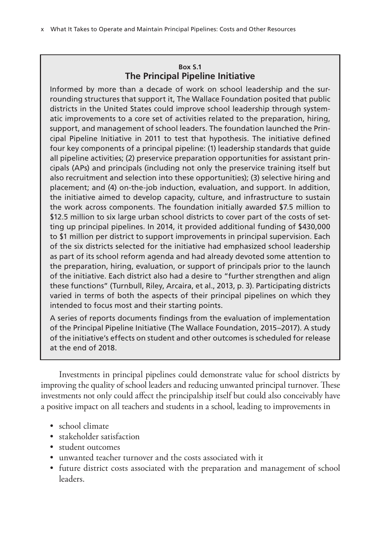# **Box S.1 The Principal Pipeline Initiative**

Informed by more than a decade of work on school leadership and the surrounding structures that support it, The Wallace Foundation posited that public districts in the United States could improve school leadership through systematic improvements to a core set of activities related to the preparation, hiring, support, and management of school leaders. The foundation launched the Principal Pipeline Initiative in 2011 to test that hypothesis. The initiative defined four key components of a principal pipeline: (1) leadership standards that guide all pipeline activities; (2) preservice preparation opportunities for assistant principals (APs) and principals (including not only the preservice training itself but also recruitment and selection into these opportunities); (3) selective hiring and placement; and (4) on-the-job induction, evaluation, and support. In addition, the initiative aimed to develop capacity, culture, and infrastructure to sustain the work across components. The foundation initially awarded \$7.5 million to \$12.5 million to six large urban school districts to cover part of the costs of setting up principal pipelines. In 2014, it provided additional funding of \$430,000 to \$1 million per district to support improvements in principal supervision. Each of the six districts selected for the initiative had emphasized school leadership as part of its school reform agenda and had already devoted some attention to the preparation, hiring, evaluation, or support of principals prior to the launch of the initiative. Each district also had a desire to "further strengthen and align these functions" (Turnbull, Riley, Arcaira, et al., 2013, p. 3). Participating districts varied in terms of both the aspects of their principal pipelines on which they intended to focus most and their starting points.

A series of reports documents findings from the evaluation of implementation of the Principal Pipeline Initiative (The Wallace Foundation, 2015–2017). A study of the initiative's effects on student and other outcomes is scheduled for release at the end of 2018.

Investments in principal pipelines could demonstrate value for school districts by improving the quality of school leaders and reducing unwanted principal turnover. These investments not only could affect the principalship itself but could also conceivably have a positive impact on all teachers and students in a school, leading to improvements in

- school climate
- stakeholder satisfaction
- student outcomes
- unwanted teacher turnover and the costs associated with it
- future district costs associated with the preparation and management of school leaders.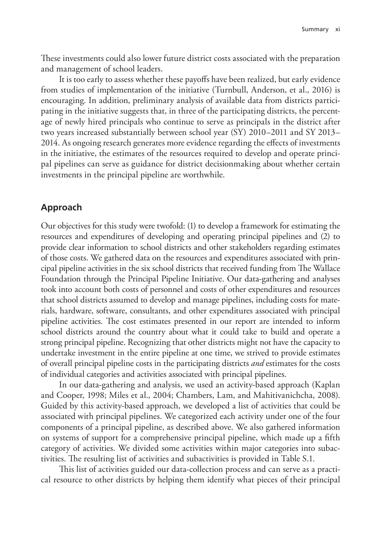These investments could also lower future district costs associated with the preparation and management of school leaders.

It is too early to assess whether these payoffs have been realized, but early evidence from studies of implementation of the initiative (Turnbull, Anderson, et al., 2016) is encouraging. In addition, preliminary analysis of available data from districts participating in the initiative suggests that, in three of the participating districts, the percentage of newly hired principals who continue to serve as principals in the district after two years increased substantially between school year (SY) 2010–2011 and SY 2013– 2014. As ongoing research generates more evidence regarding the effects of investments in the initiative, the estimates of the resources required to develop and operate principal pipelines can serve as guidance for district decisionmaking about whether certain investments in the principal pipeline are worthwhile.

## **Approach**

Our objectives for this study were twofold: (1) to develop a framework for estimating the resources and expenditures of developing and operating principal pipelines and (2) to provide clear information to school districts and other stakeholders regarding estimates of those costs. We gathered data on the resources and expenditures associated with principal pipeline activities in the six school districts that received funding from The Wallace Foundation through the Principal Pipeline Initiative. Our data-gathering and analyses took into account both costs of personnel and costs of other expenditures and resources that school districts assumed to develop and manage pipelines, including costs for materials, hardware, software, consultants, and other expenditures associated with principal pipeline activities. The cost estimates presented in our report are intended to inform school districts around the country about what it could take to build and operate a strong principal pipeline. Recognizing that other districts might not have the capacity to undertake investment in the entire pipeline at one time, we strived to provide estimates of overall principal pipeline costs in the participating districts *and* estimates for the costs of individual categories and activities associated with principal pipelines.

In our data-gathering and analysis, we used an activity-based approach (Kaplan and Cooper, 1998; Miles et al., 2004; Chambers, Lam, and Mahitivanichcha, 2008). Guided by this activity-based approach, we developed a list of activities that could be associated with principal pipelines. We categorized each activity under one of the four components of a principal pipeline, as described above. We also gathered information on systems of support for a comprehensive principal pipeline, which made up a fifth category of activities. We divided some activities within major categories into subactivities. The resulting list of activities and subactivities is provided in Table S.1.

This list of activities guided our data-collection process and can serve as a practical resource to other districts by helping them identify what pieces of their principal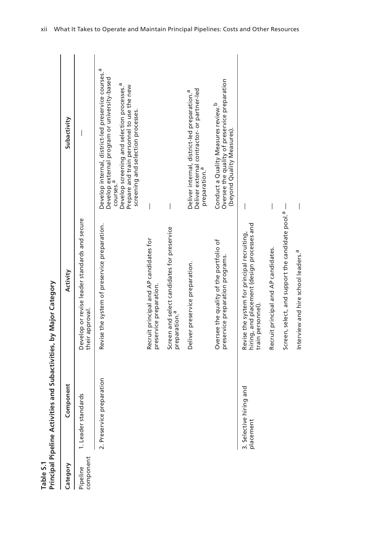Table S.1<br>Principal Pipeline Activities and Subactivities, by Major Category

| Table S.1             | Principal Pipeline Activities and Subactivities, by Major Category |                                                                                                                 |                                                                                                                                                                                                                                                                                         |
|-----------------------|--------------------------------------------------------------------|-----------------------------------------------------------------------------------------------------------------|-----------------------------------------------------------------------------------------------------------------------------------------------------------------------------------------------------------------------------------------------------------------------------------------|
| Category              | Component                                                          | Activity                                                                                                        | Subactivity                                                                                                                                                                                                                                                                             |
| component<br>Pipeline | I. Leader standards                                                | Develop or revise leader standards and secure<br>their approval.                                                |                                                                                                                                                                                                                                                                                         |
|                       | ation<br>2. Preservice prepar                                      | Revise the system of preservice preparation.                                                                    | Develop internal, district-led preservice courses. <sup>a</sup><br>Develop external program or university-based<br>Develop screening and selection processes. <sup>a</sup><br>Prepare and train personnel to use the new<br>screening and selection processes.<br>courses. <sup>a</sup> |
|                       |                                                                    | Recruit principal and AP candidates for<br>preservice preparation.                                              |                                                                                                                                                                                                                                                                                         |
|                       |                                                                    | Screen and select candidates for preservice<br>preparation. <sup>a</sup>                                        |                                                                                                                                                                                                                                                                                         |
|                       |                                                                    | Deliver preservice preparation.                                                                                 | Deliver external contractor- or partner-led<br>Deliver internal, district-led preparation. <sup>a</sup><br>preparation. <sup>a</sup>                                                                                                                                                    |
|                       |                                                                    | Oversee the quality of the portfolio of<br>preservice preparation programs.                                     | Oversee the quality of preservice preparation<br>Conduct a Quality Measures review. <sup>b</sup><br>(beyond Quality Measures).                                                                                                                                                          |
|                       | 3. Selective hiring and<br>placement                               | hiring, and placement (design processes and<br>Revise the system for principal recruiting,<br>train personnel). |                                                                                                                                                                                                                                                                                         |
|                       |                                                                    | Recruit principal and AP candidates.                                                                            |                                                                                                                                                                                                                                                                                         |
|                       |                                                                    | Screen, select, and support the candidate pool. <sup>a</sup> -                                                  |                                                                                                                                                                                                                                                                                         |
|                       |                                                                    | Interview and hire school leaders. <sup>a</sup>                                                                 | I                                                                                                                                                                                                                                                                                       |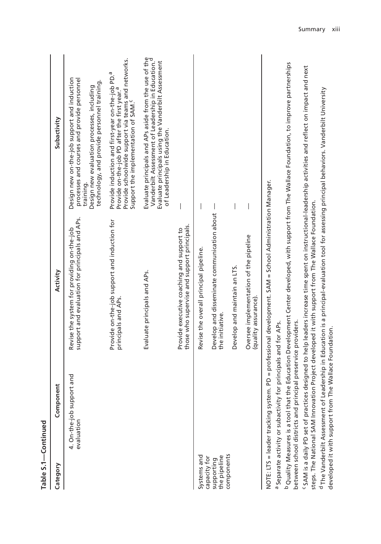|                                            | Table S.1-Continued                                            |                                                                                                                                                |                                                                                                                                                                                                                                   |
|--------------------------------------------|----------------------------------------------------------------|------------------------------------------------------------------------------------------------------------------------------------------------|-----------------------------------------------------------------------------------------------------------------------------------------------------------------------------------------------------------------------------------|
| Category                                   | lent<br>Compon                                                 | Activity                                                                                                                                       | Subactivity                                                                                                                                                                                                                       |
|                                            | 4. On-the-job support and<br>evaluation                        | support and evaluation for principals and APs.<br>Revise the system for providing on-the-job                                                   | Design new on-the-job support and induction<br>processes and courses and provide personnel<br>technology, and provide personnel training.<br>Design new evaluation processes, including<br>training.                              |
|                                            |                                                                | Provide on-the-job support and induction for<br>principals and APs.                                                                            | Provide schoolwide support via teams and networks.<br>Support the implementation of SAM. <sup>C</sup><br>Provide induction and first-year on-the-job PD. <sup>a</sup><br>Provide on-the-job PD after the first year. <sup>a</sup> |
|                                            |                                                                | Evaluate principals and APs.                                                                                                                   | Evaluate principals and APs aside from the use of the<br>Vanderbilt Assessment of Leadership in Education. <sup>d</sup><br>Evaluate principals using the Vanderbilt Assessment<br>of Leadership in Education.                     |
|                                            |                                                                | those who supervise and support principals.<br>Provide executive coaching and support to                                                       |                                                                                                                                                                                                                                   |
| Systems and                                |                                                                | Revise the overall principal pipeline.                                                                                                         |                                                                                                                                                                                                                                   |
| the pipeline<br>capacity for<br>supporting |                                                                | Develop and disseminate communication about<br>the initiative.                                                                                 |                                                                                                                                                                                                                                   |
| components                                 |                                                                | Develop and maintain an LTS.                                                                                                                   |                                                                                                                                                                                                                                   |
|                                            |                                                                | Oversee implementation of the pipeline<br>(quality assurance).                                                                                 |                                                                                                                                                                                                                                   |
|                                            | a Separate activity or subactivity for principals and for APs. | NOTE: LTS = leader tracking system. PD = professional development. SAM = School Administration Manager.                                        |                                                                                                                                                                                                                                   |
|                                            | between school districts and principal preservice providers.   |                                                                                                                                                | <sup>b</sup> Quality Measures is a tool that the Education Development Center developed, with support from The Wallace Foundation, to improve partnerships                                                                        |
|                                            |                                                                | steps. The National SAM Innovation Project developed it with support from The Wallace Foundation.                                              | <sup>c</sup> SAM is a daily PD set of practices designed to help leaders increase time spent on instructional-leadership activities and reflect on impact and next                                                                |
|                                            | The Wallace Foundation.<br>developed it with support from T    | d The Vanderbilt Assessment of Leadership in Education is a principal-evaluation tool for assessing principal behaviors. Vanderbilt University |                                                                                                                                                                                                                                   |

Summary xiii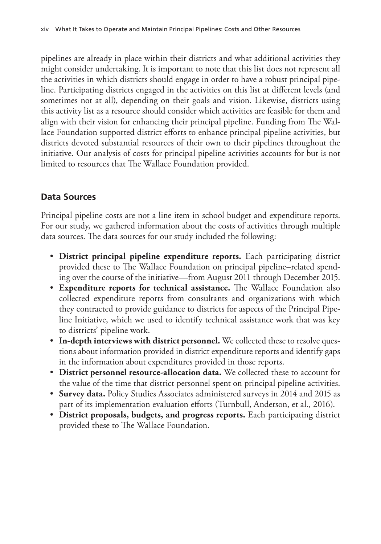pipelines are already in place within their districts and what additional activities they might consider undertaking. It is important to note that this list does not represent all the activities in which districts should engage in order to have a robust principal pipeline. Participating districts engaged in the activities on this list at different levels (and sometimes not at all), depending on their goals and vision. Likewise, districts using this activity list as a resource should consider which activities are feasible for them and align with their vision for enhancing their principal pipeline. Funding from The Wallace Foundation supported district efforts to enhance principal pipeline activities, but districts devoted substantial resources of their own to their pipelines throughout the initiative. Our analysis of costs for principal pipeline activities accounts for but is not limited to resources that The Wallace Foundation provided.

# **Data Sources**

Principal pipeline costs are not a line item in school budget and expenditure reports. For our study, we gathered information about the costs of activities through multiple data sources. The data sources for our study included the following:

- **District principal pipeline expenditure reports.** Each participating district provided these to The Wallace Foundation on principal pipeline–related spending over the course of the initiative—from August 2011 through December 2015.
- **Expenditure reports for technical assistance.** The Wallace Foundation also collected expenditure reports from consultants and organizations with which they contracted to provide guidance to districts for aspects of the Principal Pipeline Initiative, which we used to identify technical assistance work that was key to districts' pipeline work.
- **In-depth interviews with district personnel.** We collected these to resolve questions about information provided in district expenditure reports and identify gaps in the information about expenditures provided in those reports.
- **District personnel resource-allocation data.** We collected these to account for the value of the time that district personnel spent on principal pipeline activities.
- **Survey data.** Policy Studies Associates administered surveys in 2014 and 2015 as part of its implementation evaluation efforts (Turnbull, Anderson, et al., 2016).
- **District proposals, budgets, and progress reports.** Each participating district provided these to The Wallace Foundation.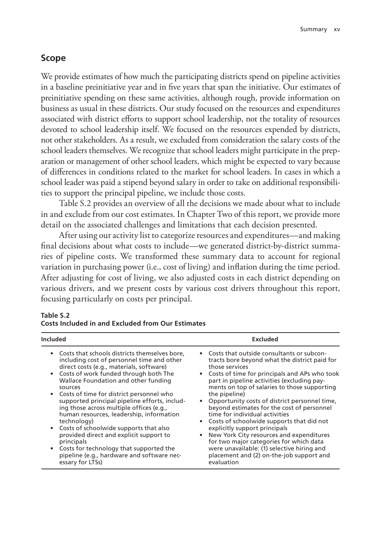## **Scope**

We provide estimates of how much the participating districts spend on pipeline activities in a baseline preinitiative year and in five years that span the initiative. Our estimates of preinitiative spending on these same activities, although rough, provide information on business as usual in these districts. Our study focused on the resources and expenditures associated with district efforts to support school leadership, not the totality of resources devoted to school leadership itself. We focused on the resources expended by districts, not other stakeholders. As a result, we excluded from consideration the salary costs of the school leaders themselves. We recognize that school leaders might participate in the preparation or management of other school leaders, which might be expected to vary because of differences in conditions related to the market for school leaders. In cases in which a school leader was paid a stipend beyond salary in order to take on additional responsibilities to support the principal pipeline, we include those costs.

Table S.2 provides an overview of all the decisions we made about what to include in and exclude from our cost estimates. In Chapter Two of this report, we provide more detail on the associated challenges and limitations that each decision presented.

After using our activity list to categorize resources and expenditures—and making final decisions about what costs to include—we generated district-by-district summaries of pipeline costs. We transformed these summary data to account for regional variation in purchasing power (i.e., cost of living) and inflation during the time period. After adjusting for cost of living, we also adjusted costs in each district depending on various drivers, and we present costs by various cost drivers throughout this report, focusing particularly on costs per principal.

| Included                                                                                                                                                                                                                                                                                                                                                                                                                                                                                                                                                                                                                                                                            | <b>Excluded</b>                                                                                                                                                                                                                                                                                                                                                                                                                                                                                                                                                                                                                                                                             |
|-------------------------------------------------------------------------------------------------------------------------------------------------------------------------------------------------------------------------------------------------------------------------------------------------------------------------------------------------------------------------------------------------------------------------------------------------------------------------------------------------------------------------------------------------------------------------------------------------------------------------------------------------------------------------------------|---------------------------------------------------------------------------------------------------------------------------------------------------------------------------------------------------------------------------------------------------------------------------------------------------------------------------------------------------------------------------------------------------------------------------------------------------------------------------------------------------------------------------------------------------------------------------------------------------------------------------------------------------------------------------------------------|
| • Costs that schools districts themselves bore,<br>including cost of personnel time and other<br>direct costs (e.g., materials, software)<br>Costs of work funded through both The<br>Wallace Foundation and other funding<br>sources<br>Costs of time for district personnel who<br>$\bullet$<br>supported principal pipeline efforts, includ-<br>ing those across multiple offices (e.g.,<br>human resources, leadership, information<br>technology)<br>Costs of schoolwide supports that also<br>provided direct and explicit support to<br>principals<br>Costs for technology that supported the<br>$\bullet$<br>pipeline (e.g., hardware and software nec-<br>essary for LTSs) | Costs that outside consultants or subcon-<br>tracts bore beyond what the district paid for<br>those services<br>Costs of time for principals and APs who took<br>part in pipeline activities (excluding pay-<br>ments on top of salaries to those supporting<br>the pipeline)<br>Opportunity costs of district personnel time,<br>beyond estimates for the cost of personnel<br>time for individual activities<br>Costs of schoolwide supports that did not<br>explicitly support principals<br>New York City resources and expenditures<br>for two major categories for which data<br>were unavailable: (1) selective hiring and<br>placement and (2) on-the-job support and<br>evaluation |

#### **Table S.2 Costs Included in and Excluded from Our Estimates**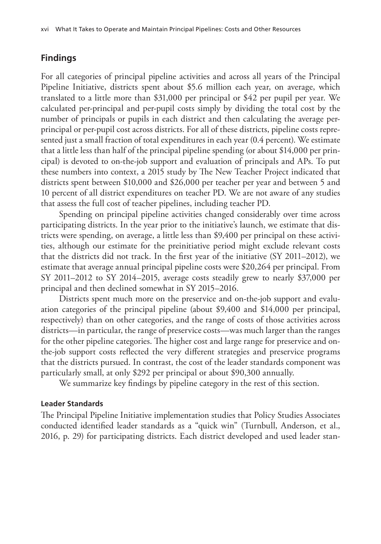# **Findings**

For all categories of principal pipeline activities and across all years of the Principal Pipeline Initiative, districts spent about \$5.6 million each year, on average, which translated to a little more than \$31,000 per principal or \$42 per pupil per year. We calculated per-principal and per-pupil costs simply by dividing the total cost by the number of principals or pupils in each district and then calculating the average perprincipal or per-pupil cost across districts. For all of these districts, pipeline costs represented just a small fraction of total expenditures in each year (0.4 percent). We estimate that a little less than half of the principal pipeline spending (or about \$14,000 per principal) is devoted to on-the-job support and evaluation of principals and APs. To put these numbers into context, a 2015 study by The New Teacher Project indicated that districts spent between \$10,000 and \$26,000 per teacher per year and between 5 and 10 percent of all district expenditures on teacher PD. We are not aware of any studies that assess the full cost of teacher pipelines, including teacher PD.

Spending on principal pipeline activities changed considerably over time across participating districts. In the year prior to the initiative's launch, we estimate that districts were spending, on average, a little less than \$9,400 per principal on these activities, although our estimate for the preinitiative period might exclude relevant costs that the districts did not track. In the first year of the initiative (SY 2011–2012), we estimate that average annual principal pipeline costs were \$20,264 per principal. From SY 2011–2012 to SY 2014–2015, average costs steadily grew to nearly \$37,000 per principal and then declined somewhat in SY 2015–2016.

Districts spent much more on the preservice and on-the-job support and evaluation categories of the principal pipeline (about \$9,400 and \$14,000 per principal, respectively) than on other categories, and the range of costs of those activities across districts—in particular, the range of preservice costs—was much larger than the ranges for the other pipeline categories. The higher cost and large range for preservice and onthe-job support costs reflected the very different strategies and preservice programs that the districts pursued. In contrast, the cost of the leader standards component was particularly small, at only \$292 per principal or about \$90,300 annually.

We summarize key findings by pipeline category in the rest of this section.

#### **Leader Standards**

The Principal Pipeline Initiative implementation studies that Policy Studies Associates conducted identified leader standards as a "quick win" (Turnbull, Anderson, et al., 2016, p. 29) for participating districts. Each district developed and used leader stan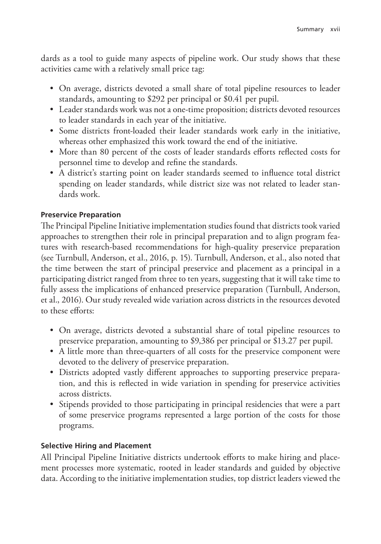dards as a tool to guide many aspects of pipeline work. Our study shows that these activities came with a relatively small price tag:

- On average, districts devoted a small share of total pipeline resources to leader standards, amounting to \$292 per principal or \$0.41 per pupil.
- Leader standards work was not a one-time proposition; districts devoted resources to leader standards in each year of the initiative.
- Some districts front-loaded their leader standards work early in the initiative, whereas other emphasized this work toward the end of the initiative.
- More than 80 percent of the costs of leader standards efforts reflected costs for personnel time to develop and refine the standards.
- A district's starting point on leader standards seemed to influence total district spending on leader standards, while district size was not related to leader standards work.

#### **Preservice Preparation**

The Principal Pipeline Initiative implementation studies found that districts took varied approaches to strengthen their role in principal preparation and to align program features with research-based recommendations for high-quality preservice preparation (see Turnbull, Anderson, et al., 2016, p. 15). Turnbull, Anderson, et al., also noted that the time between the start of principal preservice and placement as a principal in a participating district ranged from three to ten years, suggesting that it will take time to fully assess the implications of enhanced preservice preparation (Turnbull, Anderson, et al., 2016). Our study revealed wide variation across districts in the resources devoted to these efforts:

- On average, districts devoted a substantial share of total pipeline resources to preservice preparation, amounting to \$9,386 per principal or \$13.27 per pupil.
- A little more than three-quarters of all costs for the preservice component were devoted to the delivery of preservice preparation.
- Districts adopted vastly different approaches to supporting preservice preparation, and this is reflected in wide variation in spending for preservice activities across districts.
- Stipends provided to those participating in principal residencies that were a part of some preservice programs represented a large portion of the costs for those programs.

# **Selective Hiring and Placement**

All Principal Pipeline Initiative districts undertook efforts to make hiring and placement processes more systematic, rooted in leader standards and guided by objective data. According to the initiative implementation studies, top district leaders viewed the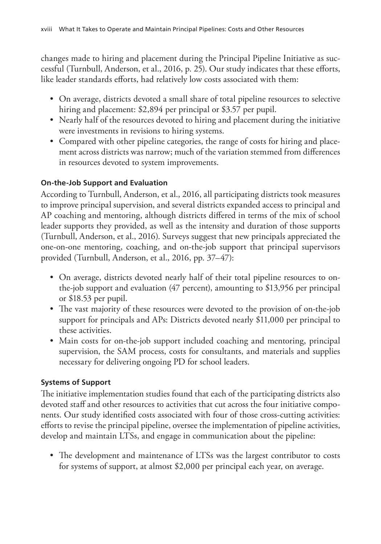changes made to hiring and placement during the Principal Pipeline Initiative as successful (Turnbull, Anderson, et al., 2016, p. 25). Our study indicates that these efforts, like leader standards efforts, had relatively low costs associated with them:

- On average, districts devoted a small share of total pipeline resources to selective hiring and placement: \$2,894 per principal or \$3.57 per pupil.
- Nearly half of the resources devoted to hiring and placement during the initiative were investments in revisions to hiring systems.
- Compared with other pipeline categories, the range of costs for hiring and placement across districts was narrow; much of the variation stemmed from differences in resources devoted to system improvements.

# **On-the-Job Support and Evaluation**

According to Turnbull, Anderson, et al., 2016, all participating districts took measures to improve principal supervision, and several districts expanded access to principal and AP coaching and mentoring, although districts differed in terms of the mix of school leader supports they provided, as well as the intensity and duration of those supports (Turnbull, Anderson, et al., 2016). Surveys suggest that new principals appreciated the one-on-one mentoring, coaching, and on-the-job support that principal supervisors provided (Turnbull, Anderson, et al., 2016, pp. 37–47):

- On average, districts devoted nearly half of their total pipeline resources to onthe-job support and evaluation (47 percent), amounting to \$13,956 per principal or \$18.53 per pupil.
- The vast majority of these resources were devoted to the provision of on-the-job support for principals and APs: Districts devoted nearly \$11,000 per principal to these activities.
- Main costs for on-the-job support included coaching and mentoring, principal supervision, the SAM process, costs for consultants, and materials and supplies necessary for delivering ongoing PD for school leaders.

# **Systems of Support**

The initiative implementation studies found that each of the participating districts also devoted staff and other resources to activities that cut across the four initiative components. Our study identified costs associated with four of those cross-cutting activities: efforts to revise the principal pipeline, oversee the implementation of pipeline activities, develop and maintain LTSs, and engage in communication about the pipeline:

• The development and maintenance of LTSs was the largest contributor to costs for systems of support, at almost \$2,000 per principal each year, on average.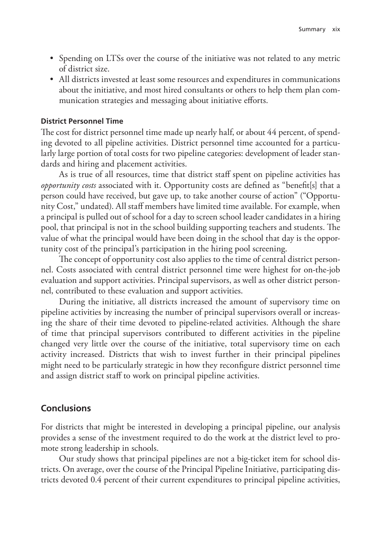- Spending on LTSs over the course of the initiative was not related to any metric of district size.
- All districts invested at least some resources and expenditures in communications about the initiative, and most hired consultants or others to help them plan communication strategies and messaging about initiative efforts.

#### **District Personnel Time**

The cost for district personnel time made up nearly half, or about 44 percent, of spending devoted to all pipeline activities. District personnel time accounted for a particularly large portion of total costs for two pipeline categories: development of leader standards and hiring and placement activities.

As is true of all resources, time that district staff spent on pipeline activities has *opportunity costs* associated with it. Opportunity costs are defined as "benefit[s] that a person could have received, but gave up, to take another course of action" ("Opportunity Cost," undated). All staff members have limited time available. For example, when a principal is pulled out of school for a day to screen school leader candidates in a hiring pool, that principal is not in the school building supporting teachers and students. The value of what the principal would have been doing in the school that day is the opportunity cost of the principal's participation in the hiring pool screening.

The concept of opportunity cost also applies to the time of central district personnel. Costs associated with central district personnel time were highest for on-the-job evaluation and support activities. Principal supervisors, as well as other district personnel, contributed to these evaluation and support activities.

During the initiative, all districts increased the amount of supervisory time on pipeline activities by increasing the number of principal supervisors overall or increasing the share of their time devoted to pipeline-related activities. Although the share of time that principal supervisors contributed to different activities in the pipeline changed very little over the course of the initiative, total supervisory time on each activity increased. Districts that wish to invest further in their principal pipelines might need to be particularly strategic in how they reconfigure district personnel time and assign district staff to work on principal pipeline activities.

#### **Conclusions**

For districts that might be interested in developing a principal pipeline, our analysis provides a sense of the investment required to do the work at the district level to promote strong leadership in schools.

Our study shows that principal pipelines are not a big-ticket item for school districts. On average, over the course of the Principal Pipeline Initiative, participating districts devoted 0.4 percent of their current expenditures to principal pipeline activities,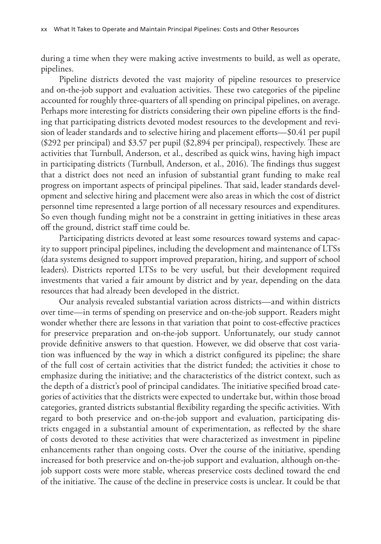during a time when they were making active investments to build, as well as operate, pipelines.

Pipeline districts devoted the vast majority of pipeline resources to preservice and on-the-job support and evaluation activities. These two categories of the pipeline accounted for roughly three-quarters of all spending on principal pipelines, on average. Perhaps more interesting for districts considering their own pipeline efforts is the finding that participating districts devoted modest resources to the development and revision of leader standards and to selective hiring and placement efforts—\$0.41 per pupil (\$292 per principal) and \$3.57 per pupil (\$2,894 per principal), respectively. These are activities that Turnbull, Anderson, et al., described as quick wins, having high impact in participating districts (Turnbull, Anderson, et al., 2016). The findings thus suggest that a district does not need an infusion of substantial grant funding to make real progress on important aspects of principal pipelines. That said, leader standards development and selective hiring and placement were also areas in which the cost of district personnel time represented a large portion of all necessary resources and expenditures. So even though funding might not be a constraint in getting initiatives in these areas off the ground, district staff time could be.

Participating districts devoted at least some resources toward systems and capacity to support principal pipelines, including the development and maintenance of LTSs (data systems designed to support improved preparation, hiring, and support of school leaders). Districts reported LTSs to be very useful, but their development required investments that varied a fair amount by district and by year, depending on the data resources that had already been developed in the district.

Our analysis revealed substantial variation across districts—and within districts over time—in terms of spending on preservice and on-the-job support. Readers might wonder whether there are lessons in that variation that point to cost-effective practices for preservice preparation and on-the-job support. Unfortunately, our study cannot provide definitive answers to that question. However, we did observe that cost variation was influenced by the way in which a district configured its pipeline; the share of the full cost of certain activities that the district funded; the activities it chose to emphasize during the initiative; and the characteristics of the district context, such as the depth of a district's pool of principal candidates. The initiative specified broad categories of activities that the districts were expected to undertake but, within those broad categories, granted districts substantial flexibility regarding the specific activities. With regard to both preservice and on-the-job support and evaluation, participating districts engaged in a substantial amount of experimentation, as reflected by the share of costs devoted to these activities that were characterized as investment in pipeline enhancements rather than ongoing costs. Over the course of the initiative, spending increased for both preservice and on-the-job support and evaluation, although on-thejob support costs were more stable, whereas preservice costs declined toward the end of the initiative. The cause of the decline in preservice costs is unclear. It could be that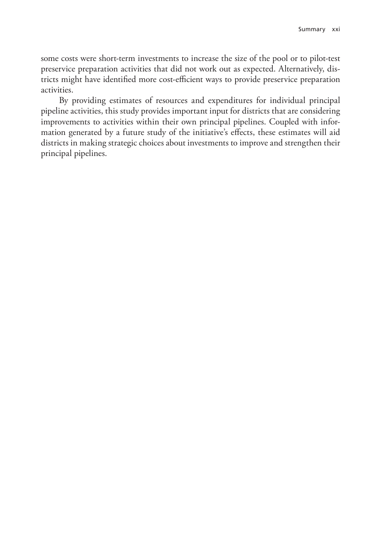some costs were short-term investments to increase the size of the pool or to pilot-test preservice preparation activities that did not work out as expected. Alternatively, districts might have identified more cost-efficient ways to provide preservice preparation activities.

By providing estimates of resources and expenditures for individual principal pipeline activities, this study provides important input for districts that are considering improvements to activities within their own principal pipelines. Coupled with information generated by a future study of the initiative's effects, these estimates will aid districts in making strategic choices about investments to improve and strengthen their principal pipelines.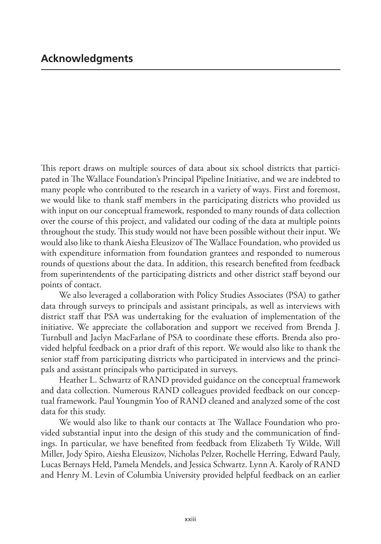This report draws on multiple sources of data about six school districts that participated in The Wallace Foundation's Principal Pipeline Initiative, and we are indebted to many people who contributed to the research in a variety of ways. First and foremost, we would like to thank staff members in the participating districts who provided us with input on our conceptual framework, responded to many rounds of data collection over the course of this project, and validated our coding of the data at multiple points throughout the study. This study would not have been possible without their input. We would also like to thank Aiesha Eleusizov of The Wallace Foundation, who provided us with expenditure information from foundation grantees and responded to numerous rounds of questions about the data. In addition, this research benefited from feedback from superintendents of the participating districts and other district staff beyond our points of contact.

We also leveraged a collaboration with Policy Studies Associates (PSA) to gather data through surveys to principals and assistant principals, as well as interviews with district staff that PSA was undertaking for the evaluation of implementation of the initiative. We appreciate the collaboration and support we received from Brenda J. Turnbull and Jaclyn MacFarlane of PSA to coordinate these efforts. Brenda also provided helpful feedback on a prior draft of this report. We would also like to thank the senior staff from participating districts who participated in interviews and the principals and assistant principals who participated in surveys.

Heather L. Schwartz of RAND provided guidance on the conceptual framework and data collection. Numerous RAND colleagues provided feedback on our conceptual framework. Paul Youngmin Yoo of RAND cleaned and analyzed some of the cost data for this study.

We would also like to thank our contacts at The Wallace Foundation who provided substantial input into the design of this study and the communication of findings. In particular, we have benefited from feedback from Elizabeth Ty Wilde, Will Miller, Jody Spiro, Aiesha Eleusizov, Nicholas Pelzer, Rochelle Herring, Edward Pauly, Lucas Bernays Held, Pamela Mendels, and Jessica Schwartz. Lynn A. Karoly of RAND and Henry M. Levin of Columbia University provided helpful feedback on an earlier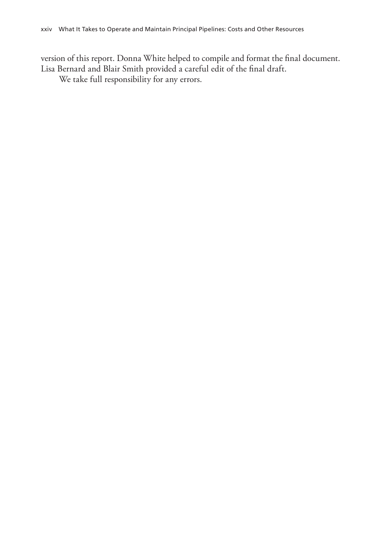version of this report. Donna White helped to compile and format the final document. Lisa Bernard and Blair Smith provided a careful edit of the final draft.

We take full responsibility for any errors.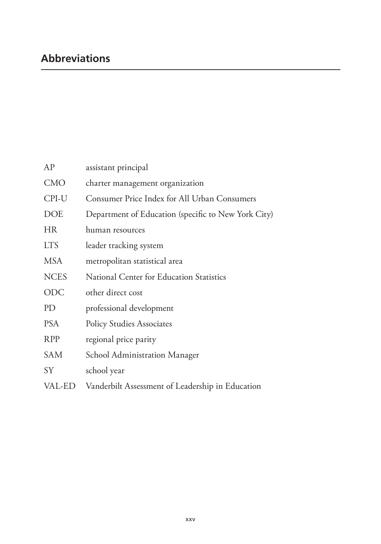| AP          | assistant principal                                 |
|-------------|-----------------------------------------------------|
| <b>CMO</b>  | charter management organization                     |
| CPI-U       | Consumer Price Index for All Urban Consumers        |
| <b>DOE</b>  | Department of Education (specific to New York City) |
| HR          | human resources                                     |
| <b>LTS</b>  | leader tracking system                              |
| <b>MSA</b>  | metropolitan statistical area                       |
| <b>NCES</b> | National Center for Education Statistics            |
| <b>ODC</b>  | other direct cost                                   |
| PD          | professional development                            |
| <b>PSA</b>  | <b>Policy Studies Associates</b>                    |
| <b>RPP</b>  | regional price parity                               |
| <b>SAM</b>  | School Administration Manager                       |
| <b>SY</b>   | school year                                         |
| VAL-ED      | Vanderbilt Assessment of Leadership in Education    |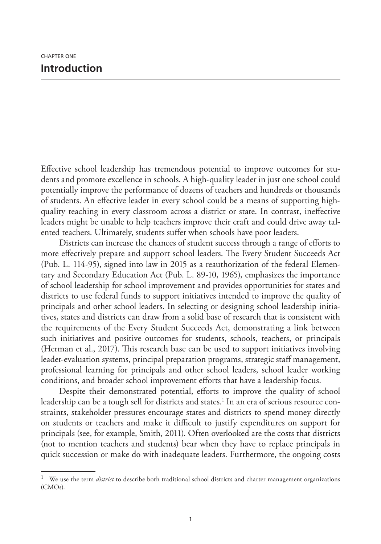Effective school leadership has tremendous potential to improve outcomes for students and promote excellence in schools. A high-quality leader in just one school could potentially improve the performance of dozens of teachers and hundreds or thousands of students. An effective leader in every school could be a means of supporting highquality teaching in every classroom across a district or state. In contrast, ineffective leaders might be unable to help teachers improve their craft and could drive away talented teachers. Ultimately, students suffer when schools have poor leaders.

Districts can increase the chances of student success through a range of efforts to more effectively prepare and support school leaders. The Every Student Succeeds Act (Pub. L. 114-95), signed into law in 2015 as a reauthorization of the federal Elementary and Secondary Education Act (Pub. L. 89-10, 1965), emphasizes the importance of school leadership for school improvement and provides opportunities for states and districts to use federal funds to support initiatives intended to improve the quality of principals and other school leaders. In selecting or designing school leadership initiatives, states and districts can draw from a solid base of research that is consistent with the requirements of the Every Student Succeeds Act, demonstrating a link between such initiatives and positive outcomes for students, schools, teachers, or principals (Herman et al., 2017). This research base can be used to support initiatives involving leader-evaluation systems, principal preparation programs, strategic staff management, professional learning for principals and other school leaders, school leader working conditions, and broader school improvement efforts that have a leadership focus.

Despite their demonstrated potential, efforts to improve the quality of school leadership can be a tough sell for districts and states.<sup>1</sup> In an era of serious resource constraints, stakeholder pressures encourage states and districts to spend money directly on students or teachers and make it difficult to justify expenditures on support for principals (see, for example, Smith, 2011). Often overlooked are the costs that districts (not to mention teachers and students) bear when they have to replace principals in quick succession or make do with inadequate leaders. Furthermore, the ongoing costs

<sup>1</sup> We use the term *district* to describe both traditional school districts and charter management organizations (CMOs).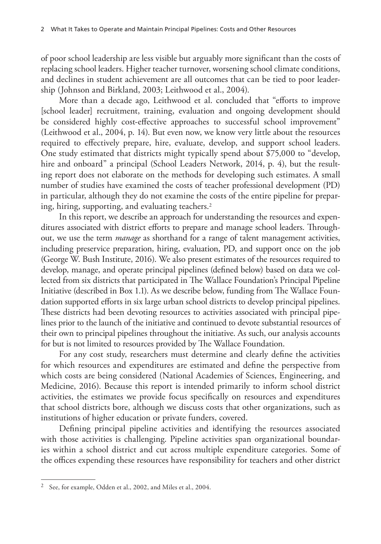of poor school leadership are less visible but arguably more significant than the costs of replacing school leaders. Higher teacher turnover, worsening school climate conditions, and declines in student achievement are all outcomes that can be tied to poor leadership (Johnson and Birkland, 2003; Leithwood et al., 2004).

More than a decade ago, Leithwood et al. concluded that "efforts to improve [school leader] recruitment, training, evaluation and ongoing development should be considered highly cost-effective approaches to successful school improvement" (Leithwood et al., 2004, p. 14). But even now, we know very little about the resources required to effectively prepare, hire, evaluate, develop, and support school leaders. One study estimated that districts might typically spend about \$75,000 to "develop, hire and onboard" a principal (School Leaders Network, 2014, p. 4), but the resulting report does not elaborate on the methods for developing such estimates. A small number of studies have examined the costs of teacher professional development (PD) in particular, although they do not examine the costs of the entire pipeline for preparing, hiring, supporting, and evaluating teachers.2

In this report, we describe an approach for understanding the resources and expenditures associated with district efforts to prepare and manage school leaders. Throughout, we use the term *manage* as shorthand for a range of talent management activities, including preservice preparation, hiring, evaluation, PD, and support once on the job (George W. Bush Institute, 2016). We also present estimates of the resources required to develop, manage, and operate principal pipelines (defined below) based on data we collected from six districts that participated in The Wallace Foundation's Principal Pipeline Initiative (described in Box 1.1). As we describe below, funding from The Wallace Foundation supported efforts in six large urban school districts to develop principal pipelines. These districts had been devoting resources to activities associated with principal pipelines prior to the launch of the initiative and continued to devote substantial resources of their own to principal pipelines throughout the initiative. As such, our analysis accounts for but is not limited to resources provided by The Wallace Foundation.

For any cost study, researchers must determine and clearly define the activities for which resources and expenditures are estimated and define the perspective from which costs are being considered (National Academies of Sciences, Engineering, and Medicine, 2016). Because this report is intended primarily to inform school district activities, the estimates we provide focus specifically on resources and expenditures that school districts bore, although we discuss costs that other organizations, such as institutions of higher education or private funders, covered.

Defining principal pipeline activities and identifying the resources associated with those activities is challenging. Pipeline activities span organizational boundaries within a school district and cut across multiple expenditure categories. Some of the offices expending these resources have responsibility for teachers and other district

<sup>2</sup> See, for example, Odden et al., 2002, and Miles et al., 2004.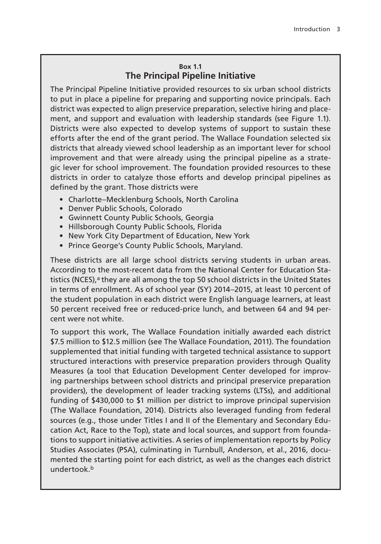#### **Box 1.1 The Principal Pipeline Initiative**

The Principal Pipeline Initiative provided resources to six urban school districts to put in place a pipeline for preparing and supporting novice principals. Each district was expected to align preservice preparation, selective hiring and placement, and support and evaluation with leadership standards (see Figure 1.1). Districts were also expected to develop systems of support to sustain these efforts after the end of the grant period. The Wallace Foundation selected six districts that already viewed school leadership as an important lever for school improvement and that were already using the principal pipeline as a strategic lever for school improvement. The foundation provided resources to these districts in order to catalyze those efforts and develop principal pipelines as defined by the grant. Those districts were

- Charlotte–Mecklenburg Schools, North Carolina
- Denver Public Schools, Colorado
- Gwinnett County Public Schools, Georgia
- Hillsborough County Public Schools, Florida
- New York City Department of Education, New York
- Prince George's County Public Schools, Maryland.

These districts are all large school districts serving students in urban areas. According to the most-recent data from the National Center for Education Statistics (NCES), $a$  they are all among the top 50 school districts in the United States in terms of enrollment. As of school year (SY) 2014–2015, at least 10 percent of the student population in each district were English language learners, at least 50 percent received free or reduced-price lunch, and between 64 and 94 percent were not white.

To support this work, The Wallace Foundation initially awarded each district \$7.5 million to \$12.5 million (see The Wallace Foundation, 2011). The foundation supplemented that initial funding with targeted technical assistance to support structured interactions with preservice preparation providers through Quality Measures (a tool that Education Development Center developed for improving partnerships between school districts and principal preservice preparation providers), the development of leader tracking systems (LTSs), and additional funding of \$430,000 to \$1 million per district to improve principal supervision (The Wallace Foundation, 2014). Districts also leveraged funding from federal sources (e.g., those under Titles I and II of the Elementary and Secondary Education Act, Race to the Top), state and local sources, and support from foundations to support initiative activities. A series of implementation reports by Policy Studies Associates (PSA), culminating in Turnbull, Anderson, et al., 2016, documented the starting point for each district, as well as the changes each district undertook.<sup>b</sup>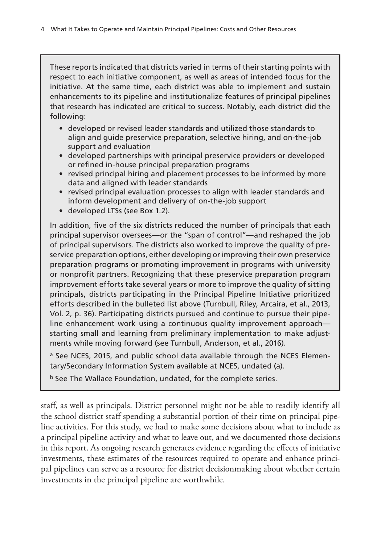These reports indicated that districts varied in terms of their starting points with respect to each initiative component, as well as areas of intended focus for the initiative. At the same time, each district was able to implement and sustain enhancements to its pipeline and institutionalize features of principal pipelines that research has indicated are critical to success. Notably, each district did the following:

- developed or revised leader standards and utilized those standards to align and guide preservice preparation, selective hiring, and on-the-job support and evaluation
- developed partnerships with principal preservice providers or developed or refined in-house principal preparation programs
- revised principal hiring and placement processes to be informed by more data and aligned with leader standards
- revised principal evaluation processes to align with leader standards and inform development and delivery of on-the-job support
- developed LTSs (see Box 1.2).

In addition, five of the six districts reduced the number of principals that each principal supervisor oversees—or the "span of control"—and reshaped the job of principal supervisors. The districts also worked to improve the quality of preservice preparation options, either developing or improving their own preservice preparation programs or promoting improvement in programs with university or nonprofit partners. Recognizing that these preservice preparation program improvement efforts take several years or more to improve the quality of sitting principals, districts participating in the Principal Pipeline Initiative prioritized efforts described in the bulleted list above (Turnbull, Riley, Arcaira, et al., 2013, Vol. 2, p. 36). Participating districts pursued and continue to pursue their pipeline enhancement work using a continuous quality improvement approach starting small and learning from preliminary implementation to make adjustments while moving forward (see Turnbull, Anderson, et al., 2016).

a See NCES, 2015, and public school data available through the NCES Elementary/Secondary Information System available at NCES, undated (a).

b See The Wallace Foundation, undated, for the complete series.

staff, as well as principals. District personnel might not be able to readily identify all the school district staff spending a substantial portion of their time on principal pipeline activities. For this study, we had to make some decisions about what to include as a principal pipeline activity and what to leave out, and we documented those decisions in this report. As ongoing research generates evidence regarding the effects of initiative investments, these estimates of the resources required to operate and enhance principal pipelines can serve as a resource for district decisionmaking about whether certain investments in the principal pipeline are worthwhile.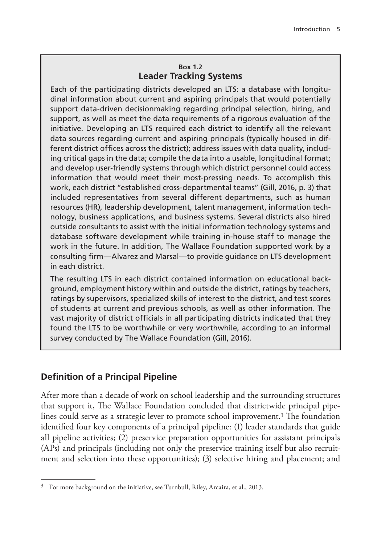#### **Box 1.2 Leader Tracking Systems**

Each of the participating districts developed an LTS: a database with longitudinal information about current and aspiring principals that would potentially support data-driven decisionmaking regarding principal selection, hiring, and support, as well as meet the data requirements of a rigorous evaluation of the initiative. Developing an LTS required each district to identify all the relevant data sources regarding current and aspiring principals (typically housed in different district offices across the district); address issues with data quality, including critical gaps in the data; compile the data into a usable, longitudinal format; and develop user-friendly systems through which district personnel could access information that would meet their most-pressing needs. To accomplish this work, each district "established cross-departmental teams" (Gill, 2016, p. 3) that included representatives from several different departments, such as human resources (HR), leadership development, talent management, information technology, business applications, and business systems. Several districts also hired outside consultants to assist with the initial information technology systems and database software development while training in-house staff to manage the work in the future. In addition, The Wallace Foundation supported work by a consulting firm—Alvarez and Marsal—to provide guidance on LTS development in each district.

The resulting LTS in each district contained information on educational background, employment history within and outside the district, ratings by teachers, ratings by supervisors, specialized skills of interest to the district, and test scores of students at current and previous schools, as well as other information. The vast majority of district officials in all participating districts indicated that they found the LTS to be worthwhile or very worthwhile, according to an informal survey conducted by The Wallace Foundation (Gill, 2016).

# **Definition of a Principal Pipeline**

After more than a decade of work on school leadership and the surrounding structures that support it, The Wallace Foundation concluded that districtwide principal pipelines could serve as a strategic lever to promote school improvement.<sup>3</sup> The foundation identified four key components of a principal pipeline: (1) leader standards that guide all pipeline activities;  $(2)$  preservice preparation opportunities for assistant principals (APs) and principals (including not only the preservice training itself but also recruitment and selection into these opportunities); (3) selective hiring and placement; and

 $3$  For more background on the initiative, see Turnbull, Riley, Arcaira, et al., 2013.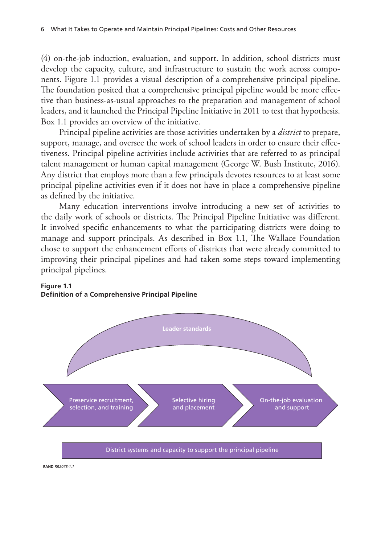(4) on-the-job induction, evaluation, and support. In addition, school districts must develop the capacity, culture, and infrastructure to sustain the work across components. Figure 1.1 provides a visual description of a comprehensive principal pipeline. The foundation posited that a comprehensive principal pipeline would be more effective than business-as-usual approaches to the preparation and management of school leaders, and it launched the Principal Pipeline Initiative in 2011 to test that hypothesis. Box 1.1 provides an overview of the initiative.

Principal pipeline activities are those activities undertaken by a *district* to prepare, support, manage, and oversee the work of school leaders in order to ensure their effectiveness. Principal pipeline activities include activities that are referred to as principal talent management or human capital management (George W. Bush Institute, 2016). Any district that employs more than a few principals devotes resources to at least some principal pipeline activities even if it does not have in place a comprehensive pipeline as defined by the initiative.

Many education interventions involve introducing a new set of activities to the daily work of schools or districts. The Principal Pipeline Initiative was different. It involved specific enhancements to what the participating districts were doing to manage and support principals. As described in Box 1.1, The Wallace Foundation chose to support the enhancement efforts of districts that were already committed to improving their principal pipelines and had taken some steps toward implementing principal pipelines.



#### **Figure 1.1 Definition of a Comprehensive Principal Pipeline**

**RAND** *RR2078-1.1*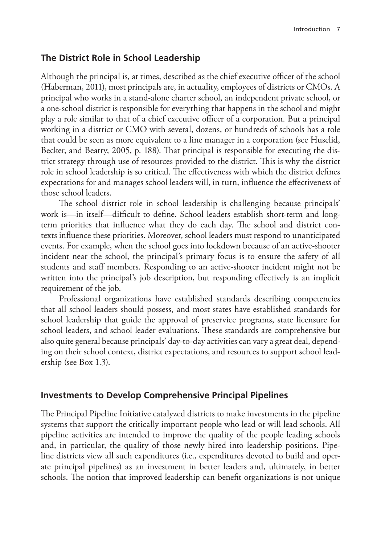# **The District Role in School Leadership**

Although the principal is, at times, described as the chief executive officer of the school (Haberman, 2011), most principals are, in actuality, employees of districts or CMOs. A principal who works in a stand-alone charter school, an independent private school, or a one-school district is responsible for everything that happens in the school and might play a role similar to that of a chief executive officer of a corporation. But a principal working in a district or CMO with several, dozens, or hundreds of schools has a role that could be seen as more equivalent to a line manager in a corporation (see Huselid, Becker, and Beatty, 2005, p. 188). That principal is responsible for executing the district strategy through use of resources provided to the district. This is why the district role in school leadership is so critical. The effectiveness with which the district defines expectations for and manages school leaders will, in turn, influence the effectiveness of those school leaders.

The school district role in school leadership is challenging because principals' work is—in itself—difficult to define. School leaders establish short-term and longterm priorities that influence what they do each day. The school and district contexts influence these priorities. Moreover, school leaders must respond to unanticipated events. For example, when the school goes into lockdown because of an active-shooter incident near the school, the principal's primary focus is to ensure the safety of all students and staff members. Responding to an active-shooter incident might not be written into the principal's job description, but responding effectively is an implicit requirement of the job.

Professional organizations have established standards describing competencies that all school leaders should possess, and most states have established standards for school leadership that guide the approval of preservice programs, state licensure for school leaders, and school leader evaluations. These standards are comprehensive but also quite general because principals' day-to-day activities can vary a great deal, depending on their school context, district expectations, and resources to support school leadership (see Box 1.3).

# **Investments to Develop Comprehensive Principal Pipelines**

The Principal Pipeline Initiative catalyzed districts to make investments in the pipeline systems that support the critically important people who lead or will lead schools. All pipeline activities are intended to improve the quality of the people leading schools and, in particular, the quality of those newly hired into leadership positions. Pipeline districts view all such expenditures (i.e., expenditures devoted to build and operate principal pipelines) as an investment in better leaders and, ultimately, in better schools. The notion that improved leadership can benefit organizations is not unique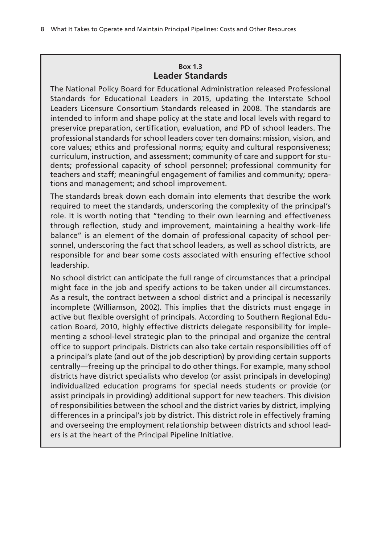#### **Box 1.3 Leader Standards**

The National Policy Board for Educational Administration released Professional Standards for Educational Leaders in 2015, updating the Interstate School Leaders Licensure Consortium Standards released in 2008. The standards are intended to inform and shape policy at the state and local levels with regard to preservice preparation, certification, evaluation, and PD of school leaders. The professional standards for school leaders cover ten domains: mission, vision, and core values; ethics and professional norms; equity and cultural responsiveness; curriculum, instruction, and assessment; community of care and support for students; professional capacity of school personnel; professional community for teachers and staff; meaningful engagement of families and community; operations and management; and school improvement.

The standards break down each domain into elements that describe the work required to meet the standards, underscoring the complexity of the principal's role. It is worth noting that "tending to their own learning and effectiveness through reflection, study and improvement, maintaining a healthy work–life balance" is an element of the domain of professional capacity of school personnel, underscoring the fact that school leaders, as well as school districts, are responsible for and bear some costs associated with ensuring effective school leadership.

No school district can anticipate the full range of circumstances that a principal might face in the job and specify actions to be taken under all circumstances. As a result, the contract between a school district and a principal is necessarily incomplete (Williamson, 2002). This implies that the districts must engage in active but flexible oversight of principals. According to Southern Regional Education Board, 2010, highly effective districts delegate responsibility for implementing a school-level strategic plan to the principal and organize the central office to support principals. Districts can also take certain responsibilities off of a principal's plate (and out of the job description) by providing certain supports centrally—freeing up the principal to do other things. For example, many school districts have district specialists who develop (or assist principals in developing) individualized education programs for special needs students or provide (or assist principals in providing) additional support for new teachers. This division of responsibilities between the school and the district varies by district, implying differences in a principal's job by district. This district role in effectively framing and overseeing the employment relationship between districts and school leaders is at the heart of the Principal Pipeline Initiative.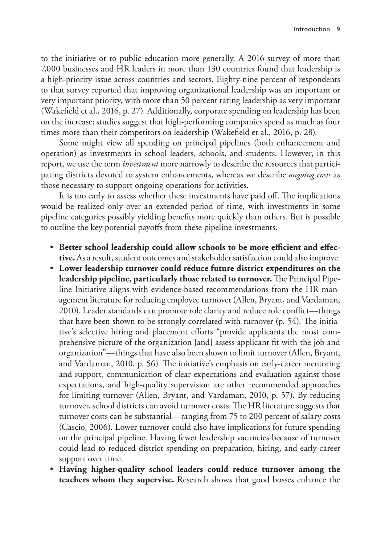to the initiative or to public education more generally. A 2016 survey of more than 7,000 businesses and HR leaders in more than 130 countries found that leadership is a high-priority issue across countries and sectors. Eighty-nine percent of respondents to that survey reported that improving organizational leadership was an important or very important priority, with more than 50 percent rating leadership as very important (Wakefield et al., 2016, p. 27). Additionally, corporate spending on leadership has been on the increase; studies suggest that high-performing companies spend as much as four times more than their competitors on leadership (Wakefield et al., 2016, p. 28).

Some might view all spending on principal pipelines (both enhancement and operation) as investments in school leaders, schools, and students. However, in this report, we use the term *investment* more narrowly to describe the resources that participating districts devoted to system enhancements, whereas we describe *ongoing costs* as those necessary to support ongoing operations for activities.

It is too early to assess whether these investments have paid off. The implications would be realized only over an extended period of time, with investments in some pipeline categories possibly yielding benefits more quickly than others. But is possible to outline the key potential payoffs from these pipeline investments:

- **Better school leadership could allow schools to be more efficient and effective.** As a result, student outcomes and stakeholder satisfaction could also improve.
- **Lower leadership turnover could reduce future district expenditures on the leadership pipeline, particularly those related to turnover.** The Principal Pipeline Initiative aligns with evidence-based recommendations from the HR management literature for reducing employee turnover (Allen, Bryant, and Vardaman, 2010). Leader standards can promote role clarity and reduce role conflict—things that have been shown to be strongly correlated with turnover (p. 54). The initiative's selective hiring and placement efforts "provide applicants the most comprehensive picture of the organization [and] assess applicant fit with the job and organization"—things that have also been shown to limit turnover (Allen, Bryant, and Vardaman, 2010, p. 56). The initiative's emphasis on early-career mentoring and support, communication of clear expectations and evaluation against those expectations, and high-quality supervision are other recommended approaches for limiting turnover (Allen, Bryant, and Vardaman, 2010, p. 57). By reducing turnover, school districts can avoid turnover costs. The HR literature suggests that turnover costs can be substantial—ranging from 75 to 200 percent of salary costs (Cascio, 2006). Lower turnover could also have implications for future spending on the principal pipeline. Having fewer leadership vacancies because of turnover could lead to reduced district spending on preparation, hiring, and early-career support over time.
- **Having higher-quality school leaders could reduce turnover among the teachers whom they supervise.** Research shows that good bosses enhance the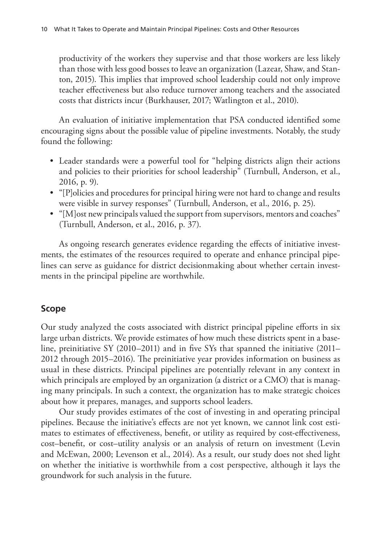productivity of the workers they supervise and that those workers are less likely than those with less good bosses to leave an organization (Lazear, Shaw, and Stanton, 2015). This implies that improved school leadership could not only improve teacher effectiveness but also reduce turnover among teachers and the associated costs that districts incur (Burkhauser, 2017; Watlington et al., 2010).

An evaluation of initiative implementation that PSA conducted identified some encouraging signs about the possible value of pipeline investments. Notably, the study found the following:

- Leader standards were a powerful tool for "helping districts align their actions and policies to their priorities for school leadership" (Turnbull, Anderson, et al., 2016, p. 9).
- "[P]olicies and procedures for principal hiring were not hard to change and results were visible in survey responses" (Turnbull, Anderson, et al., 2016, p. 25).
- "[M]ost new principals valued the support from supervisors, mentors and coaches" (Turnbull, Anderson, et al., 2016, p. 37).

As ongoing research generates evidence regarding the effects of initiative investments, the estimates of the resources required to operate and enhance principal pipelines can serve as guidance for district decisionmaking about whether certain investments in the principal pipeline are worthwhile.

# **Scope**

Our study analyzed the costs associated with district principal pipeline efforts in six large urban districts. We provide estimates of how much these districts spent in a baseline, preinitiative SY (2010–2011) and in five SYs that spanned the initiative (2011– 2012 through 2015–2016). The preinitiative year provides information on business as usual in these districts. Principal pipelines are potentially relevant in any context in which principals are employed by an organization (a district or a CMO) that is managing many principals. In such a context, the organization has to make strategic choices about how it prepares, manages, and supports school leaders.

Our study provides estimates of the cost of investing in and operating principal pipelines. Because the initiative's effects are not yet known, we cannot link cost estimates to estimates of effectiveness, benefit, or utility as required by cost-effectiveness, cost–benefit, or cost–utility analysis or an analysis of return on investment (Levin and McEwan, 2000; Levenson et al., 2014). As a result, our study does not shed light on whether the initiative is worthwhile from a cost perspective, although it lays the groundwork for such analysis in the future.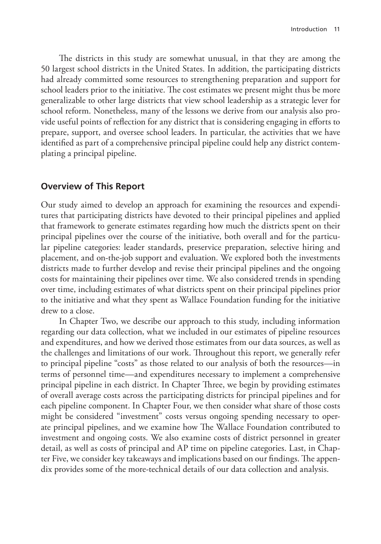The districts in this study are somewhat unusual, in that they are among the 50 largest school districts in the United States. In addition, the participating districts had already committed some resources to strengthening preparation and support for school leaders prior to the initiative. The cost estimates we present might thus be more generalizable to other large districts that view school leadership as a strategic lever for school reform. Nonetheless, many of the lessons we derive from our analysis also provide useful points of reflection for any district that is considering engaging in efforts to prepare, support, and oversee school leaders. In particular, the activities that we have identified as part of a comprehensive principal pipeline could help any district contemplating a principal pipeline.

### **Overview of This Report**

Our study aimed to develop an approach for examining the resources and expenditures that participating districts have devoted to their principal pipelines and applied that framework to generate estimates regarding how much the districts spent on their principal pipelines over the course of the initiative, both overall and for the particular pipeline categories: leader standards, preservice preparation, selective hiring and placement, and on-the-job support and evaluation. We explored both the investments districts made to further develop and revise their principal pipelines and the ongoing costs for maintaining their pipelines over time. We also considered trends in spending over time, including estimates of what districts spent on their principal pipelines prior to the initiative and what they spent as Wallace Foundation funding for the initiative drew to a close.

In Chapter Two, we describe our approach to this study, including information regarding our data collection, what we included in our estimates of pipeline resources and expenditures, and how we derived those estimates from our data sources, as well as the challenges and limitations of our work. Throughout this report, we generally refer to principal pipeline "costs" as those related to our analysis of both the resources—in terms of personnel time—and expenditures necessary to implement a comprehensive principal pipeline in each district. In Chapter Three, we begin by providing estimates of overall average costs across the participating districts for principal pipelines and for each pipeline component. In Chapter Four, we then consider what share of those costs might be considered "investment" costs versus ongoing spending necessary to operate principal pipelines, and we examine how The Wallace Foundation contributed to investment and ongoing costs. We also examine costs of district personnel in greater detail, as well as costs of principal and AP time on pipeline categories. Last, in Chapter Five, we consider key takeaways and implications based on our findings. The appendix provides some of the more-technical details of our data collection and analysis.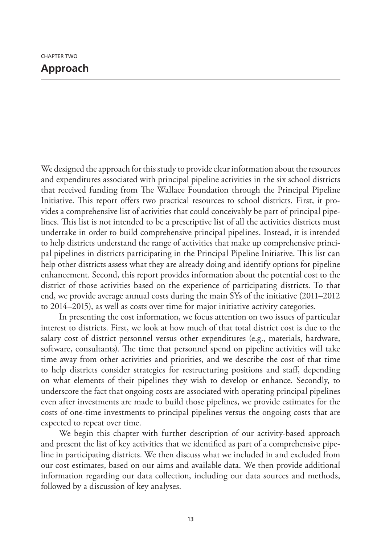We designed the approach for this study to provide clear information about the resources and expenditures associated with principal pipeline activities in the six school districts that received funding from The Wallace Foundation through the Principal Pipeline Initiative. This report offers two practical resources to school districts. First, it provides a comprehensive list of activities that could conceivably be part of principal pipelines. This list is not intended to be a prescriptive list of all the activities districts must undertake in order to build comprehensive principal pipelines. Instead, it is intended to help districts understand the range of activities that make up comprehensive principal pipelines in districts participating in the Principal Pipeline Initiative. This list can help other districts assess what they are already doing and identify options for pipeline enhancement. Second, this report provides information about the potential cost to the district of those activities based on the experience of participating districts. To that end, we provide average annual costs during the main SYs of the initiative (2011–2012 to 2014–2015), as well as costs over time for major initiative activity categories.

In presenting the cost information, we focus attention on two issues of particular interest to districts. First, we look at how much of that total district cost is due to the salary cost of district personnel versus other expenditures (e.g., materials, hardware, software, consultants). The time that personnel spend on pipeline activities will take time away from other activities and priorities, and we describe the cost of that time to help districts consider strategies for restructuring positions and staff, depending on what elements of their pipelines they wish to develop or enhance. Secondly, to underscore the fact that ongoing costs are associated with operating principal pipelines even after investments are made to build those pipelines, we provide estimates for the costs of one-time investments to principal pipelines versus the ongoing costs that are expected to repeat over time.

We begin this chapter with further description of our activity-based approach and present the list of key activities that we identified as part of a comprehensive pipeline in participating districts. We then discuss what we included in and excluded from our cost estimates, based on our aims and available data. We then provide additional information regarding our data collection, including our data sources and methods, followed by a discussion of key analyses.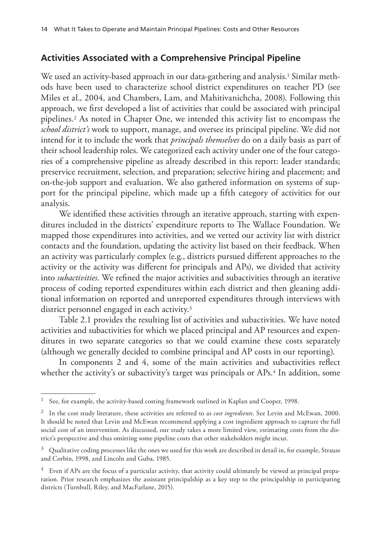# **Activities Associated with a Comprehensive Principal Pipeline**

We used an activity-based approach in our data-gathering and analysis.<sup>1</sup> Similar methods have been used to characterize school district expenditures on teacher PD (see Miles et al., 2004, and Chambers, Lam, and Mahitivanichcha, 2008). Following this approach, we first developed a list of activities that could be associated with principal pipelines.2 As noted in Chapter One, we intended this activity list to encompass the *school district's* work to support, manage, and oversee its principal pipeline. We did not intend for it to include the work that *principals themselves* do on a daily basis as part of their school leadership roles. We categorized each activity under one of the four categories of a comprehensive pipeline as already described in this report: leader standards; preservice recruitment, selection, and preparation; selective hiring and placement; and on-the-job support and evaluation. We also gathered information on systems of support for the principal pipeline, which made up a fifth category of activities for our analysis.

We identified these activities through an iterative approach, starting with expenditures included in the districts' expenditure reports to The Wallace Foundation. We mapped those expenditures into activities, and we vetted our activity list with district contacts and the foundation, updating the activity list based on their feedback. When an activity was particularly complex (e.g., districts pursued different approaches to the activity or the activity was different for principals and APs), we divided that activity into *subactivities*. We refined the major activities and subactivities through an iterative process of coding reported expenditures within each district and then gleaning additional information on reported and unreported expenditures through interviews with district personnel engaged in each activity.3

Table 2.1 provides the resulting list of activities and subactivities. We have noted activities and subactivities for which we placed principal and AP resources and expenditures in two separate categories so that we could examine these costs separately (although we generally decided to combine principal and AP costs in our reporting).

In components 2 and 4, some of the main activities and subactivities reflect whether the activity's or subactivity's target was principals or APs.<sup>4</sup> In addition, some

 $^{\rm 1}$  See, for example, the activity-based costing framework outlined in Kaplan and Cooper, 1998.

<sup>2</sup> In the cost study literature, these activities are referred to as *cost ingredients*. See Levin and McEwan, 2000. It should be noted that Levin and McEwan recommend applying a cost ingredient approach to capture the full social cost of an intervention. As discussed, our study takes a more limited view, estimating costs from the district's perspective and thus omitting some pipeline costs that other stakeholders might incur.

 $3$  Qualitative coding processes like the ones we used for this work are described in detail in, for example, Strauss and Corbin, 1998, and Lincoln and Guba, 1985.

 $4$  Even if APs are the focus of a particular activity, that activity could ultimately be viewed as principal preparation. Prior research emphasizes the assistant principalship as a key step to the principalship in participating districts (Turnbull, Riley, and MacFarlane, 2015).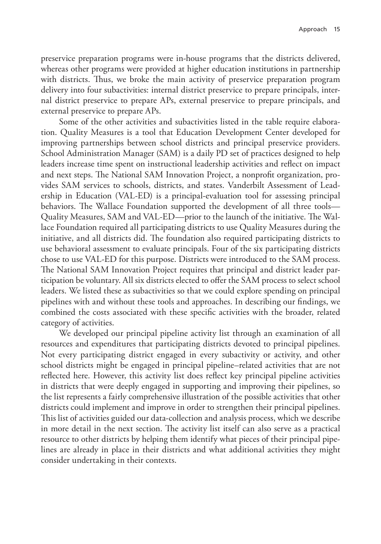preservice preparation programs were in-house programs that the districts delivered, whereas other programs were provided at higher education institutions in partnership with districts. Thus, we broke the main activity of preservice preparation program delivery into four subactivities: internal district preservice to prepare principals, internal district preservice to prepare APs, external preservice to prepare principals, and external preservice to prepare APs.

Some of the other activities and subactivities listed in the table require elaboration. Quality Measures is a tool that Education Development Center developed for improving partnerships between school districts and principal preservice providers. School Administration Manager (SAM) is a daily PD set of practices designed to help leaders increase time spent on instructional leadership activities and reflect on impact and next steps. The National SAM Innovation Project, a nonprofit organization, provides SAM services to schools, districts, and states. Vanderbilt Assessment of Leadership in Education (VAL-ED) is a principal-evaluation tool for assessing principal behaviors. The Wallace Foundation supported the development of all three tools— Quality Measures, SAM and VAL-ED—prior to the launch of the initiative. The Wallace Foundation required all participating districts to use Quality Measures during the initiative, and all districts did. The foundation also required participating districts to use behavioral assessment to evaluate principals. Four of the six participating districts chose to use VAL-ED for this purpose. Districts were introduced to the SAM process. The National SAM Innovation Project requires that principal and district leader participation be voluntary. All six districts elected to offer the SAM process to select school leaders. We listed these as subactivities so that we could explore spending on principal pipelines with and without these tools and approaches. In describing our findings, we combined the costs associated with these specific activities with the broader, related category of activities.

We developed our principal pipeline activity list through an examination of all resources and expenditures that participating districts devoted to principal pipelines. Not every participating district engaged in every subactivity or activity, and other school districts might be engaged in principal pipeline–related activities that are not reflected here. However, this activity list does reflect key principal pipeline activities in districts that were deeply engaged in supporting and improving their pipelines, so the list represents a fairly comprehensive illustration of the possible activities that other districts could implement and improve in order to strengthen their principal pipelines. This list of activities guided our data-collection and analysis process, which we describe in more detail in the next section. The activity list itself can also serve as a practical resource to other districts by helping them identify what pieces of their principal pipelines are already in place in their districts and what additional activities they might consider undertaking in their contexts.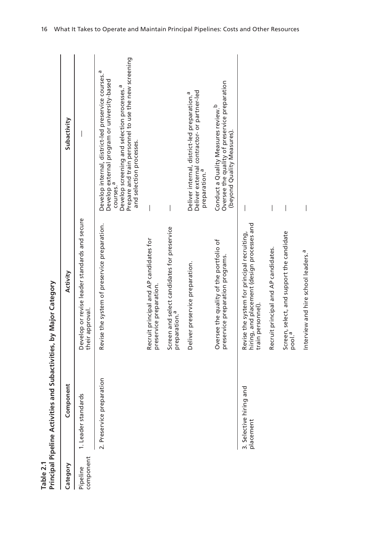| Table 2.1             | Principal Pipeline Activities and Subactivities, by Major Category |                                                                                                                 |                                                                                                                                                                                                                                                                                 |
|-----------------------|--------------------------------------------------------------------|-----------------------------------------------------------------------------------------------------------------|---------------------------------------------------------------------------------------------------------------------------------------------------------------------------------------------------------------------------------------------------------------------------------|
| Category              | Component                                                          | Activity                                                                                                        | Subactivity                                                                                                                                                                                                                                                                     |
| component<br>Pipeline | 1. Leader standards                                                | Develop or revise leader standards and secure<br>their approval.                                                |                                                                                                                                                                                                                                                                                 |
|                       | 2. Preservice preparation                                          | Revise the system of preservice preparation.                                                                    | Prepare and train personnel to use the new screening<br>Ф<br>Develop internal, district-led preservice courses.<br>Develop external program or university-based<br>courses. <sup>a</sup><br>Develop screening and selection processes. <sup>a</sup><br>and selection processes. |
|                       |                                                                    | Recruit principal and AP candidates for<br>preservice preparation.                                              |                                                                                                                                                                                                                                                                                 |
|                       |                                                                    | Screen and select candidates for preservice<br>preparation. <sup>a</sup>                                        |                                                                                                                                                                                                                                                                                 |
|                       |                                                                    | Deliver preservice preparation.                                                                                 | Deliver external contractor- or partner-led<br>Deliver internal, district-led preparation. <sup>a</sup><br>preparation. <sup>a</sup>                                                                                                                                            |
|                       |                                                                    | Oversee the quality of the portfolio of<br>preservice preparation programs.                                     | Oversee the quality of preservice preparation<br>Conduct a Quality Measures review. <sup>b</sup><br>(beyond Quality Measures).                                                                                                                                                  |
|                       | ᅙ<br>3. Selective hiring an<br>placement                           | hiring, and placement (design processes and<br>Revise the system for principal recruiting,<br>train personnel). |                                                                                                                                                                                                                                                                                 |
|                       |                                                                    | Recruit principal and AP candidates.                                                                            | $\overline{\phantom{a}}$                                                                                                                                                                                                                                                        |
|                       |                                                                    | Screen, select, and support the candidate<br>pool. <sup>a</sup>                                                 | I                                                                                                                                                                                                                                                                               |

Interview and hire school leaders.a —

Interview and hire school leaders.<sup>a</sup>

 $\bigg|$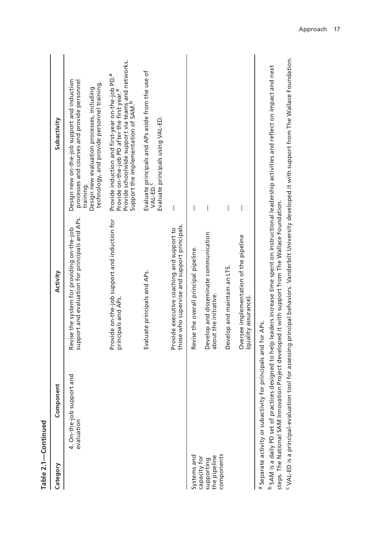|                                            | Table 2.1-Continued                                            |                                                                                              |                                                                                                                                                                                                                                   |
|--------------------------------------------|----------------------------------------------------------------|----------------------------------------------------------------------------------------------|-----------------------------------------------------------------------------------------------------------------------------------------------------------------------------------------------------------------------------------|
| Category                                   | Component                                                      | Activity                                                                                     | Subactivity                                                                                                                                                                                                                       |
|                                            | 4. On-the-job support and<br>evaluation                        | support and evaluation for principals and APs.<br>Revise the system for providing on-the-job | Design new on-the-job support and induction<br>processes and courses and provide personnel<br>technology, and provide personnel training.<br>Design new evaluation processes, including<br>training.                              |
|                                            |                                                                | Provide on-the-job support and induction for<br>principals and APs.                          | Provide schoolwide support via teams and networks.<br>Support the implementation of SAM. <sup>b</sup><br>Provide induction and first-year on-the-job PD. <sup>a</sup><br>Provide on-the-job PD after the first year. <sup>a</sup> |
|                                            |                                                                | Evaluate principals and APs.                                                                 | Evaluate principals and APs aside from the use of<br>Evaluate principals using VAL-ED.<br>VAL-ED.                                                                                                                                 |
|                                            |                                                                | those who supervise and support principals.<br>Provide executive coaching and support to     |                                                                                                                                                                                                                                   |
| Systems and                                |                                                                | Revise the overall principal pipeline.                                                       |                                                                                                                                                                                                                                   |
| the pipeline<br>capacity for<br>supporting |                                                                | Develop and disseminate communication<br>about the initiative.                               |                                                                                                                                                                                                                                   |
| components                                 |                                                                | Develop and maintain an LTS.                                                                 |                                                                                                                                                                                                                                   |
|                                            |                                                                | Oversee implementation of the pipeline<br>(quality assurance).                               |                                                                                                                                                                                                                                   |
|                                            | a Separate activity or subactivity for principals and for APs. | the National SAM Inpovation Project developed it with support from The Mallace Equipmention  | <sup>b</sup> SAM is a daily PD set of practices designed to help leaders increase time spent on instructional leadership activities and reflect on impact and next                                                                |

<sup>C</sup>VAL-ED is a principal-evaluation tool for assessing principal behaviors. Vanderbilt University developed it with support from The Wallace Foundation. c VAL-ED is a principal-evaluation tool for assessing principal behaviors. Vanderbilt University developed it with support from The Wallace Foundation. steps. The National SAM Innovation Project developed to those incommens of the National SAM Incommentation. steps. The National SAM Innovation Project developed it with support from The Wallace Foundation.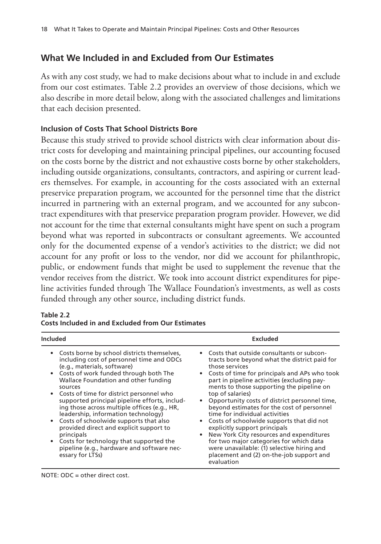# **What We Included in and Excluded from Our Estimates**

As with any cost study, we had to make decisions about what to include in and exclude from our cost estimates. Table 2.2 provides an overview of those decisions, which we also describe in more detail below, along with the associated challenges and limitations that each decision presented.

### **Inclusion of Costs That School Districts Bore**

Because this study strived to provide school districts with clear information about district costs for developing and maintaining principal pipelines, our accounting focused on the costs borne by the district and not exhaustive costs borne by other stakeholders, including outside organizations, consultants, contractors, and aspiring or current leaders themselves. For example, in accounting for the costs associated with an external preservice preparation program, we accounted for the personnel time that the district incurred in partnering with an external program, and we accounted for any subcontract expenditures with that preservice preparation program provider. However, we did not account for the time that external consultants might have spent on such a program beyond what was reported in subcontracts or consultant agreements. We accounted only for the documented expense of a vendor's activities to the district; we did not account for any profit or loss to the vendor, nor did we account for philanthropic, public, or endowment funds that might be used to supplement the revenue that the vendor receives from the district. We took into account district expenditures for pipeline activities funded through The Wallace Foundation's investments, as well as costs funded through any other source, including district funds.

| <b>Included</b>                               | <b>Excluded</b>                                 |
|-----------------------------------------------|-------------------------------------------------|
| Costs borne by school districts themselves,   | • Costs that outside consultants or subcon-     |
| $\bullet$                                     | tracts bore beyond what the district paid for   |
| including cost of personnel time and ODCs     | those services                                  |
| (e.g., materials, software)                   | Costs of time for principals and APs who took   |
| Costs of work funded through both The         | part in pipeline activities (excluding pay-     |
| Wallace Foundation and other funding          | ments to those supporting the pipeline on       |
| sources                                       | top of salaries)                                |
| Costs of time for district personnel who      | • Opportunity costs of district personnel time, |
| supported principal pipeline efforts, includ- | beyond estimates for the cost of personnel      |
| ing those across multiple offices (e.g., HR,  | time for individual activities                  |
| leadership, information technology)           | Costs of schoolwide supports that did not       |
| Costs of schoolwide supports that also        | explicitly support principals                   |
| provided direct and explicit support to       | New York City resources and expenditures        |
| principals                                    | for two major categories for which data         |
| Costs for technology that supported the       | were unavailable: (1) selective hiring and      |
| pipeline (e.g., hardware and software nec-    | placement and (2) on-the-job support and        |
| essary for LTSs)                              | evaluation                                      |

#### **Table 2.2**

| <b>Costs Included in and Excluded from Our Estimates</b> |
|----------------------------------------------------------|
|----------------------------------------------------------|

NOTE: ODC = other direct cost.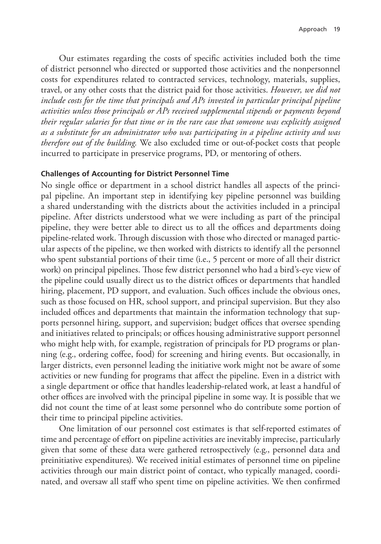Our estimates regarding the costs of specific activities included both the time of district personnel who directed or supported those activities and the nonpersonnel costs for expenditures related to contracted services, technology, materials, supplies, travel, or any other costs that the district paid for those activities. *However, we did not include costs for the time that principals and APs invested in particular principal pipeline activities unless those principals or APs received supplemental stipends or payments beyond their regular salaries for that time or in the rare case that someone was explicitly assigned as a substitute for an administrator who was participating in a pipeline activity and was therefore out of the building.* We also excluded time or out-of-pocket costs that people incurred to participate in preservice programs, PD, or mentoring of others.

#### **Challenges of Accounting for District Personnel Time**

No single office or department in a school district handles all aspects of the principal pipeline. An important step in identifying key pipeline personnel was building a shared understanding with the districts about the activities included in a principal pipeline. After districts understood what we were including as part of the principal pipeline, they were better able to direct us to all the offices and departments doing pipeline-related work. Through discussion with those who directed or managed particular aspects of the pipeline, we then worked with districts to identify all the personnel who spent substantial portions of their time (i.e., 5 percent or more of all their district work) on principal pipelines. Those few district personnel who had a bird's-eye view of the pipeline could usually direct us to the district offices or departments that handled hiring, placement, PD support, and evaluation. Such offices include the obvious ones, such as those focused on HR, school support, and principal supervision. But they also included offices and departments that maintain the information technology that supports personnel hiring, support, and supervision; budget offices that oversee spending and initiatives related to principals; or offices housing administrative support personnel who might help with, for example, registration of principals for PD programs or planning (e.g., ordering coffee, food) for screening and hiring events. But occasionally, in larger districts, even personnel leading the initiative work might not be aware of some activities or new funding for programs that affect the pipeline. Even in a district with a single department or office that handles leadership-related work, at least a handful of other offices are involved with the principal pipeline in some way. It is possible that we did not count the time of at least some personnel who do contribute some portion of their time to principal pipeline activities.

One limitation of our personnel cost estimates is that self-reported estimates of time and percentage of effort on pipeline activities are inevitably imprecise, particularly given that some of these data were gathered retrospectively (e.g., personnel data and preinitiative expenditures). We received initial estimates of personnel time on pipeline activities through our main district point of contact, who typically managed, coordinated, and oversaw all staff who spent time on pipeline activities. We then confirmed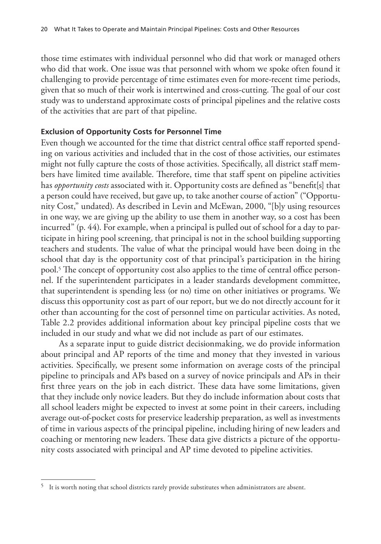those time estimates with individual personnel who did that work or managed others who did that work. One issue was that personnel with whom we spoke often found it challenging to provide percentage of time estimates even for more-recent time periods, given that so much of their work is intertwined and cross-cutting. The goal of our cost study was to understand approximate costs of principal pipelines and the relative costs of the activities that are part of that pipeline.

### **Exclusion of Opportunity Costs for Personnel Time**

Even though we accounted for the time that district central office staff reported spending on various activities and included that in the cost of those activities, our estimates might not fully capture the costs of those activities. Specifically, all district staff members have limited time available. Therefore, time that staff spent on pipeline activities has *opportunity costs* associated with it. Opportunity costs are defined as "benefit[s] that a person could have received, but gave up, to take another course of action" ("Opportunity Cost," undated). As described in Levin and McEwan, 2000, "[b]y using resources in one way, we are giving up the ability to use them in another way, so a cost has been incurred" (p. 44). For example, when a principal is pulled out of school for a day to participate in hiring pool screening, that principal is not in the school building supporting teachers and students. The value of what the principal would have been doing in the school that day is the opportunity cost of that principal's participation in the hiring pool.5 The concept of opportunity cost also applies to the time of central office personnel. If the superintendent participates in a leader standards development committee, that superintendent is spending less (or no) time on other initiatives or programs. We discuss this opportunity cost as part of our report, but we do not directly account for it other than accounting for the cost of personnel time on particular activities. As noted, Table 2.2 provides additional information about key principal pipeline costs that we included in our study and what we did not include as part of our estimates.

As a separate input to guide district decisionmaking, we do provide information about principal and AP reports of the time and money that they invested in various activities. Specifically, we present some information on average costs of the principal pipeline to principals and APs based on a survey of novice principals and APs in their first three years on the job in each district. These data have some limitations, given that they include only novice leaders. But they do include information about costs that all school leaders might be expected to invest at some point in their careers, including average out-of-pocket costs for preservice leadership preparation, as well as investments of time in various aspects of the principal pipeline, including hiring of new leaders and coaching or mentoring new leaders. These data give districts a picture of the opportunity costs associated with principal and AP time devoted to pipeline activities.

<sup>5</sup> It is worth noting that school districts rarely provide substitutes when administrators are absent.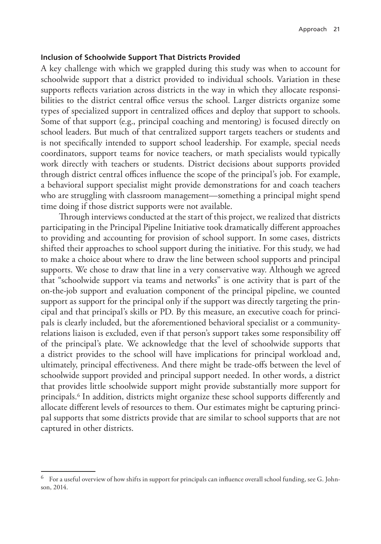#### **Inclusion of Schoolwide Support That Districts Provided**

A key challenge with which we grappled during this study was when to account for schoolwide support that a district provided to individual schools. Variation in these supports reflects variation across districts in the way in which they allocate responsibilities to the district central office versus the school. Larger districts organize some types of specialized support in centralized offices and deploy that support to schools. Some of that support (e.g., principal coaching and mentoring) is focused directly on school leaders. But much of that centralized support targets teachers or students and is not specifically intended to support school leadership. For example, special needs coordinators, support teams for novice teachers, or math specialists would typically work directly with teachers or students. District decisions about supports provided through district central offices influence the scope of the principal's job. For example, a behavioral support specialist might provide demonstrations for and coach teachers who are struggling with classroom management—something a principal might spend time doing if those district supports were not available.

Through interviews conducted at the start of this project, we realized that districts participating in the Principal Pipeline Initiative took dramatically different approaches to providing and accounting for provision of school support. In some cases, districts shifted their approaches to school support during the initiative. For this study, we had to make a choice about where to draw the line between school supports and principal supports. We chose to draw that line in a very conservative way. Although we agreed that "schoolwide support via teams and networks" is one activity that is part of the on-the-job support and evaluation component of the principal pipeline, we counted support as support for the principal only if the support was directly targeting the principal and that principal's skills or PD. By this measure, an executive coach for principals is clearly included, but the aforementioned behavioral specialist or a communityrelations liaison is excluded, even if that person's support takes some responsibility off of the principal's plate. We acknowledge that the level of schoolwide supports that a district provides to the school will have implications for principal workload and, ultimately, principal effectiveness. And there might be trade-offs between the level of schoolwide support provided and principal support needed. In other words, a district that provides little schoolwide support might provide substantially more support for principals.6 In addition, districts might organize these school supports differently and allocate different levels of resources to them. Our estimates might be capturing principal supports that some districts provide that are similar to school supports that are not captured in other districts.

 $^6$  For a useful overview of how shifts in support for principals can influence overall school funding, see G. Johnson, 2014.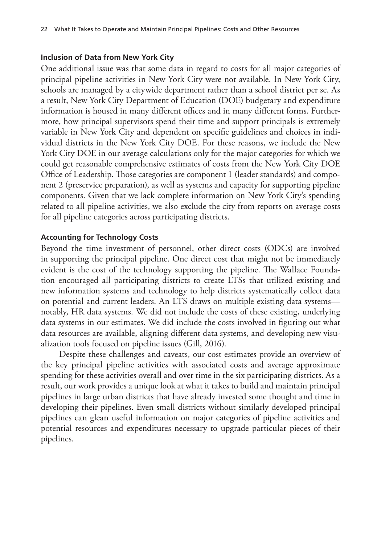### **Inclusion of Data from New York City**

One additional issue was that some data in regard to costs for all major categories of principal pipeline activities in New York City were not available. In New York City, schools are managed by a citywide department rather than a school district per se. As a result, New York City Department of Education (DOE) budgetary and expenditure information is housed in many different offices and in many different forms. Furthermore, how principal supervisors spend their time and support principals is extremely variable in New York City and dependent on specific guidelines and choices in individual districts in the New York City DOE. For these reasons, we include the New York City DOE in our average calculations only for the major categories for which we could get reasonable comprehensive estimates of costs from the New York City DOE Office of Leadership. Those categories are component 1 (leader standards) and component 2 (preservice preparation), as well as systems and capacity for supporting pipeline components. Given that we lack complete information on New York City's spending related to all pipeline activities, we also exclude the city from reports on average costs for all pipeline categories across participating districts.

### **Accounting for Technology Costs**

Beyond the time investment of personnel, other direct costs (ODCs) are involved in supporting the principal pipeline. One direct cost that might not be immediately evident is the cost of the technology supporting the pipeline. The Wallace Foundation encouraged all participating districts to create LTSs that utilized existing and new information systems and technology to help districts systematically collect data on potential and current leaders. An LTS draws on multiple existing data systems notably, HR data systems. We did not include the costs of these existing, underlying data systems in our estimates. We did include the costs involved in figuring out what data resources are available, aligning different data systems, and developing new visualization tools focused on pipeline issues (Gill, 2016).

Despite these challenges and caveats, our cost estimates provide an overview of the key principal pipeline activities with associated costs and average approximate spending for these activities overall and over time in the six participating districts. As a result, our work provides a unique look at what it takes to build and maintain principal pipelines in large urban districts that have already invested some thought and time in developing their pipelines. Even small districts without similarly developed principal pipelines can glean useful information on major categories of pipeline activities and potential resources and expenditures necessary to upgrade particular pieces of their pipelines.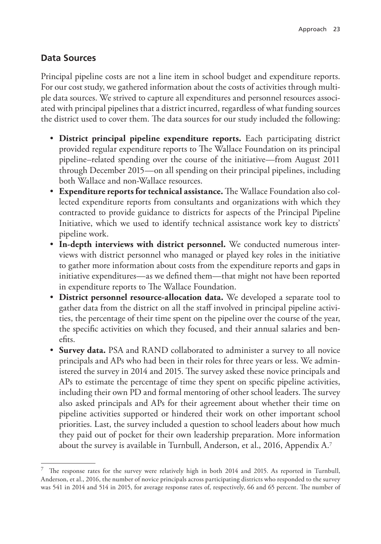# **Data Sources**

Principal pipeline costs are not a line item in school budget and expenditure reports. For our cost study, we gathered information about the costs of activities through multiple data sources. We strived to capture all expenditures and personnel resources associated with principal pipelines that a district incurred, regardless of what funding sources the district used to cover them. The data sources for our study included the following:

- **District principal pipeline expenditure reports.** Each participating district provided regular expenditure reports to The Wallace Foundation on its principal pipeline–related spending over the course of the initiative—from August 2011 through December 2015—on all spending on their principal pipelines, including both Wallace and non-Wallace resources.
- **Expenditure reports for technical assistance.** The Wallace Foundation also collected expenditure reports from consultants and organizations with which they contracted to provide guidance to districts for aspects of the Principal Pipeline Initiative, which we used to identify technical assistance work key to districts' pipeline work.
- **In-depth interviews with district personnel.** We conducted numerous interviews with district personnel who managed or played key roles in the initiative to gather more information about costs from the expenditure reports and gaps in initiative expenditures—as we defined them—that might not have been reported in expenditure reports to The Wallace Foundation.
- **District personnel resource-allocation data.** We developed a separate tool to gather data from the district on all the staff involved in principal pipeline activities, the percentage of their time spent on the pipeline over the course of the year, the specific activities on which they focused, and their annual salaries and benefits.
- **Survey data.** PSA and RAND collaborated to administer a survey to all novice principals and APs who had been in their roles for three years or less. We administered the survey in 2014 and 2015. The survey asked these novice principals and APs to estimate the percentage of time they spent on specific pipeline activities, including their own PD and formal mentoring of other school leaders. The survey also asked principals and APs for their agreement about whether their time on pipeline activities supported or hindered their work on other important school priorities. Last, the survey included a question to school leaders about how much they paid out of pocket for their own leadership preparation. More information about the survey is available in Turnbull, Anderson, et al., 2016, Appendix A.7

<sup>7</sup> The response rates for the survey were relatively high in both 2014 and 2015. As reported in Turnbull, Anderson, et al., 2016, the number of novice principals across participating districts who responded to the survey was 541 in 2014 and 514 in 2015, for average response rates of, respectively, 66 and 65 percent. The number of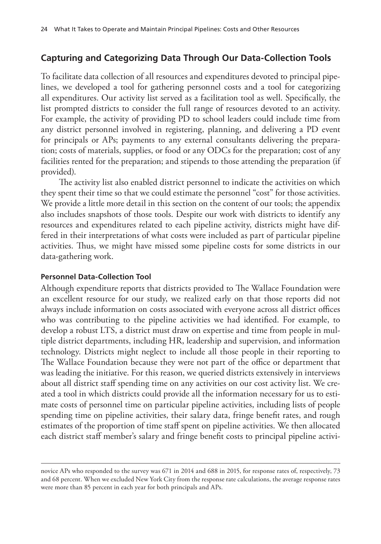# **Capturing and Categorizing Data Through Our Data-Collection Tools**

To facilitate data collection of all resources and expenditures devoted to principal pipelines, we developed a tool for gathering personnel costs and a tool for categorizing all expenditures. Our activity list served as a facilitation tool as well. Specifically, the list prompted districts to consider the full range of resources devoted to an activity. For example, the activity of providing PD to school leaders could include time from any district personnel involved in registering, planning, and delivering a PD event for principals or APs; payments to any external consultants delivering the preparation; costs of materials, supplies, or food or any ODCs for the preparation; cost of any facilities rented for the preparation; and stipends to those attending the preparation (if provided).

The activity list also enabled district personnel to indicate the activities on which they spent their time so that we could estimate the personnel "cost" for those activities. We provide a little more detail in this section on the content of our tools; the appendix also includes snapshots of those tools. Despite our work with districts to identify any resources and expenditures related to each pipeline activity, districts might have differed in their interpretations of what costs were included as part of particular pipeline activities. Thus, we might have missed some pipeline costs for some districts in our data-gathering work.

#### **Personnel Data-Collection Tool**

Although expenditure reports that districts provided to The Wallace Foundation were an excellent resource for our study, we realized early on that those reports did not always include information on costs associated with everyone across all district offices who was contributing to the pipeline activities we had identified. For example, to develop a robust LTS, a district must draw on expertise and time from people in multiple district departments, including HR, leadership and supervision, and information technology. Districts might neglect to include all those people in their reporting to The Wallace Foundation because they were not part of the office or department that was leading the initiative. For this reason, we queried districts extensively in interviews about all district staff spending time on any activities on our cost activity list. We created a tool in which districts could provide all the information necessary for us to estimate costs of personnel time on particular pipeline activities, including lists of people spending time on pipeline activities, their salary data, fringe benefit rates, and rough estimates of the proportion of time staff spent on pipeline activities. We then allocated each district staff member's salary and fringe benefit costs to principal pipeline activi-

novice APs who responded to the survey was 671 in 2014 and 688 in 2015, for response rates of, respectively, 73 and 68 percent. When we excluded New York City from the response rate calculations, the average response rates were more than 85 percent in each year for both principals and APs.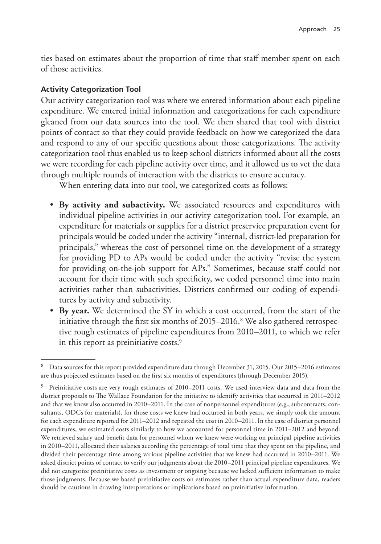ties based on estimates about the proportion of time that staff member spent on each of those activities.

### **Activity Categorization Tool**

Our activity categorization tool was where we entered information about each pipeline expenditure. We entered initial information and categorizations for each expenditure gleaned from our data sources into the tool. We then shared that tool with district points of contact so that they could provide feedback on how we categorized the data and respond to any of our specific questions about those categorizations. The activity categorization tool thus enabled us to keep school districts informed about all the costs we were recording for each pipeline activity over time, and it allowed us to vet the data through multiple rounds of interaction with the districts to ensure accuracy.

When entering data into our tool, we categorized costs as follows:

- **By activity and subactivity.** We associated resources and expenditures with individual pipeline activities in our activity categorization tool. For example, an expenditure for materials or supplies for a district preservice preparation event for principals would be coded under the activity "internal, district-led preparation for principals," whereas the cost of personnel time on the development of a strategy for providing PD to APs would be coded under the activity "revise the system for providing on-the-job support for APs." Sometimes, because staff could not account for their time with such specificity, we coded personnel time into main activities rather than subactivities. Districts confirmed our coding of expenditures by activity and subactivity.
- **By year.** We determined the SY in which a cost occurred, from the start of the initiative through the first six months of 2015–2016.8 We also gathered retrospective rough estimates of pipeline expenditures from 2010–2011, to which we refer in this report as preinitiative costs.<sup>9</sup>

<sup>8</sup> Data sources for this report provided expenditure data through December 31, 2015. Our 2015–2016 estimates are thus projected estimates based on the first six months of expenditures (through December 2015).

 $9$  Preinitiative costs are very rough estimates of 2010–2011 costs. We used interview data and data from the district proposals to The Wallace Foundation for the initiative to identify activities that occurred in 2011–2012 and that we know also occurred in 2010–2011. In the case of nonpersonnel expenditures (e.g., subcontracts, consultants, ODCs for materials), for those costs we knew had occurred in both years, we simply took the amount for each expenditure reported for 2011–2012 and repeated the cost in 2010–2011. In the case of district personnel expenditures, we estimated costs similarly to how we accounted for personnel time in 2011–2012 and beyond: We retrieved salary and benefit data for personnel whom we knew were working on principal pipeline activities in 2010–2011, allocated their salaries according the percentage of total time that they spent on the pipeline, and divided their percentage time among various pipeline activities that we knew had occurred in 2010–2011. We asked district points of contact to verify our judgments about the 2010–2011 principal pipeline expenditures. We did not categorize preinitiative costs as investment or ongoing because we lacked sufficient information to make those judgments. Because we based preinitiative costs on estimates rather than actual expenditure data, readers should be cautious in drawing interpretations or implications based on preinitiative information.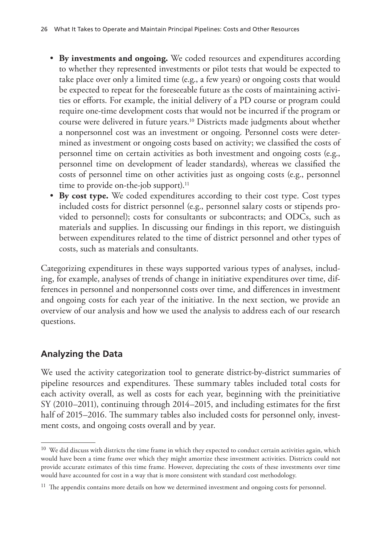- **By investments and ongoing.** We coded resources and expenditures according to whether they represented investments or pilot tests that would be expected to take place over only a limited time (e.g., a few years) or ongoing costs that would be expected to repeat for the foreseeable future as the costs of maintaining activities or efforts. For example, the initial delivery of a PD course or program could require one-time development costs that would not be incurred if the program or course were delivered in future years.10 Districts made judgments about whether a nonpersonnel cost was an investment or ongoing. Personnel costs were determined as investment or ongoing costs based on activity; we classified the costs of personnel time on certain activities as both investment and ongoing costs (e.g., personnel time on development of leader standards), whereas we classified the costs of personnel time on other activities just as ongoing costs (e.g., personnel time to provide on-the-job support).<sup>11</sup>
- **By cost type.** We coded expenditures according to their cost type. Cost types included costs for district personnel (e.g., personnel salary costs or stipends provided to personnel); costs for consultants or subcontracts; and ODCs, such as materials and supplies. In discussing our findings in this report, we distinguish between expenditures related to the time of district personnel and other types of costs, such as materials and consultants.

Categorizing expenditures in these ways supported various types of analyses, including, for example, analyses of trends of change in initiative expenditures over time, differences in personnel and nonpersonnel costs over time, and differences in investment and ongoing costs for each year of the initiative. In the next section, we provide an overview of our analysis and how we used the analysis to address each of our research questions.

# **Analyzing the Data**

We used the activity categorization tool to generate district-by-district summaries of pipeline resources and expenditures. These summary tables included total costs for each activity overall, as well as costs for each year, beginning with the preinitiative SY (2010–2011), continuing through 2014–2015, and including estimates for the first half of 2015–2016. The summary tables also included costs for personnel only, investment costs, and ongoing costs overall and by year.

<sup>&</sup>lt;sup>10</sup> We did discuss with districts the time frame in which they expected to conduct certain activities again, which would have been a time frame over which they might amortize these investment activities. Districts could not provide accurate estimates of this time frame. However, depreciating the costs of these investments over time would have accounted for cost in a way that is more consistent with standard cost methodology.

 $11$  The appendix contains more details on how we determined investment and ongoing costs for personnel.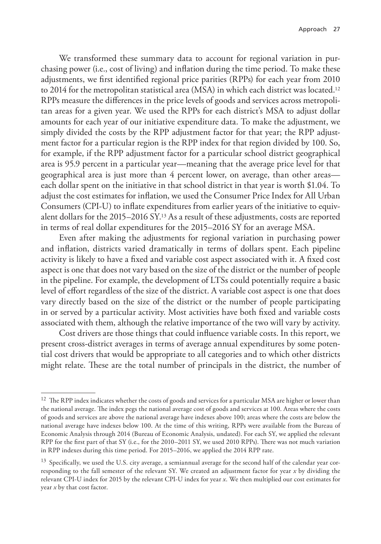We transformed these summary data to account for regional variation in purchasing power (i.e., cost of living) and inflation during the time period. To make these adjustments, we first identified regional price parities (RPPs) for each year from 2010 to 2014 for the metropolitan statistical area (MSA) in which each district was located.12 RPPs measure the differences in the price levels of goods and services across metropolitan areas for a given year. We used the RPPs for each district's MSA to adjust dollar amounts for each year of our initiative expenditure data. To make the adjustment, we simply divided the costs by the RPP adjustment factor for that year; the RPP adjustment factor for a particular region is the RPP index for that region divided by 100. So, for example, if the RPP adjustment factor for a particular school district geographical area is 95.9 percent in a particular year—meaning that the average price level for that geographical area is just more than 4 percent lower, on average, than other areas each dollar spent on the initiative in that school district in that year is worth \$1.04. To adjust the cost estimates for inflation, we used the Consumer Price Index for All Urban Consumers (CPI-U) to inflate expenditures from earlier years of the initiative to equivalent dollars for the 2015–2016 SY.13 As a result of these adjustments, costs are reported in terms of real dollar expenditures for the 2015–2016 SY for an average MSA.

Even after making the adjustments for regional variation in purchasing power and inflation, districts varied dramatically in terms of dollars spent. Each pipeline activity is likely to have a fixed and variable cost aspect associated with it. A fixed cost aspect is one that does not vary based on the size of the district or the number of people in the pipeline. For example, the development of LTSs could potentially require a basic level of effort regardless of the size of the district. A variable cost aspect is one that does vary directly based on the size of the district or the number of people participating in or served by a particular activity. Most activities have both fixed and variable costs associated with them, although the relative importance of the two will vary by activity.

Cost drivers are those things that could influence variable costs. In this report, we present cross-district averages in terms of average annual expenditures by some potential cost drivers that would be appropriate to all categories and to which other districts might relate. These are the total number of principals in the district, the number of

<sup>&</sup>lt;sup>12</sup> The RPP index indicates whether the costs of goods and services for a particular MSA are higher or lower than the national average. The index pegs the national average cost of goods and services at 100. Areas where the costs of goods and services are above the national average have indexes above 100; areas where the costs are below the national average have indexes below 100. At the time of this writing, RPPs were available from the Bureau of Economic Analysis through 2014 (Bureau of Economic Analysis, undated). For each SY, we applied the relevant RPP for the first part of that SY (i.e., for the 2010–2011 SY, we used 2010 RPPs). There was not much variation in RPP indexes during this time period. For 2015–2016, we applied the 2014 RPP rate.

<sup>&</sup>lt;sup>13</sup> Specifically, we used the U.S. city average, a semiannual average for the second half of the calendar year corresponding to the fall semester of the relevant SY. We created an adjustment factor for year *x* by dividing the relevant CPI-U index for 2015 by the relevant CPI-U index for year *x*. We then multiplied our cost estimates for year *x* by that cost factor.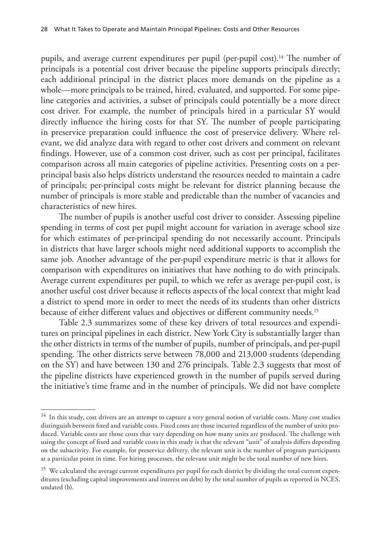pupils, and average current expenditures per pupil (per-pupil cost).<sup>14</sup> The number of principals is a potential cost driver because the pipeline supports principals directly; each additional principal in the district places more demands on the pipeline as a whole—more principals to be trained, hired, evaluated, and supported. For some pipeline categories and activities, a subset of principals could potentially be a more direct cost driver. For example, the number of principals hired in a particular SY would directly influence the hiring costs for that SY. The number of people participating in preservice preparation could influence the cost of preservice delivery. Where relevant, we did analyze data with regard to other cost drivers and comment on relevant findings. However, use of a common cost driver, such as cost per principal, facilitates comparison across all main categories of pipeline activities. Presenting costs on a perprincipal basis also helps districts understand the resources needed to maintain a cadre of principals; per-principal costs might be relevant for district planning because the number of principals is more stable and predictable than the number of vacancies and characteristics of new hires.

The number of pupils is another useful cost driver to consider. Assessing pipeline spending in terms of cost per pupil might account for variation in average school size for which estimates of per-principal spending do not necessarily account. Principals in districts that have larger schools might need additional supports to accomplish the same job. Another advantage of the per-pupil expenditure metric is that it allows for comparison with expenditures on initiatives that have nothing to do with principals. Average current expenditures per pupil, to which we refer as average per-pupil cost, is another useful cost driver because it reflects aspects of the local context that might lead a district to spend more in order to meet the needs of its students than other districts because of either different values and objectives or different community needs.15

Table 2.3 summarizes some of these key drivers of total resources and expenditures on principal pipelines in each district. New York City is substantially larger than the other districts in terms of the number of pupils, number of principals, and per-pupil spending. The other districts serve between 78,000 and 213,000 students (depending on the SY) and have between 130 and 276 principals. Table 2.3 suggests that most of the pipeline districts have experienced growth in the number of pupils served during the initiative's time frame and in the number of principals. We did not have complete

<sup>&</sup>lt;sup>14</sup> In this study, cost drivers are an attempt to capture a very general notion of variable costs. Many cost studies distinguish between fixed and variable costs. Fixed costs are those incurred regardless of the number of units produced. Variable costs are those costs that vary depending on how many units are produced. The challenge with using the concept of fixed and variable costs in this study is that the relevant "unit" of analysis differs depending on the subactivity. For example, for preservice delivery, the relevant unit is the number of program participants at a particular point in time. For hiring processes, the relevant unit might be the total number of new hires.

<sup>&</sup>lt;sup>15</sup> We calculated the average current expenditures per pupil for each district by dividing the total current expenditures (excluding capital improvements and interest on debt) by the total number of pupils as reported in NCES, undated (b).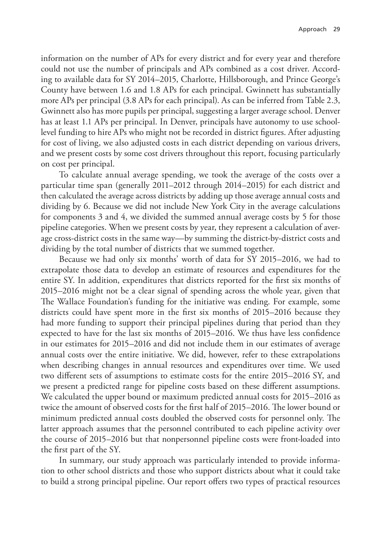information on the number of APs for every district and for every year and therefore could not use the number of principals and APs combined as a cost driver. According to available data for SY 2014–2015, Charlotte, Hillsborough, and Prince George's County have between 1.6 and 1.8 APs for each principal. Gwinnett has substantially more APs per principal (3.8 APs for each principal). As can be inferred from Table 2.3, Gwinnett also has more pupils per principal, suggesting a larger average school. Denver has at least 1.1 APs per principal. In Denver, principals have autonomy to use schoollevel funding to hire APs who might not be recorded in district figures. After adjusting for cost of living, we also adjusted costs in each district depending on various drivers, and we present costs by some cost drivers throughout this report, focusing particularly on cost per principal.

To calculate annual average spending, we took the average of the costs over a particular time span (generally 2011–2012 through 2014–2015) for each district and then calculated the average across districts by adding up those average annual costs and dividing by 6. Because we did not include New York City in the average calculations for components 3 and 4, we divided the summed annual average costs by 5 for those pipeline categories. When we present costs by year, they represent a calculation of average cross-district costs in the same way—by summing the district-by-district costs and dividing by the total number of districts that we summed together.

Because we had only six months' worth of data for SY 2015–2016, we had to extrapolate those data to develop an estimate of resources and expenditures for the entire SY. In addition, expenditures that districts reported for the first six months of 2015–2016 might not be a clear signal of spending across the whole year, given that The Wallace Foundation's funding for the initiative was ending. For example, some districts could have spent more in the first six months of 2015–2016 because they had more funding to support their principal pipelines during that period than they expected to have for the last six months of 2015–2016. We thus have less confidence in our estimates for 2015–2016 and did not include them in our estimates of average annual costs over the entire initiative. We did, however, refer to these extrapolations when describing changes in annual resources and expenditures over time. We used two different sets of assumptions to estimate costs for the entire 2015–2016 SY, and we present a predicted range for pipeline costs based on these different assumptions. We calculated the upper bound or maximum predicted annual costs for 2015–2016 as twice the amount of observed costs for the first half of 2015–2016. The lower bound or minimum predicted annual costs doubled the observed costs for personnel only. The latter approach assumes that the personnel contributed to each pipeline activity over the course of 2015–2016 but that nonpersonnel pipeline costs were front-loaded into the first part of the SY.

In summary, our study approach was particularly intended to provide information to other school districts and those who support districts about what it could take to build a strong principal pipeline. Our report offers two types of practical resources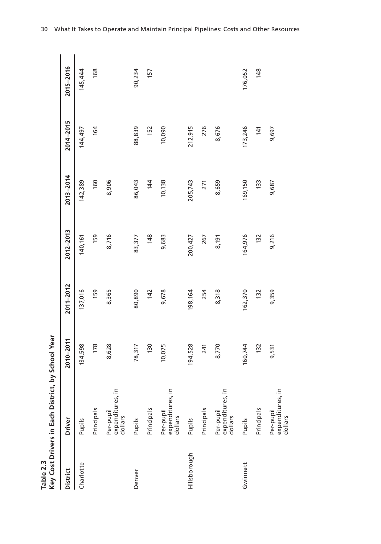| Table 2.3       | Key Cost Drivers in Each Distric         | t, by School Year |           |           |           |           |           |  |
|-----------------|------------------------------------------|-------------------|-----------|-----------|-----------|-----------|-----------|--|
| <b>District</b> | Driver                                   | $2010 - 2011$     | 2011-2012 | 2012-2013 | 2013-2014 | 2014-2015 | 2015-2016 |  |
| Charlotte       | Pupils                                   | 134,598           | 137,016   | 140,161   | 142,389   | 144,497   | 145,444   |  |
|                 | Principals                               | 178               | 159       | 159       | 160       | 164       | 168       |  |
|                 | expenditures, in<br>Per-pupil<br>dollars | 8,628             | 8,365     | 8,716     | 8,906     |           |           |  |
| Denver          | Pupils                                   | 78,317            | 80,890    | 83,377    | 86,043    | 88,839    | 90,234    |  |
|                 | Principals                               | 130               | 142       | 148       | 144       | 152       | 157       |  |
|                 | expenditures, in<br>Per-pupil<br>dollars | 10,075            | 9,678     | 9,683     | 10,138    | 10,090    |           |  |
| Hillsborough    | Pupils                                   | 194,528           | 198,164   | 200,427   | 205,743   | 212,915   |           |  |
|                 | Principals                               | 241               | 254       | 267       | 271       | 276       |           |  |
|                 | expenditures, in<br>Per-pupil<br>dollars | 8,770             | 8,318     | 8,191     | 8,659     | 8,676     |           |  |
| Gwinnett        | Pupils                                   | 160,744           | 162,370   | 164,976   | 169,150   | 173,246   | 176,052   |  |
|                 | Principals                               | 132               | 132       | 132       | 133       | 141       | 148       |  |
|                 | expenditures, in<br>Per-pupil<br>dollars | 9,531             | 9,359     | 9,216     | 9,687     | 9,697     |           |  |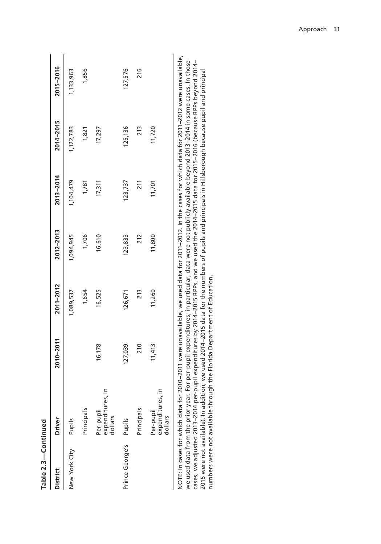| Table 2.3-Continued    |                                            |           |                       |           |             |           |             |
|------------------------|--------------------------------------------|-----------|-----------------------|-----------|-------------|-----------|-------------|
| District               | Driver                                     | 2010-2011 | 2011-2012             | 2012-2013 | 2013-2014   | 2014-2015 | 2015-2016   |
| New York City          | Pupils                                     |           | 1,089,537             | 1,094,945 | 1,104,479   | 1,122,783 | 1,133,963   |
|                        | Principals                                 |           | 1,654                 | 1,706     | 1,781       | 1,821     | 1,856       |
|                        | Ξ<br>expenditures,<br>Per-pupil<br>dollars | 16,178    | 16,525                | 16,610    | 17,311      | 17,297    |             |
| Prince George's Pupils |                                            | 127,039   | 126,671               | 123,833   | 123,737     | 125,136   | 127,576     |
|                        | Principals                                 | 210       | 213                   | 212       | 211         | 213       | 216         |
|                        | c<br>expenditures,<br>Per-pupil<br>dollars | 11,413    | 1,260                 | 11,800    | 11,701      | 11,720    |             |
|                        |                                            |           | .<br>.<br>.<br>.<br>. |           | .<br>.<br>. |           | .<br>.<br>. |

NOTE: In cases for which data for 2010–2011 were unavailable, we used data for 2011–2012. In the cases for which data for 2011–2012 were unavailable, NOTE: In cases for which data for 2010–2011 were unavailable, we used data for 2011–2012. In the cases for which data for 2011–2012 were unavailable, we used data from the prior year. For per-pupil expenditures, in particular, data were not publicly available beyond 2013–2014 in some cases. In those<br>cases, we adjusted 2013–2014 per-pupil expenditures by 2014–2015 RPPs, we used data from the prior year. For per-pupil expenditures, in particular, data were not publicly available beyond 2013–2014 in some cases. In those cases, we adjusted 2013–2014 per-pupil expenditures by 2014–2015 RPPs, and we used the 2014–2015 data for 2015–2016 (because RPPs beyond 2014– 2015 were not available). In addition, we used 2014-2015 data for the numbers of pupils and principals in Hillsborough because pupil and principal 2015 were not available). In addition, we used 2014–2015 data for the numbers of pupils and principals in Hillsborough because pupil and principal numbers were not available through the Florida Department of Education. numbers were not available through the Florida Department of Education.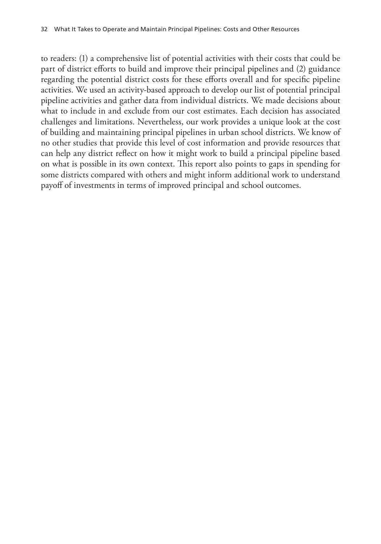to readers: (1) a comprehensive list of potential activities with their costs that could be part of district efforts to build and improve their principal pipelines and (2) guidance regarding the potential district costs for these efforts overall and for specific pipeline activities. We used an activity-based approach to develop our list of potential principal pipeline activities and gather data from individual districts. We made decisions about what to include in and exclude from our cost estimates. Each decision has associated challenges and limitations. Nevertheless, our work provides a unique look at the cost of building and maintaining principal pipelines in urban school districts. We know of no other studies that provide this level of cost information and provide resources that can help any district reflect on how it might work to build a principal pipeline based on what is possible in its own context. This report also points to gaps in spending for some districts compared with others and might inform additional work to understand payoff of investments in terms of improved principal and school outcomes.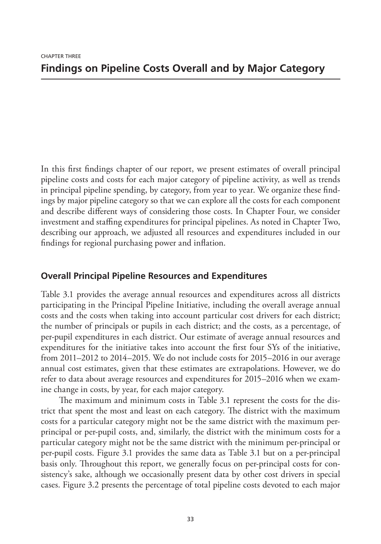In this first findings chapter of our report, we present estimates of overall principal pipeline costs and costs for each major category of pipeline activity, as well as trends in principal pipeline spending, by category, from year to year. We organize these findings by major pipeline category so that we can explore all the costs for each component and describe different ways of considering those costs. In Chapter Four, we consider investment and staffing expenditures for principal pipelines. As noted in Chapter Two, describing our approach, we adjusted all resources and expenditures included in our findings for regional purchasing power and inflation.

# **Overall Principal Pipeline Resources and Expenditures**

Table 3.1 provides the average annual resources and expenditures across all districts participating in the Principal Pipeline Initiative, including the overall average annual costs and the costs when taking into account particular cost drivers for each district; the number of principals or pupils in each district; and the costs, as a percentage, of per-pupil expenditures in each district. Our estimate of average annual resources and expenditures for the initiative takes into account the first four SYs of the initiative, from 2011–2012 to 2014–2015. We do not include costs for 2015–2016 in our average annual cost estimates, given that these estimates are extrapolations. However, we do refer to data about average resources and expenditures for 2015–2016 when we examine change in costs, by year, for each major category.

The maximum and minimum costs in Table 3.1 represent the costs for the district that spent the most and least on each category. The district with the maximum costs for a particular category might not be the same district with the maximum perprincipal or per-pupil costs, and, similarly, the district with the minimum costs for a particular category might not be the same district with the minimum per-principal or per-pupil costs. Figure 3.1 provides the same data as Table 3.1 but on a per-principal basis only. Throughout this report, we generally focus on per-principal costs for consistency's sake, although we occasionally present data by other cost drivers in special cases. Figure 3.2 presents the percentage of total pipeline costs devoted to each major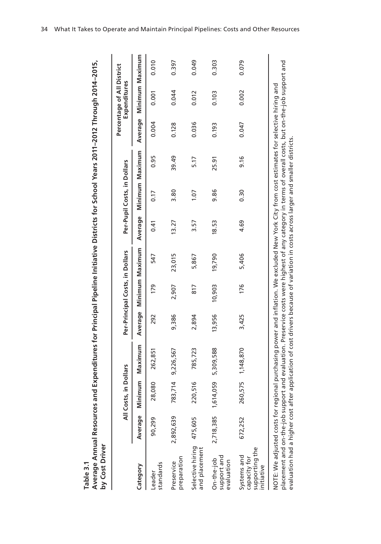| ₹                 |  |
|-------------------|--|
| m                 |  |
| $\mathbf{\Omega}$ |  |
| ≏                 |  |
| რ.                |  |
|                   |  |

| Average Annual Resources and Expenditures for Principal Pipeline Initiative Districts for School Years 2011–2012 Through 2014–2015,<br>by Cost Driver<br>Table 3.1                                                                                                                                                                        |           |                       |                                                                                                |        |                                 |                         |         |                             |       |         |                                            |       |
|-------------------------------------------------------------------------------------------------------------------------------------------------------------------------------------------------------------------------------------------------------------------------------------------------------------------------------------------|-----------|-----------------------|------------------------------------------------------------------------------------------------|--------|---------------------------------|-------------------------|---------|-----------------------------|-------|---------|--------------------------------------------|-------|
|                                                                                                                                                                                                                                                                                                                                           |           | All Costs, in Dollars |                                                                                                |        | Per-Principal Costs, in Dollars |                         |         | Per-Pupil Costs, in Dollars |       |         | Percentage of All District<br>Expenditures |       |
| Category                                                                                                                                                                                                                                                                                                                                  | Average   | Minimum               | Maximum                                                                                        |        |                                 | Average Minimum Maximum | Average | Minimum Maximum             |       | Average | Minimum Maximum                            |       |
| standards<br>Leader                                                                                                                                                                                                                                                                                                                       | 90,299    | 28,080                | 262,851                                                                                        | 292    | 179                             | 547                     | 0.41    | 0.17                        | 0.95  | 0.004   | 0.001                                      | 0.010 |
| preparation<br>Preservice                                                                                                                                                                                                                                                                                                                 | 2,892,639 | 714<br>783,           | 9,226,567                                                                                      | 9,386  | 2,907                           | 23,015                  | 13.27   | 3.80                        | 39.49 | 0.128   | 0.044                                      | 0.397 |
| Selective hiring<br>and placement                                                                                                                                                                                                                                                                                                         | 475,605   | 516<br>220            | 785,723                                                                                        | 2,894  | 817                             | 5,867                   | 3.57    | 1.07                        | 5.17  | 0.036   | 0.012                                      | 0.049 |
| support and<br>On-the-job<br>evaluation                                                                                                                                                                                                                                                                                                   | 2,718,385 | 1,614,059             | 5,309,588                                                                                      | 13,956 | 10,903                          | 19,790                  | 18.53   | 9.86                        | 25.91 | 0.193   | 0.103                                      | 0.303 |
| supporting the<br>Systems and<br>capacity for<br>initiative                                                                                                                                                                                                                                                                               | 672,252   | 260,575               | 1,148,870                                                                                      | 3,425  | 176                             | 5,406                   | 4.69    | 0.30                        | 9.16  | 0.047   | 0.002                                      | 0.079 |
| placement and on-the-job support and evaluation. Preservice costs were highest of any category in terms of overall costs, but on-the-job support and<br>NOTE: We adjusted costs for regional purchasing power and inflation. We excluded New York City from cost estimates for selective hiring and<br>evaluation had a higher cost after |           |                       | application of cost drivers because of variation in costs across larger and smaller districts. |        |                                 |                         |         |                             |       |         |                                            |       |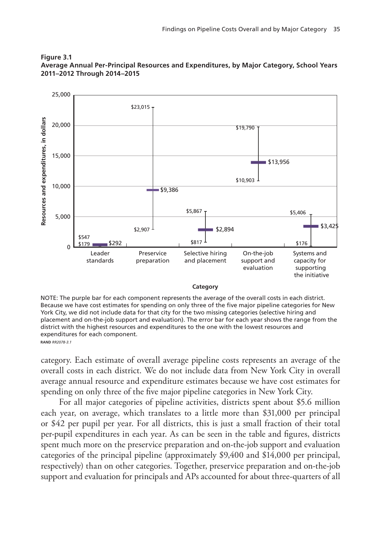

#### **Figure 3.1 Average Annual Per-Principal Resources and Expenditures, by Major Category, School Years 2011–2012 Through 2014–2015**

NOTE: The purple bar for each component represents the average of the overall costs in each district. Because we have cost estimates for spending on only three of the five major pipeline categories for New York City, we did not include data for that city for the two missing categories (selective hiring and placement and on-the-job support and evaluation). The error bar for each year shows the range from the district with the highest resources and expenditures to the one with the lowest resources and expenditures for each component. **RAND RR2078-3.1** 

category. Each estimate of overall average pipeline costs represents an average of the overall costs in each district. We do not include data from New York City in overall average annual resource and expenditure estimates because we have cost estimates for spending on only three of the five major pipeline categories in New York City.

For all major categories of pipeline activities, districts spent about \$5.6 million each year, on average, which translates to a little more than \$31,000 per principal or \$42 per pupil per year. For all districts, this is just a small fraction of their total per-pupil expenditures in each year. As can be seen in the table and figures, districts spent much more on the preservice preparation and on-the-job support and evaluation categories of the principal pipeline (approximately \$9,400 and \$14,000 per principal, respectively) than on other categories. Together, preservice preparation and on-the-job support and evaluation for principals and APs accounted for about three-quarters of all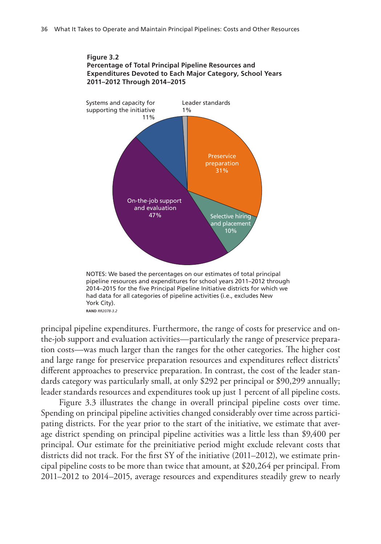

NOTES: We based the percentages on our estimates of total principal pipeline resources and expenditures for school years 2011–2012 through 2014-2015 for the five Principal Pipeline Initiative districts for which we had data for all categories of pipeline activities (i.e., excludes New York City). **RAND** *RR2078-3.2*

principal pipeline expenditures. Furthermore, the range of costs for preservice and onthe-job support and evaluation activities—particularly the range of preservice preparation costs—was much larger than the ranges for the other categories. The higher cost and large range for preservice preparation resources and expenditures reflect districts' different approaches to preservice preparation. In contrast, the cost of the leader standards category was particularly small, at only \$292 per principal or \$90,299 annually; leader standards resources and expenditures took up just 1 percent of all pipeline costs.

Figure 3.3 illustrates the change in overall principal pipeline costs over time. Spending on principal pipeline activities changed considerably over time across participating districts. For the year prior to the start of the initiative, we estimate that average district spending on principal pipeline activities was a little less than \$9,400 per principal. Our estimate for the preinitiative period might exclude relevant costs that districts did not track. For the first SY of the initiative (2011–2012), we estimate principal pipeline costs to be more than twice that amount, at \$20,264 per principal. From 2011–2012 to 2014–2015, average resources and expenditures steadily grew to nearly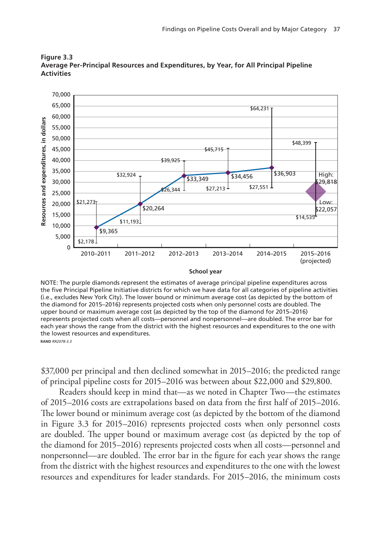

**Figure 3.3 Average Per-Principal Resources and Expenditures, by Year, for All Principal Pipeline Activities**

NOTE: The purple diamonds represent the estimates of average principal pipeline expenditures across the five Principal Pipeline Initiative districts for which we have data for all categories of pipeline activities (i.e., excludes New York City). The lower bound or minimum average cost (as depicted by the bottom of the diamond for 2015–2016) represents projected costs when only personnel costs are doubled. The upper bound or maximum average cost (as depicted by the top of the diamond for 2015–2016) represents projected costs when all costs—personnel and nonpersonnel—are doubled. The error bar for each year shows the range from the district with the highest resources and expenditures to the one with the lowest resources and expenditures. **RAND RR2078-33** 

\$37,000 per principal and then declined somewhat in 2015–2016; the predicted range of principal pipeline costs for 2015–2016 was between about \$22,000 and \$29,800.

Readers should keep in mind that—as we noted in Chapter Two—the estimates of 2015–2016 costs are extrapolations based on data from the first half of 2015–2016. The lower bound or minimum average cost (as depicted by the bottom of the diamond in Figure 3.3 for 2015–2016) represents projected costs when only personnel costs are doubled. The upper bound or maximum average cost (as depicted by the top of the diamond for 2015–2016) represents projected costs when all costs—personnel and nonpersonnel—are doubled. The error bar in the figure for each year shows the range from the district with the highest resources and expenditures to the one with the lowest resources and expenditures for leader standards. For 2015–2016, the minimum costs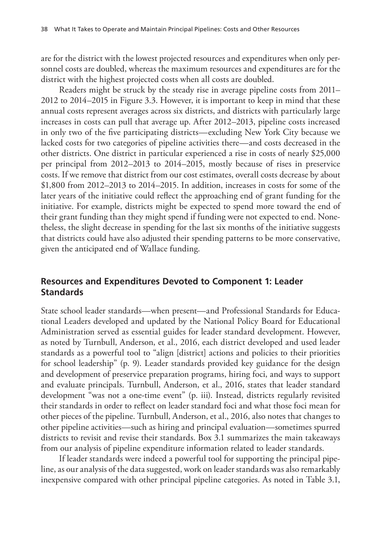are for the district with the lowest projected resources and expenditures when only personnel costs are doubled, whereas the maximum resources and expenditures are for the district with the highest projected costs when all costs are doubled.

Readers might be struck by the steady rise in average pipeline costs from 2011– 2012 to 2014–2015 in Figure 3.3. However, it is important to keep in mind that these annual costs represent averages across six districts, and districts with particularly large increases in costs can pull that average up. After 2012–2013, pipeline costs increased in only two of the five participating districts—excluding New York City because we lacked costs for two categories of pipeline activities there—and costs decreased in the other districts. One district in particular experienced a rise in costs of nearly \$25,000 per principal from 2012–2013 to 2014–2015, mostly because of rises in preservice costs. If we remove that district from our cost estimates, overall costs decrease by about \$1,800 from 2012–2013 to 2014–2015. In addition, increases in costs for some of the later years of the initiative could reflect the approaching end of grant funding for the initiative. For example, districts might be expected to spend more toward the end of their grant funding than they might spend if funding were not expected to end. Nonetheless, the slight decrease in spending for the last six months of the initiative suggests that districts could have also adjusted their spending patterns to be more conservative, given the anticipated end of Wallace funding.

# **Resources and Expenditures Devoted to Component 1: Leader Standards**

State school leader standards—when present—and Professional Standards for Educational Leaders developed and updated by the National Policy Board for Educational Administration served as essential guides for leader standard development. However, as noted by Turnbull, Anderson, et al., 2016, each district developed and used leader standards as a powerful tool to "align [district] actions and policies to their priorities for school leadership" (p. 9). Leader standards provided key guidance for the design and development of preservice preparation programs, hiring foci, and ways to support and evaluate principals. Turnbull, Anderson, et al., 2016, states that leader standard development "was not a one-time event" (p. iii). Instead, districts regularly revisited their standards in order to reflect on leader standard foci and what those foci mean for other pieces of the pipeline. Turnbull, Anderson, et al., 2016, also notes that changes to other pipeline activities—such as hiring and principal evaluation—sometimes spurred districts to revisit and revise their standards. Box 3.1 summarizes the main takeaways from our analysis of pipeline expenditure information related to leader standards.

If leader standards were indeed a powerful tool for supporting the principal pipeline, as our analysis of the data suggested, work on leader standards was also remarkably inexpensive compared with other principal pipeline categories. As noted in Table 3.1,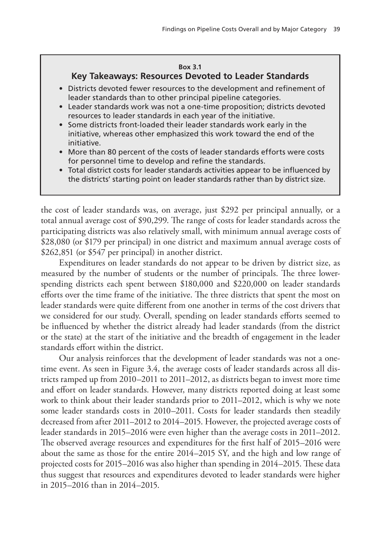#### **Box 3.1**

### **Key Takeaways: Resources Devoted to Leader Standards**

- Districts devoted fewer resources to the development and refinement of leader standards than to other principal pipeline categories.
- Leader standards work was not a one-time proposition; districts devoted resources to leader standards in each year of the initiative.
- Some districts front-loaded their leader standards work early in the initiative, whereas other emphasized this work toward the end of the initiative.
- More than 80 percent of the costs of leader standards efforts were costs for personnel time to develop and refine the standards.
- Total district costs for leader standards activities appear to be influenced by the districts' starting point on leader standards rather than by district size.

the cost of leader standards was, on average, just \$292 per principal annually, or a total annual average cost of \$90,299. The range of costs for leader standards across the participating districts was also relatively small, with minimum annual average costs of \$28,080 (or \$179 per principal) in one district and maximum annual average costs of \$262,851 (or \$547 per principal) in another district.

Expenditures on leader standards do not appear to be driven by district size, as measured by the number of students or the number of principals. The three lowerspending districts each spent between \$180,000 and \$220,000 on leader standards efforts over the time frame of the initiative. The three districts that spent the most on leader standards were quite different from one another in terms of the cost drivers that we considered for our study. Overall, spending on leader standards efforts seemed to be influenced by whether the district already had leader standards (from the district or the state) at the start of the initiative and the breadth of engagement in the leader standards effort within the district.

Our analysis reinforces that the development of leader standards was not a onetime event. As seen in Figure 3.4, the average costs of leader standards across all districts ramped up from 2010–2011 to 2011–2012, as districts began to invest more time and effort on leader standards. However, many districts reported doing at least some work to think about their leader standards prior to 2011–2012, which is why we note some leader standards costs in 2010–2011. Costs for leader standards then steadily decreased from after 2011–2012 to 2014–2015. However, the projected average costs of leader standards in 2015–2016 were even higher than the average costs in 2011–2012. The observed average resources and expenditures for the first half of 2015–2016 were about the same as those for the entire 2014–2015 SY, and the high and low range of projected costs for 2015–2016 was also higher than spending in 2014–2015. These data thus suggest that resources and expenditures devoted to leader standards were higher in 2015–2016 than in 2014–2015.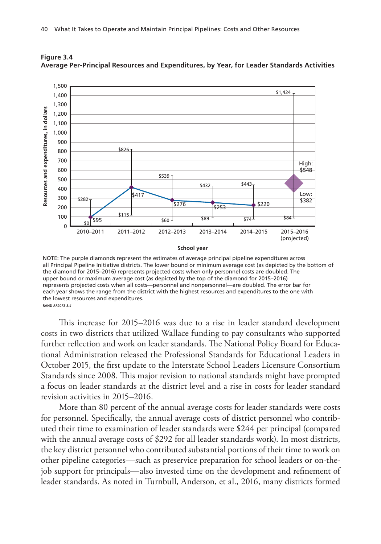

**Figure 3.4 Average Per-Principal Resources and Expenditures, by Year, for Leader Standards Activities**

NOTE: The purple diamonds represent the estimates of average principal pipeline expenditures across all Principal Pipeline Initiative districts. The lower bound or minimum average cost (as depicted by the bottom of the diamond for 2015–2016) represents projected costs when only personnel costs are doubled. The upper bound or maximum average cost (as depicted by the top of the diamond for 2015–2016) represents projected costs when all costs—personnel and nonpersonnel—are doubled. The error bar for each year shows the range from the district with the highest resources and expenditures to the one with the lowest resources and expenditures. **RAND RR2078-3.4** 

This increase for 2015–2016 was due to a rise in leader standard development costs in two districts that utilized Wallace funding to pay consultants who supported further reflection and work on leader standards. The National Policy Board for Educational Administration released the Professional Standards for Educational Leaders in October 2015, the first update to the Interstate School Leaders Licensure Consortium Standards since 2008. This major revision to national standards might have prompted a focus on leader standards at the district level and a rise in costs for leader standard revision activities in 2015–2016.

More than 80 percent of the annual average costs for leader standards were costs for personnel. Specifically, the annual average costs of district personnel who contributed their time to examination of leader standards were \$244 per principal (compared with the annual average costs of \$292 for all leader standards work). In most districts, the key district personnel who contributed substantial portions of their time to work on other pipeline categories—such as preservice preparation for school leaders or on-thejob support for principals—also invested time on the development and refinement of leader standards. As noted in Turnbull, Anderson, et al., 2016, many districts formed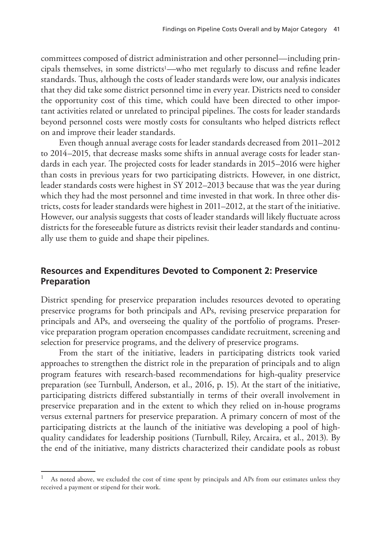committees composed of district administration and other personnel—including principals themselves, in some districts<sup>1</sup>—who met regularly to discuss and refine leader standards. Thus, although the costs of leader standards were low, our analysis indicates that they did take some district personnel time in every year. Districts need to consider the opportunity cost of this time, which could have been directed to other important activities related or unrelated to principal pipelines. The costs for leader standards beyond personnel costs were mostly costs for consultants who helped districts reflect on and improve their leader standards.

Even though annual average costs for leader standards decreased from 2011–2012 to 2014–2015, that decrease masks some shifts in annual average costs for leader standards in each year. The projected costs for leader standards in 2015–2016 were higher than costs in previous years for two participating districts. However, in one district, leader standards costs were highest in SY 2012–2013 because that was the year during which they had the most personnel and time invested in that work. In three other districts, costs for leader standards were highest in 2011–2012, at the start of the initiative. However, our analysis suggests that costs of leader standards will likely fluctuate across districts for the foreseeable future as districts revisit their leader standards and continually use them to guide and shape their pipelines.

## **Resources and Expenditures Devoted to Component 2: Preservice Preparation**

District spending for preservice preparation includes resources devoted to operating preservice programs for both principals and APs, revising preservice preparation for principals and APs, and overseeing the quality of the portfolio of programs. Preservice preparation program operation encompasses candidate recruitment, screening and selection for preservice programs, and the delivery of preservice programs.

From the start of the initiative, leaders in participating districts took varied approaches to strengthen the district role in the preparation of principals and to align program features with research-based recommendations for high-quality preservice preparation (see Turnbull, Anderson, et al., 2016, p. 15). At the start of the initiative, participating districts differed substantially in terms of their overall involvement in preservice preparation and in the extent to which they relied on in-house programs versus external partners for preservice preparation. A primary concern of most of the participating districts at the launch of the initiative was developing a pool of highquality candidates for leadership positions (Turnbull, Riley, Arcaira, et al., 2013). By the end of the initiative, many districts characterized their candidate pools as robust

As noted above, we excluded the cost of time spent by principals and APs from our estimates unless they received a payment or stipend for their work.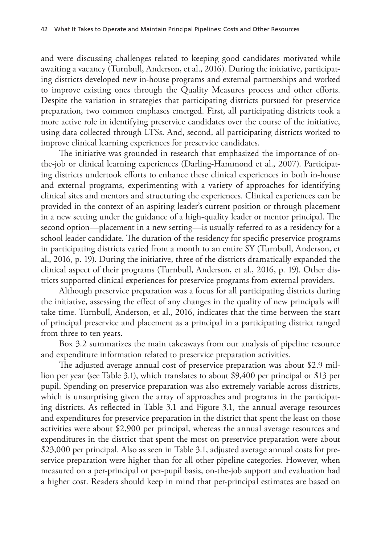and were discussing challenges related to keeping good candidates motivated while awaiting a vacancy (Turnbull, Anderson, et al., 2016). During the initiative, participating districts developed new in-house programs and external partnerships and worked to improve existing ones through the Quality Measures process and other efforts. Despite the variation in strategies that participating districts pursued for preservice preparation, two common emphases emerged. First, all participating districts took a more active role in identifying preservice candidates over the course of the initiative, using data collected through LTSs. And, second, all participating districts worked to improve clinical learning experiences for preservice candidates.

The initiative was grounded in research that emphasized the importance of onthe-job or clinical learning experiences (Darling-Hammond et al., 2007). Participating districts undertook efforts to enhance these clinical experiences in both in-house and external programs, experimenting with a variety of approaches for identifying clinical sites and mentors and structuring the experiences. Clinical experiences can be provided in the context of an aspiring leader's current position or through placement in a new setting under the guidance of a high-quality leader or mentor principal. The second option—placement in a new setting—is usually referred to as a residency for a school leader candidate. The duration of the residency for specific preservice programs in participating districts varied from a month to an entire SY (Turnbull, Anderson, et al., 2016, p. 19). During the initiative, three of the districts dramatically expanded the clinical aspect of their programs (Turnbull, Anderson, et al., 2016, p. 19). Other districts supported clinical experiences for preservice programs from external providers.

Although preservice preparation was a focus for all participating districts during the initiative, assessing the effect of any changes in the quality of new principals will take time. Turnbull, Anderson, et al., 2016, indicates that the time between the start of principal preservice and placement as a principal in a participating district ranged from three to ten years.

Box 3.2 summarizes the main takeaways from our analysis of pipeline resource and expenditure information related to preservice preparation activities.

The adjusted average annual cost of preservice preparation was about \$2.9 million per year (see Table 3.1), which translates to about \$9,400 per principal or \$13 per pupil. Spending on preservice preparation was also extremely variable across districts, which is unsurprising given the array of approaches and programs in the participating districts. As reflected in Table 3.1 and Figure 3.1, the annual average resources and expenditures for preservice preparation in the district that spent the least on those activities were about \$2,900 per principal, whereas the annual average resources and expenditures in the district that spent the most on preservice preparation were about \$23,000 per principal. Also as seen in Table 3.1, adjusted average annual costs for preservice preparation were higher than for all other pipeline categories. However, when measured on a per-principal or per-pupil basis, on-the-job support and evaluation had a higher cost. Readers should keep in mind that per-principal estimates are based on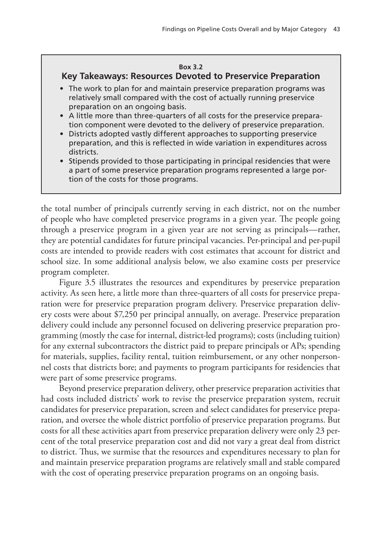#### **Box 3.2**

## **Key Takeaways: Resources Devoted to Preservice Preparation**

- The work to plan for and maintain preservice preparation programs was relatively small compared with the cost of actually running preservice preparation on an ongoing basis.
- A little more than three-quarters of all costs for the preservice preparation component were devoted to the delivery of preservice preparation.
- Districts adopted vastly different approaches to supporting preservice preparation, and this is reflected in wide variation in expenditures across districts.
- Stipends provided to those participating in principal residencies that were a part of some preservice preparation programs represented a large portion of the costs for those programs.

the total number of principals currently serving in each district, not on the number of people who have completed preservice programs in a given year. The people going through a preservice program in a given year are not serving as principals—rather, they are potential candidates for future principal vacancies. Per-principal and per-pupil costs are intended to provide readers with cost estimates that account for district and school size. In some additional analysis below, we also examine costs per preservice program completer.

Figure 3.5 illustrates the resources and expenditures by preservice preparation activity. As seen here, a little more than three-quarters of all costs for preservice preparation were for preservice preparation program delivery. Preservice preparation delivery costs were about \$7,250 per principal annually, on average. Preservice preparation delivery could include any personnel focused on delivering preservice preparation programming (mostly the case for internal, district-led programs); costs (including tuition) for any external subcontractors the district paid to prepare principals or APs; spending for materials, supplies, facility rental, tuition reimbursement, or any other nonpersonnel costs that districts bore; and payments to program participants for residencies that were part of some preservice programs.

Beyond preservice preparation delivery, other preservice preparation activities that had costs included districts' work to revise the preservice preparation system, recruit candidates for preservice preparation, screen and select candidates for preservice preparation, and oversee the whole district portfolio of preservice preparation programs. But costs for all these activities apart from preservice preparation delivery were only 23 percent of the total preservice preparation cost and did not vary a great deal from district to district. Thus, we surmise that the resources and expenditures necessary to plan for and maintain preservice preparation programs are relatively small and stable compared with the cost of operating preservice preparation programs on an ongoing basis.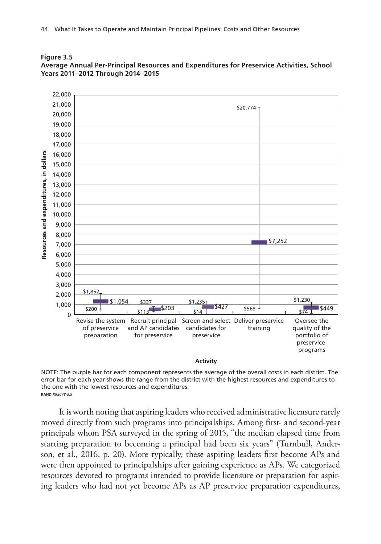



NOTE: The purple bar for each component represents the average of the overall costs in each district. The error bar for each year shows the range from the district with the highest resources and expenditures to the one with the lowest resources and expenditures. **RAND RR2078-3.5** 

It is worth noting that aspiring leaders who received administrative licensure rarely moved directly from such programs into principalships. Among first- and second-year principals whom PSA surveyed in the spring of 2015, "the median elapsed time from starting preparation to becoming a principal had been six years" (Turnbull, Anderson, et al., 2016, p. 20). More typically, these aspiring leaders first become APs and were then appointed to principalships after gaining experience as APs. We categorized resources devoted to programs intended to provide licensure or preparation for aspiring leaders who had not yet become APs as AP preservice preparation expenditures,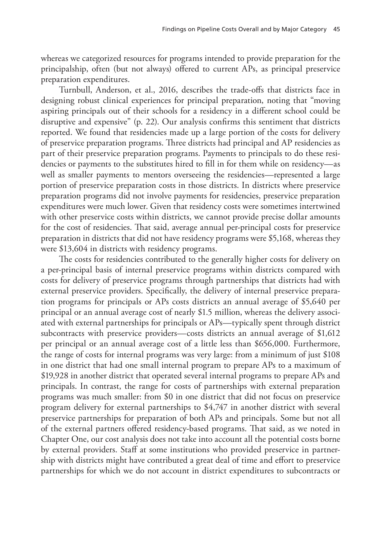whereas we categorized resources for programs intended to provide preparation for the principalship, often (but not always) offered to current APs, as principal preservice preparation expenditures.

Turnbull, Anderson, et al., 2016, describes the trade-offs that districts face in designing robust clinical experiences for principal preparation, noting that "moving aspiring principals out of their schools for a residency in a different school could be disruptive and expensive" (p. 22). Our analysis confirms this sentiment that districts reported. We found that residencies made up a large portion of the costs for delivery of preservice preparation programs. Three districts had principal and AP residencies as part of their preservice preparation programs. Payments to principals to do these residencies or payments to the substitutes hired to fill in for them while on residency—as well as smaller payments to mentors overseeing the residencies—represented a large portion of preservice preparation costs in those districts. In districts where preservice preparation programs did not involve payments for residencies, preservice preparation expenditures were much lower. Given that residency costs were sometimes intertwined with other preservice costs within districts, we cannot provide precise dollar amounts for the cost of residencies. That said, average annual per-principal costs for preservice preparation in districts that did not have residency programs were \$5,168, whereas they were \$13,604 in districts with residency programs.

The costs for residencies contributed to the generally higher costs for delivery on a per-principal basis of internal preservice programs within districts compared with costs for delivery of preservice programs through partnerships that districts had with external preservice providers. Specifically, the delivery of internal preservice preparation programs for principals or APs costs districts an annual average of \$5,640 per principal or an annual average cost of nearly \$1.5 million, whereas the delivery associated with external partnerships for principals or APs—typically spent through district subcontracts with preservice providers—costs districts an annual average of \$1,612 per principal or an annual average cost of a little less than \$656,000. Furthermore, the range of costs for internal programs was very large: from a minimum of just \$108 in one district that had one small internal program to prepare APs to a maximum of \$19,928 in another district that operated several internal programs to prepare APs and principals. In contrast, the range for costs of partnerships with external preparation programs was much smaller: from \$0 in one district that did not focus on preservice program delivery for external partnerships to \$4,747 in another district with several preservice partnerships for preparation of both APs and principals. Some but not all of the external partners offered residency-based programs. That said, as we noted in Chapter One, our cost analysis does not take into account all the potential costs borne by external providers. Staff at some institutions who provided preservice in partnership with districts might have contributed a great deal of time and effort to preservice partnerships for which we do not account in district expenditures to subcontracts or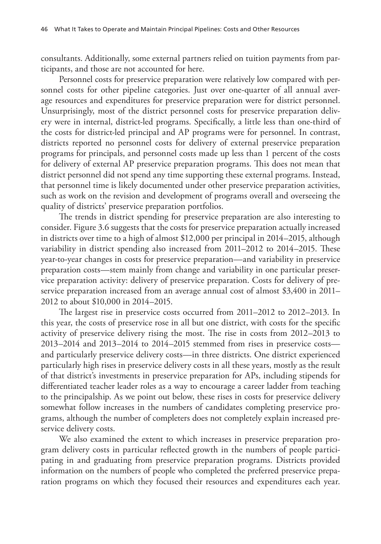consultants. Additionally, some external partners relied on tuition payments from participants, and those are not accounted for here.

Personnel costs for preservice preparation were relatively low compared with personnel costs for other pipeline categories. Just over one-quarter of all annual average resources and expenditures for preservice preparation were for district personnel. Unsurprisingly, most of the district personnel costs for preservice preparation delivery were in internal, district-led programs. Specifically, a little less than one-third of the costs for district-led principal and AP programs were for personnel. In contrast, districts reported no personnel costs for delivery of external preservice preparation programs for principals, and personnel costs made up less than 1 percent of the costs for delivery of external AP preservice preparation programs. This does not mean that district personnel did not spend any time supporting these external programs. Instead, that personnel time is likely documented under other preservice preparation activities, such as work on the revision and development of programs overall and overseeing the quality of districts' preservice preparation portfolios.

The trends in district spending for preservice preparation are also interesting to consider. Figure 3.6 suggests that the costs for preservice preparation actually increased in districts over time to a high of almost \$12,000 per principal in 2014–2015, although variability in district spending also increased from 2011–2012 to 2014–2015. These year-to-year changes in costs for preservice preparation—and variability in preservice preparation costs—stem mainly from change and variability in one particular preservice preparation activity: delivery of preservice preparation. Costs for delivery of preservice preparation increased from an average annual cost of almost \$3,400 in 2011– 2012 to about \$10,000 in 2014–2015.

The largest rise in preservice costs occurred from 2011–2012 to 2012–2013. In this year, the costs of preservice rose in all but one district, with costs for the specific activity of preservice delivery rising the most. The rise in costs from 2012–2013 to 2013–2014 and 2013–2014 to 2014–2015 stemmed from rises in preservice costs and particularly preservice delivery costs—in three districts. One district experienced particularly high rises in preservice delivery costs in all these years, mostly as the result of that district's investments in preservice preparation for APs, including stipends for differentiated teacher leader roles as a way to encourage a career ladder from teaching to the principalship. As we point out below, these rises in costs for preservice delivery somewhat follow increases in the numbers of candidates completing preservice programs, although the number of completers does not completely explain increased preservice delivery costs.

We also examined the extent to which increases in preservice preparation program delivery costs in particular reflected growth in the numbers of people participating in and graduating from preservice preparation programs. Districts provided information on the numbers of people who completed the preferred preservice preparation programs on which they focused their resources and expenditures each year.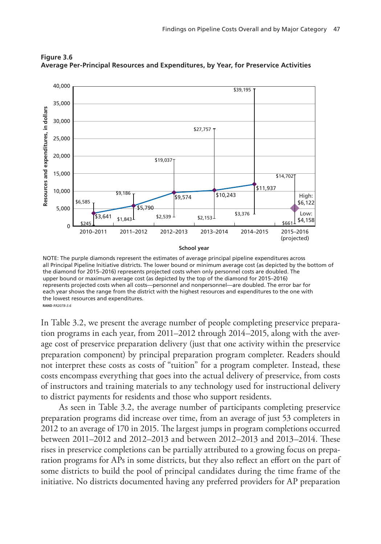

**Figure 3.6 Average Per-Principal Resources and Expenditures, by Year, for Preservice Activities**

NOTE: The purple diamonds represent the estimates of average principal pipeline expenditures across all Principal Pipeline Initiative districts. The lower bound or minimum average cost (as depicted by the bottom of the diamond for 2015–2016) represents projected costs when only personnel costs are doubled. The upper bound or maximum average cost (as depicted by the top of the diamond for 2015–2016) represents projected costs when all costs—personnel and nonpersonnel—are doubled. The error bar for each year shows the range from the district with the highest resources and expenditures to the one with the lowest resources and expenditures. RAND RR2078-3.6

In Table 3.2, we present the average number of people completing preservice preparation programs in each year, from 2011–2012 through 2014–2015, along with the average cost of preservice preparation delivery (just that one activity within the preservice preparation component) by principal preparation program completer. Readers should not interpret these costs as costs of "tuition" for a program completer. Instead, these costs encompass everything that goes into the actual delivery of preservice, from costs of instructors and training materials to any technology used for instructional delivery to district payments for residents and those who support residents.

As seen in Table 3.2, the average number of participants completing preservice preparation programs did increase over time, from an average of just 53 completers in 2012 to an average of 170 in 2015. The largest jumps in program completions occurred between 2011–2012 and 2012–2013 and between 2012–2013 and 2013–2014. These rises in preservice completions can be partially attributed to a growing focus on preparation programs for APs in some districts, but they also reflect an effort on the part of some districts to build the pool of principal candidates during the time frame of the initiative. No districts documented having any preferred providers for AP preparation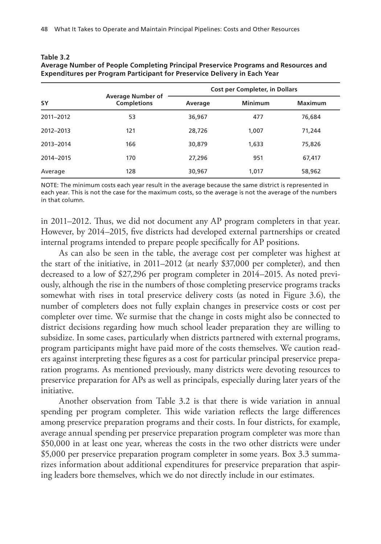| <b>SY</b> | <b>Average Number of</b><br><b>Completions</b> | <b>Cost per Completer, in Dollars</b> |                |                |
|-----------|------------------------------------------------|---------------------------------------|----------------|----------------|
|           |                                                | Average                               | <b>Minimum</b> | <b>Maximum</b> |
| 2011-2012 | 53                                             | 36,967                                | 477            | 76,684         |
| 2012-2013 | 121                                            | 28,726                                | 1,007          | 71,244         |
| 2013-2014 | 166                                            | 30,879                                | 1,633          | 75,826         |
| 2014-2015 | 170                                            | 27,296                                | 951            | 67,417         |
| Average   | 128                                            | 30,967                                | 1.017          | 58,962         |

| Table 3.2                                                                           |
|-------------------------------------------------------------------------------------|
| Average Number of People Completing Principal Preservice Programs and Resources and |
| Expenditures per Program Participant for Preservice Delivery in Each Year           |

NOTE: The minimum costs each year result in the average because the same district is represented in each year. This is not the case for the maximum costs, so the average is not the average of the numbers in that column.

in 2011–2012. Thus, we did not document any AP program completers in that year. However, by 2014–2015, five districts had developed external partnerships or created internal programs intended to prepare people specifically for AP positions.

As can also be seen in the table, the average cost per completer was highest at the start of the initiative, in 2011–2012 (at nearly \$37,000 per completer), and then decreased to a low of \$27,296 per program completer in 2014–2015. As noted previously, although the rise in the numbers of those completing preservice programs tracks somewhat with rises in total preservice delivery costs (as noted in Figure 3.6), the number of completers does not fully explain changes in preservice costs or cost per completer over time. We surmise that the change in costs might also be connected to district decisions regarding how much school leader preparation they are willing to subsidize. In some cases, particularly when districts partnered with external programs, program participants might have paid more of the costs themselves. We caution readers against interpreting these figures as a cost for particular principal preservice preparation programs. As mentioned previously, many districts were devoting resources to preservice preparation for APs as well as principals, especially during later years of the initiative.

Another observation from Table 3.2 is that there is wide variation in annual spending per program completer. This wide variation reflects the large differences among preservice preparation programs and their costs. In four districts, for example, average annual spending per preservice preparation program completer was more than \$50,000 in at least one year, whereas the costs in the two other districts were under \$5,000 per preservice preparation program completer in some years. Box 3.3 summarizes information about additional expenditures for preservice preparation that aspiring leaders bore themselves, which we do not directly include in our estimates.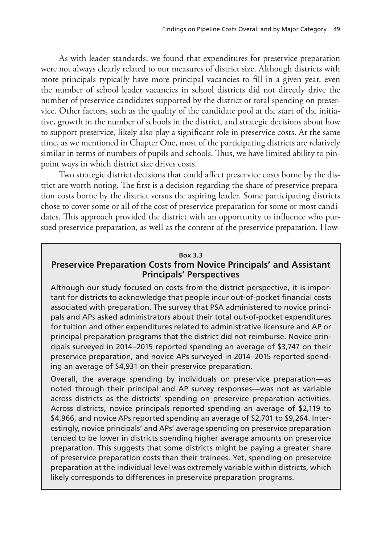As with leader standards, we found that expenditures for preservice preparation were not always clearly related to our measures of district size. Although districts with more principals typically have more principal vacancies to fill in a given year, even the number of school leader vacancies in school districts did not directly drive the number of preservice candidates supported by the district or total spending on preservice. Other factors, such as the quality of the candidate pool at the start of the initiative, growth in the number of schools in the district, and strategic decisions about how to support preservice, likely also play a significant role in preservice costs. At the same time, as we mentioned in Chapter One, most of the participating districts are relatively similar in terms of numbers of pupils and schools. Thus, we have limited ability to pinpoint ways in which district size drives costs.

Two strategic district decisions that could affect preservice costs borne by the district are worth noting. The first is a decision regarding the share of preservice preparation costs borne by the district versus the aspiring leader. Some participating districts chose to cover some or all of the cost of preservice preparation for some or most candidates. This approach provided the district with an opportunity to influence who pursued preservice preparation, as well as the content of the preservice preparation. How-

### **Box 3.3**

# **Preservice Preparation Costs from Novice Principals' and Assistant Principals' Perspectives**

Although our study focused on costs from the district perspective, it is important for districts to acknowledge that people incur out-of-pocket financial costs associated with preparation. The survey that PSA administered to novice principals and APs asked administrators about their total out-of-pocket expenditures for tuition and other expenditures related to administrative licensure and AP or principal preparation programs that the district did not reimburse. Novice principals surveyed in 2014–2015 reported spending an average of \$3,747 on their preservice preparation, and novice APs surveyed in 2014–2015 reported spending an average of \$4,931 on their preservice preparation.

Overall, the average spending by individuals on preservice preparation—as noted through their principal and AP survey responses—was not as variable across districts as the districts' spending on preservice preparation activities. Across districts, novice principals reported spending an average of \$2,119 to \$4,966, and novice APs reported spending an average of \$2,701 to \$9,264. Interestingly, novice principals' and APs' average spending on preservice preparation tended to be lower in districts spending higher average amounts on preservice preparation. This suggests that some districts might be paying a greater share of preservice preparation costs than their trainees. Yet, spending on preservice preparation at the individual level was extremely variable within districts, which likely corresponds to differences in preservice preparation programs.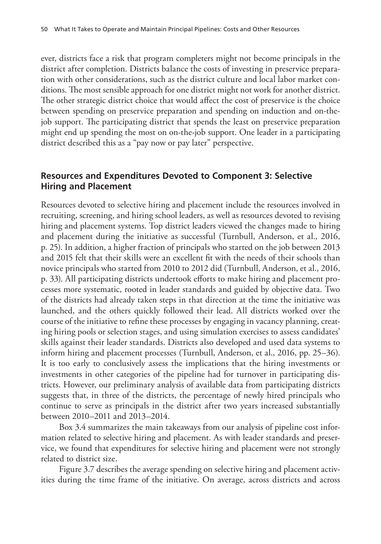ever, districts face a risk that program completers might not become principals in the district after completion. Districts balance the costs of investing in preservice preparation with other considerations, such as the district culture and local labor market conditions. The most sensible approach for one district might not work for another district. The other strategic district choice that would affect the cost of preservice is the choice between spending on preservice preparation and spending on induction and on-thejob support. The participating district that spends the least on preservice preparation might end up spending the most on on-the-job support. One leader in a participating district described this as a "pay now or pay later" perspective.

# **Resources and Expenditures Devoted to Component 3: Selective Hiring and Placement**

Resources devoted to selective hiring and placement include the resources involved in recruiting, screening, and hiring school leaders, as well as resources devoted to revising hiring and placement systems. Top district leaders viewed the changes made to hiring and placement during the initiative as successful (Turnbull, Anderson, et al., 2016, p. 25). In addition, a higher fraction of principals who started on the job between 2013 and 2015 felt that their skills were an excellent fit with the needs of their schools than novice principals who started from 2010 to 2012 did (Turnbull, Anderson, et al., 2016, p. 33). All participating districts undertook efforts to make hiring and placement processes more systematic, rooted in leader standards and guided by objective data. Two of the districts had already taken steps in that direction at the time the initiative was launched, and the others quickly followed their lead. All districts worked over the course of the initiative to refine these processes by engaging in vacancy planning, creating hiring pools or selection stages, and using simulation exercises to assess candidates' skills against their leader standards. Districts also developed and used data systems to inform hiring and placement processes (Turnbull, Anderson, et al., 2016, pp. 25–36). It is too early to conclusively assess the implications that the hiring investments or investments in other categories of the pipeline had for turnover in participating districts. However, our preliminary analysis of available data from participating districts suggests that, in three of the districts, the percentage of newly hired principals who continue to serve as principals in the district after two years increased substantially between 2010–2011 and 2013–2014.

Box 3.4 summarizes the main takeaways from our analysis of pipeline cost information related to selective hiring and placement. As with leader standards and preservice, we found that expenditures for selective hiring and placement were not strongly related to district size.

Figure 3.7 describes the average spending on selective hiring and placement activities during the time frame of the initiative. On average, across districts and across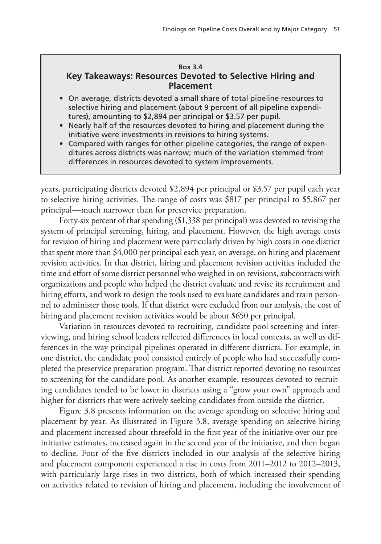### **Box 3.4 Key Takeaways: Resources Devoted to Selective Hiring and Placement**

- On average, districts devoted a small share of total pipeline resources to selective hiring and placement (about 9 percent of all pipeline expenditures), amounting to \$2,894 per principal or \$3.57 per pupil.
- Nearly half of the resources devoted to hiring and placement during the initiative were investments in revisions to hiring systems.
- Compared with ranges for other pipeline categories, the range of expenditures across districts was narrow; much of the variation stemmed from differences in resources devoted to system improvements.

years, participating districts devoted \$2,894 per principal or \$3.57 per pupil each year to selective hiring activities. The range of costs was \$817 per principal to \$5,867 per principal—much narrower than for preservice preparation.

Forty-six percent of that spending (\$1,338 per principal) was devoted to revising the system of principal screening, hiring, and placement. However, the high average costs for revision of hiring and placement were particularly driven by high costs in one district that spent more than \$4,000 per principal each year, on average, on hiring and placement revision activities. In that district, hiring and placement revision activities included the time and effort of some district personnel who weighed in on revisions, subcontracts with organizations and people who helped the district evaluate and revise its recruitment and hiring efforts, and work to design the tools used to evaluate candidates and train personnel to administer those tools. If that district were excluded from our analysis, the cost of hiring and placement revision activities would be about \$650 per principal.

Variation in resources devoted to recruiting, candidate pool screening and interviewing, and hiring school leaders reflected differences in local contexts, as well as differences in the way principal pipelines operated in different districts. For example, in one district, the candidate pool consisted entirely of people who had successfully completed the preservice preparation program. That district reported devoting no resources to screening for the candidate pool. As another example, resources devoted to recruiting candidates tended to be lower in districts using a "grow your own" approach and higher for districts that were actively seeking candidates from outside the district.

Figure 3.8 presents information on the average spending on selective hiring and placement by year. As illustrated in Figure 3.8, average spending on selective hiring and placement increased about threefold in the first year of the initiative over our preinitiative estimates, increased again in the second year of the initiative, and then began to decline. Four of the five districts included in our analysis of the selective hiring and placement component experienced a rise in costs from 2011–2012 to 2012–2013, with particularly large rises in two districts, both of which increased their spending on activities related to revision of hiring and placement, including the involvement of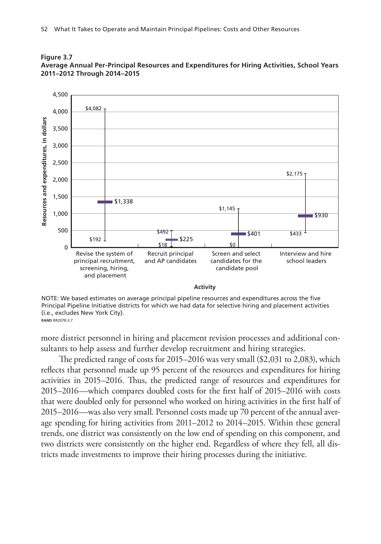



NOTE: We based estimates on average principal pipeline resources and expenditures across the five Principal Pipeline Initiative districts for which we had data for selective hiring and placement activities (i.e., excludes New York City). **RAND RR2078-3.7** 

more district personnel in hiring and placement revision processes and additional consultants to help assess and further develop recruitment and hiring strategies.

The predicted range of costs for  $2015-2016$  was very small  $(\$2,031$  to  $2,083)$ , which reflects that personnel made up 95 percent of the resources and expenditures for hiring activities in 2015–2016. Thus, the predicted range of resources and expenditures for  $2015-2016$ —which compares doubled costs for the first half of  $2015-2016$  with costs that were doubled only for personnel who worked on hiring activities in the first half of 2015–2016—was also very small. Personnel costs made up 70 percent of the annual average spending for hiring activities from 2011–2012 to 2014–2015. Within these general trends, one district was consistently on the low end of spending on this component, and two districts were consistently on the higher end. Regardless of where they fell, all districts made investments to improve their hiring processes during the initiative.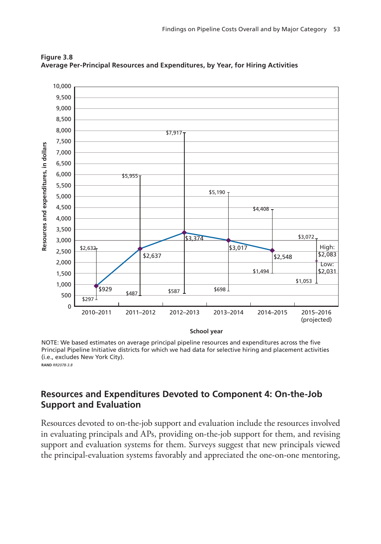

**Figure 3.8 Average Per-Principal Resources and Expenditures, by Year, for Hiring Activities**

NOTE: We based estimates on average principal pipeline resources and expenditures across the five Principal Pipeline Initiative districts for which we had data for selective hiring and placement activities (i.e., excludes New York City). RAND RR2078-3.8

# **Resources and Expenditures Devoted to Component 4: On-the-Job Support and Evaluation**

Resources devoted to on-the-job support and evaluation include the resources involved in evaluating principals and APs, providing on-the-job support for them, and revising support and evaluation systems for them. Surveys suggest that new principals viewed the principal-evaluation systems favorably and appreciated the one-on-one mentoring,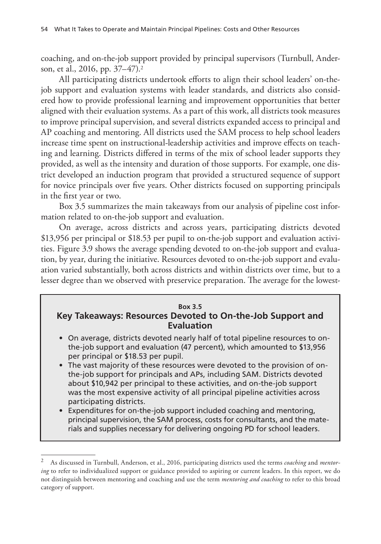coaching, and on-the-job support provided by principal supervisors (Turnbull, Anderson, et al., 2016, pp. 37–47).2

All participating districts undertook efforts to align their school leaders' on-thejob support and evaluation systems with leader standards, and districts also considered how to provide professional learning and improvement opportunities that better aligned with their evaluation systems. As a part of this work, all districts took measures to improve principal supervision, and several districts expanded access to principal and AP coaching and mentoring. All districts used the SAM process to help school leaders increase time spent on instructional-leadership activities and improve effects on teaching and learning. Districts differed in terms of the mix of school leader supports they provided, as well as the intensity and duration of those supports. For example, one district developed an induction program that provided a structured sequence of support for novice principals over five years. Other districts focused on supporting principals in the first year or two.

Box 3.5 summarizes the main takeaways from our analysis of pipeline cost information related to on-the-job support and evaluation.

On average, across districts and across years, participating districts devoted \$13,956 per principal or \$18.53 per pupil to on-the-job support and evaluation activities. Figure 3.9 shows the average spending devoted to on-the-job support and evaluation, by year, during the initiative. Resources devoted to on-the-job support and evaluation varied substantially, both across districts and within districts over time, but to a lesser degree than we observed with preservice preparation. The average for the lowest-

### **Box 3.5 Key Takeaways: Resources Devoted to On-the-Job Support and Evaluation**

- On average, districts devoted nearly half of total pipeline resources to onthe-job support and evaluation (47 percent), which amounted to \$13,956 per principal or \$18.53 per pupil.
- The vast majority of these resources were devoted to the provision of onthe-job support for principals and APs, including SAM. Districts devoted about \$10,942 per principal to these activities, and on-the-job support was the most expensive activity of all principal pipeline activities across participating districts.
- Expenditures for on-the-job support included coaching and mentoring, principal supervision, the SAM process, costs for consultants, and the materials and supplies necessary for delivering ongoing PD for school leaders.

<sup>2</sup> As discussed in Turnbull, Anderson, et al., 2016, participating districts used the terms *coaching* and *mentoring* to refer to individualized support or guidance provided to aspiring or current leaders. In this report, we do not distinguish between mentoring and coaching and use the term *mentoring and coaching* to refer to this broad category of support.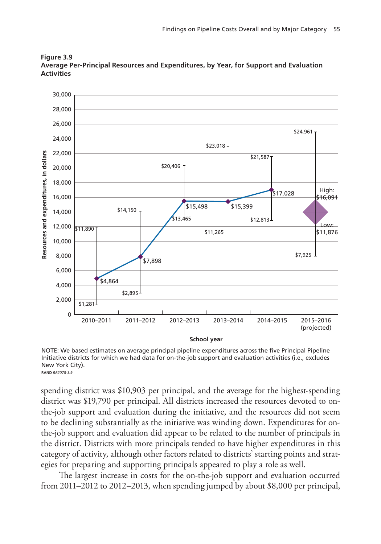

**Figure 3.9 Average Per-Principal Resources and Expenditures, by Year, for Support and Evaluation Activities**

NOTE: We based estimates on average principal pipeline expenditures across the five Principal Pipeline Initiative districts for which we had data for on-the-job support and evaluation activities (i.e., excludes New York City). **RAND RR2078-3.9** 

spending district was \$10,903 per principal, and the average for the highest-spending district was \$19,790 per principal. All districts increased the resources devoted to onthe-job support and evaluation during the initiative, and the resources did not seem to be declining substantially as the initiative was winding down. Expenditures for onthe-job support and evaluation did appear to be related to the number of principals in the district. Districts with more principals tended to have higher expenditures in this category of activity, although other factors related to districts' starting points and strategies for preparing and supporting principals appeared to play a role as well.

The largest increase in costs for the on-the-job support and evaluation occurred from 2011–2012 to 2012–2013, when spending jumped by about \$8,000 per principal,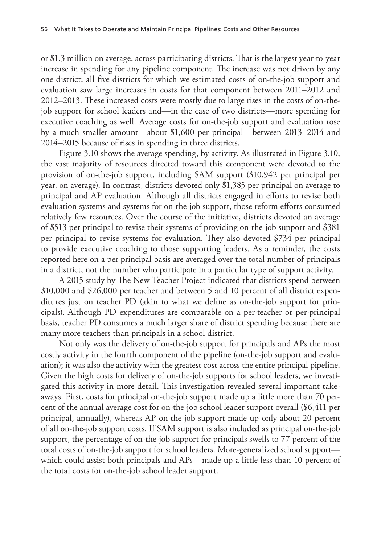or \$1.3 million on average, across participating districts. That is the largest year-to-year increase in spending for any pipeline component. The increase was not driven by any one district; all five districts for which we estimated costs of on-the-job support and evaluation saw large increases in costs for that component between 2011–2012 and 2012–2013. These increased costs were mostly due to large rises in the costs of on-thejob support for school leaders and—in the case of two districts—more spending for executive coaching as well. Average costs for on-the-job support and evaluation rose by a much smaller amount—about \$1,600 per principal—between 2013–2014 and 2014–2015 because of rises in spending in three districts.

Figure 3.10 shows the average spending, by activity. As illustrated in Figure 3.10, the vast majority of resources directed toward this component were devoted to the provision of on-the-job support, including SAM support (\$10,942 per principal per year, on average). In contrast, districts devoted only \$1,385 per principal on average to principal and AP evaluation. Although all districts engaged in efforts to revise both evaluation systems and systems for on-the-job support, those reform efforts consumed relatively few resources. Over the course of the initiative, districts devoted an average of \$513 per principal to revise their systems of providing on-the-job support and \$381 per principal to revise systems for evaluation. They also devoted \$734 per principal to provide executive coaching to those supporting leaders. As a reminder, the costs reported here on a per-principal basis are averaged over the total number of principals in a district, not the number who participate in a particular type of support activity.

A 2015 study by The New Teacher Project indicated that districts spend between \$10,000 and \$26,000 per teacher and between 5 and 10 percent of all district expenditures just on teacher PD (akin to what we define as on-the-job support for principals). Although PD expenditures are comparable on a per-teacher or per-principal basis, teacher PD consumes a much larger share of district spending because there are many more teachers than principals in a school district.

Not only was the delivery of on-the-job support for principals and APs the most costly activity in the fourth component of the pipeline (on-the-job support and evaluation); it was also the activity with the greatest cost across the entire principal pipeline. Given the high costs for delivery of on-the-job supports for school leaders, we investigated this activity in more detail. This investigation revealed several important takeaways. First, costs for principal on-the-job support made up a little more than 70 percent of the annual average cost for on-the-job school leader support overall (\$6,411 per principal, annually), whereas AP on-the-job support made up only about 20 percent of all on-the-job support costs. If SAM support is also included as principal on-the-job support, the percentage of on-the-job support for principals swells to 77 percent of the total costs of on-the-job support for school leaders. More-generalized school support which could assist both principals and APs—made up a little less than 10 percent of the total costs for on-the-job school leader support.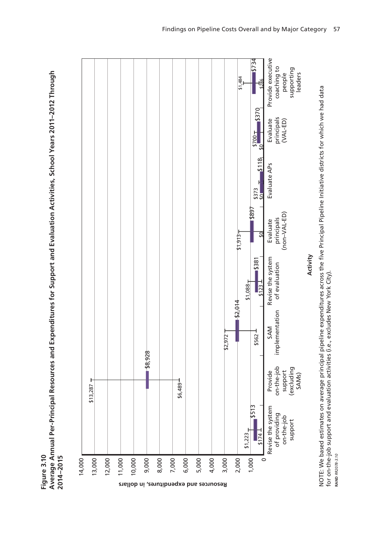**Average Annual Per-Principal Resources and Expenditures for Support and Evaluation Activities, School Years 2011–2012 Through**  Average Annual Per-Principal Resources and Expenditures for Support and Evaluation Activities, School Years 2011-2012 Through Figure 3.10 2014-2015 **Figure 3.10 2014–2015**



NOTE: We based estimates on average principal pipeline expenditures across the five Principal Pipeline Initiative districts for which we had data<br>for on-the-job support and evaluation activities (i.e., excludes New York Ci NOTE: We based estimates on average principal pipeline expenditures across the ve Principal Pipeline Initiative districts for which we had data for on-the-job support and evaluation activities (i.e., excludes New York City). **RAND RR2078-3.10 RAND** *RR2078-3.10*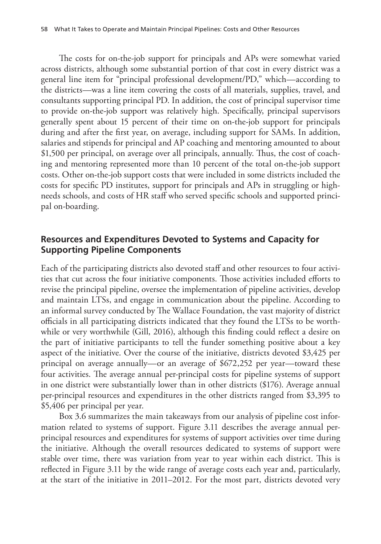The costs for on-the-job support for principals and APs were somewhat varied across districts, although some substantial portion of that cost in every district was a general line item for "principal professional development/PD," which—according to the districts—was a line item covering the costs of all materials, supplies, travel, and consultants supporting principal PD. In addition, the cost of principal supervisor time to provide on-the-job support was relatively high. Specifically, principal supervisors generally spent about 15 percent of their time on on-the-job support for principals during and after the first year, on average, including support for SAMs. In addition, salaries and stipends for principal and AP coaching and mentoring amounted to about \$1,500 per principal, on average over all principals, annually. Thus, the cost of coaching and mentoring represented more than 10 percent of the total on-the-job support costs. Other on-the-job support costs that were included in some districts included the costs for specific PD institutes, support for principals and APs in struggling or highneeds schools, and costs of HR staff who served specific schools and supported principal on-boarding.

# **Resources and Expenditures Devoted to Systems and Capacity for Supporting Pipeline Components**

Each of the participating districts also devoted staff and other resources to four activities that cut across the four initiative components. Those activities included efforts to revise the principal pipeline, oversee the implementation of pipeline activities, develop and maintain LTSs, and engage in communication about the pipeline. According to an informal survey conducted by The Wallace Foundation, the vast majority of district officials in all participating districts indicated that they found the LTSs to be worthwhile or very worthwhile (Gill, 2016), although this finding could reflect a desire on the part of initiative participants to tell the funder something positive about a key aspect of the initiative. Over the course of the initiative, districts devoted \$3,425 per principal on average annually—or an average of \$672,252 per year—toward these four activities. The average annual per-principal costs for pipeline systems of support in one district were substantially lower than in other districts (\$176). Average annual per-principal resources and expenditures in the other districts ranged from \$3,395 to \$5,406 per principal per year.

Box 3.6 summarizes the main takeaways from our analysis of pipeline cost information related to systems of support. Figure 3.11 describes the average annual perprincipal resources and expenditures for systems of support activities over time during the initiative. Although the overall resources dedicated to systems of support were stable over time, there was variation from year to year within each district. This is reflected in Figure 3.11 by the wide range of average costs each year and, particularly, at the start of the initiative in 2011–2012. For the most part, districts devoted very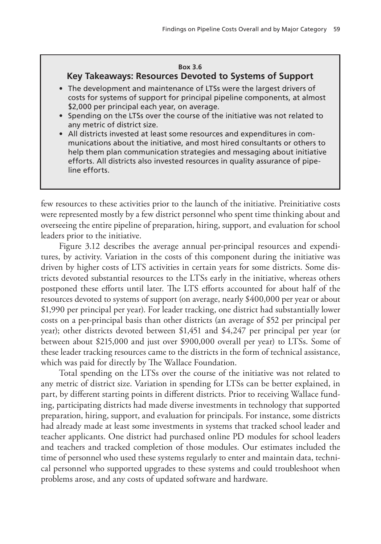### **Box 3.6**

### **Key Takeaways: Resources Devoted to Systems of Support**

- The development and maintenance of LTSs were the largest drivers of costs for systems of support for principal pipeline components, at almost \$2,000 per principal each year, on average.
- Spending on the LTSs over the course of the initiative was not related to any metric of district size.
- All districts invested at least some resources and expenditures in communications about the initiative, and most hired consultants or others to help them plan communication strategies and messaging about initiative efforts. All districts also invested resources in quality assurance of pipeline efforts.

few resources to these activities prior to the launch of the initiative. Preinitiative costs were represented mostly by a few district personnel who spent time thinking about and overseeing the entire pipeline of preparation, hiring, support, and evaluation for school leaders prior to the initiative.

Figure 3.12 describes the average annual per-principal resources and expenditures, by activity. Variation in the costs of this component during the initiative was driven by higher costs of LTS activities in certain years for some districts. Some districts devoted substantial resources to the LTSs early in the initiative, whereas others postponed these efforts until later. The LTS efforts accounted for about half of the resources devoted to systems of support (on average, nearly \$400,000 per year or about \$1,990 per principal per year). For leader tracking, one district had substantially lower costs on a per-principal basis than other districts (an average of \$52 per principal per year); other districts devoted between \$1,451 and \$4,247 per principal per year (or between about \$215,000 and just over \$900,000 overall per year) to LTSs. Some of these leader tracking resources came to the districts in the form of technical assistance, which was paid for directly by The Wallace Foundation.

Total spending on the LTSs over the course of the initiative was not related to any metric of district size. Variation in spending for LTSs can be better explained, in part, by different starting points in different districts. Prior to receiving Wallace funding, participating districts had made diverse investments in technology that supported preparation, hiring, support, and evaluation for principals. For instance, some districts had already made at least some investments in systems that tracked school leader and teacher applicants. One district had purchased online PD modules for school leaders and teachers and tracked completion of those modules. Our estimates included the time of personnel who used these systems regularly to enter and maintain data, technical personnel who supported upgrades to these systems and could troubleshoot when problems arose, and any costs of updated software and hardware.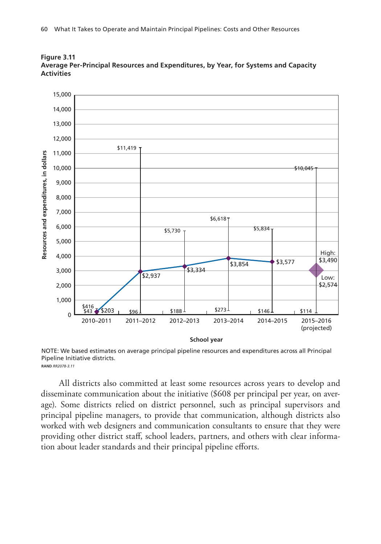

**Figure 3.11 Average Per-Principal Resources and Expenditures, by Year, for Systems and Capacity Activities**

NOTE: We based estimates on average principal pipeline resources and expenditures across all Principal Pipeline Initiative districts. **RAND RR2078-3.11** 

All districts also committed at least some resources across years to develop and disseminate communication about the initiative (\$608 per principal per year, on average). Some districts relied on district personnel, such as principal supervisors and principal pipeline managers, to provide that communication, although districts also worked with web designers and communication consultants to ensure that they were providing other district staff, school leaders, partners, and others with clear information about leader standards and their principal pipeline efforts.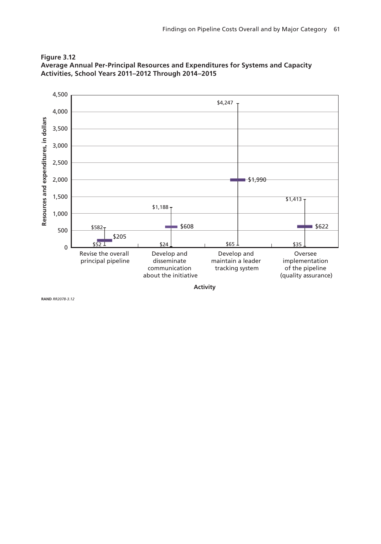



**Activity**

RAND RR2078-3.12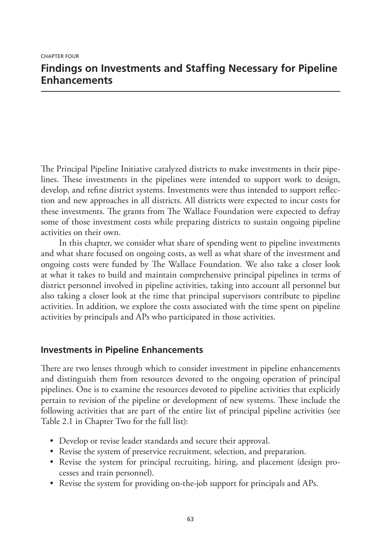# **Findings on Investments and Staffing Necessary for Pipeline Enhancements**

The Principal Pipeline Initiative catalyzed districts to make investments in their pipelines. These investments in the pipelines were intended to support work to design, develop, and refine district systems. Investments were thus intended to support reflection and new approaches in all districts. All districts were expected to incur costs for these investments. The grants from The Wallace Foundation were expected to defray some of those investment costs while preparing districts to sustain ongoing pipeline activities on their own.

In this chapter, we consider what share of spending went to pipeline investments and what share focused on ongoing costs, as well as what share of the investment and ongoing costs were funded by The Wallace Foundation. We also take a closer look at what it takes to build and maintain comprehensive principal pipelines in terms of district personnel involved in pipeline activities, taking into account all personnel but also taking a closer look at the time that principal supervisors contribute to pipeline activities. In addition, we explore the costs associated with the time spent on pipeline activities by principals and APs who participated in those activities.

# **Investments in Pipeline Enhancements**

There are two lenses through which to consider investment in pipeline enhancements and distinguish them from resources devoted to the ongoing operation of principal pipelines. One is to examine the resources devoted to pipeline activities that explicitly pertain to revision of the pipeline or development of new systems. These include the following activities that are part of the entire list of principal pipeline activities (see Table 2.1 in Chapter Two for the full list):

- Develop or revise leader standards and secure their approval.
- Revise the system of preservice recruitment, selection, and preparation.
- Revise the system for principal recruiting, hiring, and placement (design processes and train personnel).
- Revise the system for providing on-the-job support for principals and APs.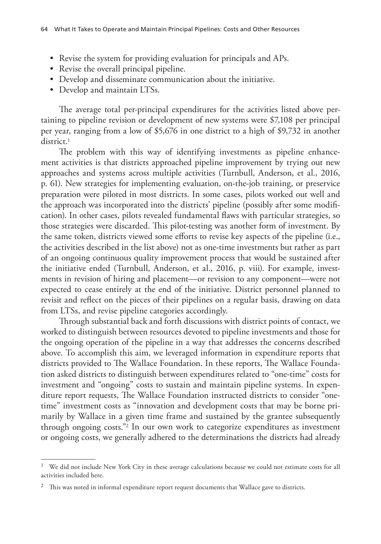- Revise the system for providing evaluation for principals and APs.
- Revise the overall principal pipeline.
- Develop and disseminate communication about the initiative.
- Develop and maintain LTSs.

The average total per-principal expenditures for the activities listed above pertaining to pipeline revision or development of new systems were \$7,108 per principal per year, ranging from a low of \$5,676 in one district to a high of \$9,732 in another district.<sup>1</sup>

The problem with this way of identifying investments as pipeline enhancement activities is that districts approached pipeline improvement by trying out new approaches and systems across multiple activities (Turnbull, Anderson, et al., 2016, p. 61). New strategies for implementing evaluation, on-the-job training, or preservice preparation were piloted in most districts. In some cases, pilots worked out well and the approach was incorporated into the districts' pipeline (possibly after some modification). In other cases, pilots revealed fundamental flaws with particular strategies, so those strategies were discarded. This pilot-testing was another form of investment. By the same token, districts viewed some efforts to revise key aspects of the pipeline (i.e., the activities described in the list above) not as one-time investments but rather as part of an ongoing continuous quality improvement process that would be sustained after the initiative ended (Turnbull, Anderson, et al., 2016, p. viii). For example, investments in revision of hiring and placement—or revision to any component—were not expected to cease entirely at the end of the initiative. District personnel planned to revisit and reflect on the pieces of their pipelines on a regular basis, drawing on data from LTSs, and revise pipeline categories accordingly.

Through substantial back and forth discussions with district points of contact, we worked to distinguish between resources devoted to pipeline investments and those for the ongoing operation of the pipeline in a way that addresses the concerns described above. To accomplish this aim, we leveraged information in expenditure reports that districts provided to The Wallace Foundation. In these reports, The Wallace Foundation asked districts to distinguish between expenditures related to "one-time" costs for investment and "ongoing" costs to sustain and maintain pipeline systems. In expenditure report requests, The Wallace Foundation instructed districts to consider "onetime" investment costs as "innovation and development costs that may be borne primarily by Wallace in a given time frame and sustained by the grantee subsequently through ongoing costs."2 In our own work to categorize expenditures as investment or ongoing costs, we generally adhered to the determinations the districts had already

<sup>1</sup> We did not include New York City in these average calculations because we could not estimate costs for all activities included here.

<sup>&</sup>lt;sup>2</sup> This was noted in informal expenditure report request documents that Wallace gave to districts.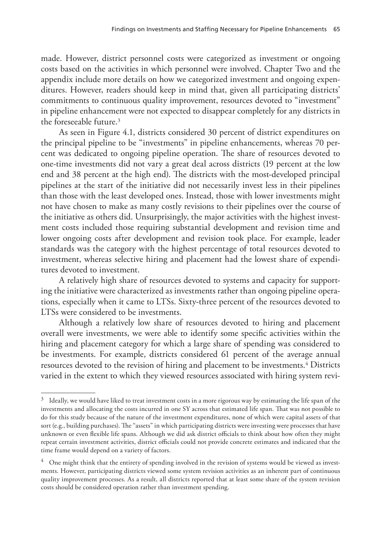made. However, district personnel costs were categorized as investment or ongoing costs based on the activities in which personnel were involved. Chapter Two and the appendix include more details on how we categorized investment and ongoing expenditures. However, readers should keep in mind that, given all participating districts' commitments to continuous quality improvement, resources devoted to "investment" in pipeline enhancement were not expected to disappear completely for any districts in the foreseeable future.3

As seen in Figure 4.1, districts considered 30 percent of district expenditures on the principal pipeline to be "investments" in pipeline enhancements, whereas 70 percent was dedicated to ongoing pipeline operation. The share of resources devoted to one-time investments did not vary a great deal across districts (19 percent at the low end and 38 percent at the high end). The districts with the most-developed principal pipelines at the start of the initiative did not necessarily invest less in their pipelines than those with the least developed ones. Instead, those with lower investments might not have chosen to make as many costly revisions to their pipelines over the course of the initiative as others did. Unsurprisingly, the major activities with the highest investment costs included those requiring substantial development and revision time and lower ongoing costs after development and revision took place. For example, leader standards was the category with the highest percentage of total resources devoted to investment, whereas selective hiring and placement had the lowest share of expenditures devoted to investment.

A relatively high share of resources devoted to systems and capacity for supporting the initiative were characterized as investments rather than ongoing pipeline operations, especially when it came to LTSs. Sixty-three percent of the resources devoted to LTSs were considered to be investments.

Although a relatively low share of resources devoted to hiring and placement overall were investments, we were able to identify some specific activities within the hiring and placement category for which a large share of spending was considered to be investments. For example, districts considered 61 percent of the average annual resources devoted to the revision of hiring and placement to be investments.<sup>4</sup> Districts varied in the extent to which they viewed resources associated with hiring system revi-

 $3$  Ideally, we would have liked to treat investment costs in a more rigorous way by estimating the life span of the investments and allocating the costs incurred in one SY across that estimated life span. That was not possible to do for this study because of the nature of the investment expenditures, none of which were capital assets of that sort (e.g., building purchases). The "assets" in which participating districts were investing were processes that have unknown or even flexible life spans. Although we did ask district officials to think about how often they might repeat certain investment activities, district officials could not provide concrete estimates and indicated that the time frame would depend on a variety of factors.

<sup>&</sup>lt;sup>4</sup> One might think that the entirety of spending involved in the revision of systems would be viewed as investments. However, participating districts viewed some system revision activities as an inherent part of continuous quality improvement processes. As a result, all districts reported that at least some share of the system revision costs should be considered operation rather than investment spending.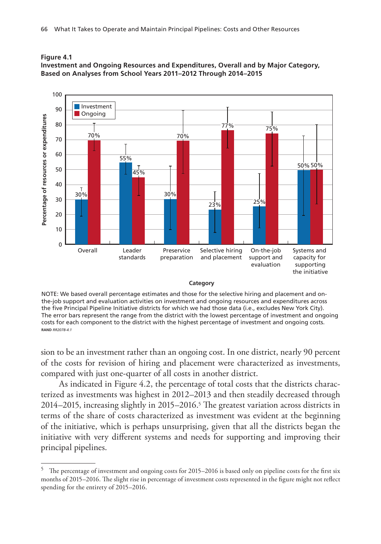

40 30 20

 $\overline{0}$ 

10

Overall

30%

 $\mathsf{T}$ 

Leader standards



#### **Category**

Selective hiring and placement

23%

On-the-job support and evaluation

25%

Systems and capacity for supporting the initiative

NOTE: We based overall percentage estimates and those for the selective hiring and placement and onthe-job support and evaluation activities on investment and ongoing resources and expenditures across the five Principal Pipeline Initiative districts for which we had those data (i.e., excludes New York City). The error bars represent the range from the district with the lowest percentage of investment and ongoing costs for each component to the district with the highest percentage of investment and ongoing costs. RAND RR2078-4.1

Preservice preparation

30%

sion to be an investment rather than an ongoing cost. In one district, nearly 90 percent of the costs for revision of hiring and placement were characterized as investments, compared with just one-quarter of all costs in another district.

As indicated in Figure 4.2, the percentage of total costs that the districts characterized as investments was highest in 2012–2013 and then steadily decreased through 2014–2015, increasing slightly in 2015–2016.5 The greatest variation across districts in terms of the share of costs characterized as investment was evident at the beginning of the initiative, which is perhaps unsurprising, given that all the districts began the initiative with very different systems and needs for supporting and improving their principal pipelines.

 $5$  The percentage of investment and ongoing costs for 2015–2016 is based only on pipeline costs for the first six months of 2015–2016. The slight rise in percentage of investment costs represented in the figure might not reflect spending for the entirety of 2015–2016.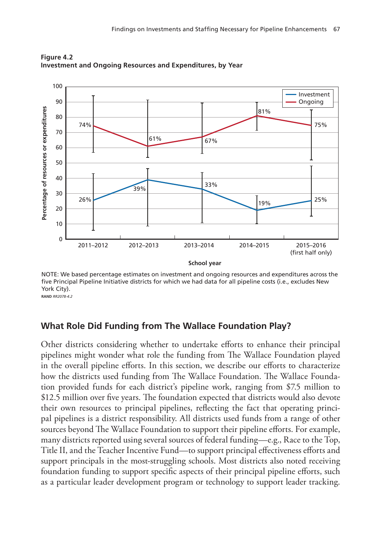

**Figure 4.2 Investment and Ongoing Resources and Expenditures, by Year**

NOTE: We based percentage estimates on investment and ongoing resources and expenditures across the five Principal Pipeline Initiative districts for which we had data for all pipeline costs (i.e., excludes New York City). **RAND RR2078-4.2** 

# **What Role Did Funding from The Wallace Foundation Play?**

Other districts considering whether to undertake efforts to enhance their principal pipelines might wonder what role the funding from The Wallace Foundation played in the overall pipeline efforts. In this section, we describe our efforts to characterize how the districts used funding from The Wallace Foundation. The Wallace Foundation provided funds for each district's pipeline work, ranging from \$7.5 million to \$12.5 million over five years. The foundation expected that districts would also devote their own resources to principal pipelines, reflecting the fact that operating principal pipelines is a district responsibility. All districts used funds from a range of other sources beyond The Wallace Foundation to support their pipeline efforts. For example, many districts reported using several sources of federal funding—e.g., Race to the Top, Title II, and the Teacher Incentive Fund—to support principal effectiveness efforts and support principals in the most-struggling schools. Most districts also noted receiving foundation funding to support specific aspects of their principal pipeline efforts, such as a particular leader development program or technology to support leader tracking.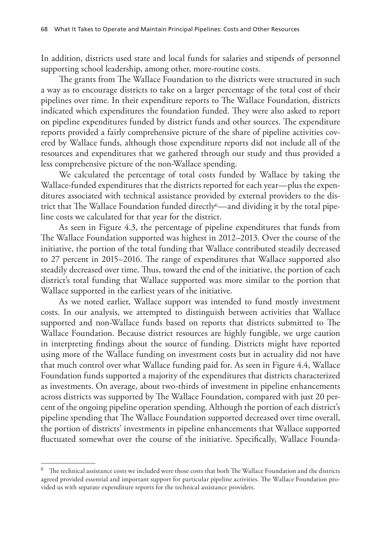In addition, districts used state and local funds for salaries and stipends of personnel supporting school leadership, among other, more-routine costs.

The grants from The Wallace Foundation to the districts were structured in such a way as to encourage districts to take on a larger percentage of the total cost of their pipelines over time. In their expenditure reports to The Wallace Foundation, districts indicated which expenditures the foundation funded. They were also asked to report on pipeline expenditures funded by district funds and other sources. The expenditure reports provided a fairly comprehensive picture of the share of pipeline activities covered by Wallace funds, although those expenditure reports did not include all of the resources and expenditures that we gathered through our study and thus provided a less comprehensive picture of the non-Wallace spending.

We calculated the percentage of total costs funded by Wallace by taking the Wallace-funded expenditures that the districts reported for each year—plus the expenditures associated with technical assistance provided by external providers to the district that The Wallace Foundation funded directly<sup>6</sup>—and dividing it by the total pipeline costs we calculated for that year for the district.

As seen in Figure 4.3, the percentage of pipeline expenditures that funds from The Wallace Foundation supported was highest in 2012–2013. Over the course of the initiative, the portion of the total funding that Wallace contributed steadily decreased to 27 percent in 2015–2016. The range of expenditures that Wallace supported also steadily decreased over time. Thus, toward the end of the initiative, the portion of each district's total funding that Wallace supported was more similar to the portion that Wallace supported in the earliest years of the initiative.

As we noted earlier, Wallace support was intended to fund mostly investment costs. In our analysis, we attempted to distinguish between activities that Wallace supported and non-Wallace funds based on reports that districts submitted to The Wallace Foundation. Because district resources are highly fungible, we urge caution in interpreting findings about the source of funding. Districts might have reported using more of the Wallace funding on investment costs but in actuality did not have that much control over what Wallace funding paid for. As seen in Figure 4.4, Wallace Foundation funds supported a majority of the expenditures that districts characterized as investments. On average, about two-thirds of investment in pipeline enhancements across districts was supported by The Wallace Foundation, compared with just 20 percent of the ongoing pipeline operation spending. Although the portion of each district's pipeline spending that The Wallace Foundation supported decreased over time overall, the portion of districts' investments in pipeline enhancements that Wallace supported fluctuated somewhat over the course of the initiative. Specifically, Wallace Founda-

 $^6$  The technical assistance costs we included were those costs that both The Wallace Foundation and the districts agreed provided essential and important support for particular pipeline activities. The Wallace Foundation provided us with separate expenditure reports for the technical assistance providers.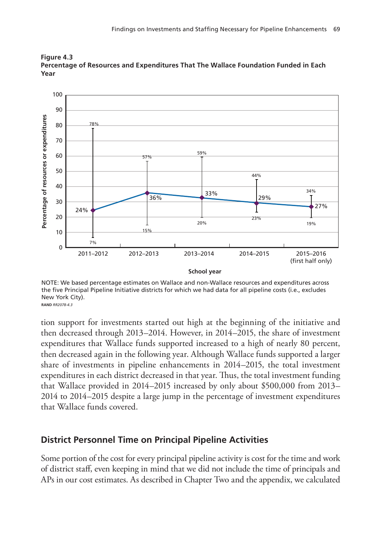

**Figure 4.3 Percentage of Resources and Expenditures That The Wallace Foundation Funded in Each Year**

NOTE: We based percentage estimates on Wallace and non-Wallace resources and expenditures across the five Principal Pipeline Initiative districts for which we had data for all pipeline costs (i.e., excludes New York City). **RAND RR2078-4.3** 

tion support for investments started out high at the beginning of the initiative and then decreased through 2013–2014. However, in 2014–2015, the share of investment expenditures that Wallace funds supported increased to a high of nearly 80 percent, then decreased again in the following year. Although Wallace funds supported a larger share of investments in pipeline enhancements in 2014–2015, the total investment expenditures in each district decreased in that year. Thus, the total investment funding that Wallace provided in 2014–2015 increased by only about \$500,000 from 2013– 2014 to 2014–2015 despite a large jump in the percentage of investment expenditures that Wallace funds covered.

### **District Personnel Time on Principal Pipeline Activities**

Some portion of the cost for every principal pipeline activity is cost for the time and work of district staff, even keeping in mind that we did not include the time of principals and APs in our cost estimates. As described in Chapter Two and the appendix, we calculated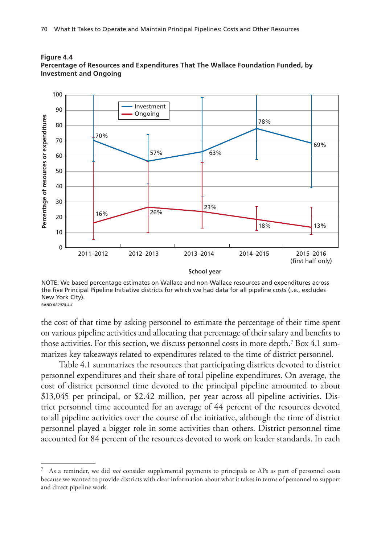

#### **Figure 4.4 Percentage of Resources and Expenditures That The Wallace Foundation Funded, by Investment and Ongoing**

NOTE: We based percentage estimates on Wallace and non-Wallace resources and expenditures across the five Principal Pipeline Initiative districts for which we had data for all pipeline costs (i.e., excludes New York City). RAND RR2078-4.4

the cost of that time by asking personnel to estimate the percentage of their time spent on various pipeline activities and allocating that percentage of their salary and benefits to those activities. For this section, we discuss personnel costs in more depth.7 Box 4.1 summarizes key takeaways related to expenditures related to the time of district personnel.

Table 4.1 summarizes the resources that participating districts devoted to district personnel expenditures and their share of total pipeline expenditures. On average, the cost of district personnel time devoted to the principal pipeline amounted to about \$13,045 per principal, or \$2.42 million, per year across all pipeline activities. District personnel time accounted for an average of 44 percent of the resources devoted to all pipeline activities over the course of the initiative, although the time of district personnel played a bigger role in some activities than others. District personnel time accounted for 84 percent of the resources devoted to work on leader standards. In each

<sup>7</sup> As a reminder, we did *not* consider supplemental payments to principals or APs as part of personnel costs because we wanted to provide districts with clear information about what it takes in terms of personnel to support and direct pipeline work.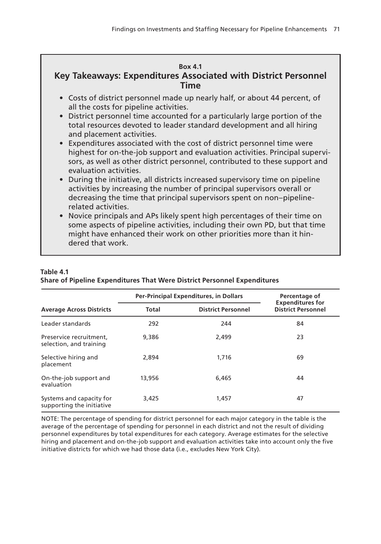### **Box 4.1 Key Takeaways: Expenditures Associated with District Personnel Time**

- Costs of district personnel made up nearly half, or about 44 percent, of all the costs for pipeline activities.
- District personnel time accounted for a particularly large portion of the total resources devoted to leader standard development and all hiring and placement activities.
- Expenditures associated with the cost of district personnel time were highest for on-the-job support and evaluation activities. Principal supervisors, as well as other district personnel, contributed to these support and evaluation activities.
- During the initiative, all districts increased supervisory time on pipeline activities by increasing the number of principal supervisors overall or decreasing the time that principal supervisors spent on non–pipelinerelated activities.
- Novice principals and APs likely spent high percentages of their time on some aspects of pipeline activities, including their own PD, but that time might have enhanced their work on other priorities more than it hindered that work.

|                                                       |        | Per-Principal Expenditures, in Dollars | Percentage of<br><b>Expenditures for</b> |  |
|-------------------------------------------------------|--------|----------------------------------------|------------------------------------------|--|
| <b>Average Across Districts</b>                       | Total  | <b>District Personnel</b>              | <b>District Personnel</b>                |  |
| Leader standards                                      | 292    | 244                                    | 84                                       |  |
| Preservice recruitment,<br>selection, and training    | 9,386  | 2.499                                  | 23                                       |  |
| Selective hiring and<br>placement                     | 2,894  | 1.716                                  | 69                                       |  |
| On-the-job support and<br>evaluation                  | 13,956 | 6.465                                  | 44                                       |  |
| Systems and capacity for<br>supporting the initiative | 3,425  | 1,457                                  | 47                                       |  |

### **Table 4.1**

**Share of Pipeline Expenditures That Were District Personnel Expenditures**

NOTE: The percentage of spending for district personnel for each major category in the table is the average of the percentage of spending for personnel in each district and not the result of dividing personnel expenditures by total expenditures for each category. Average estimates for the selective hiring and placement and on-the-job support and evaluation activities take into account only the five initiative districts for which we had those data (i.e., excludes New York City).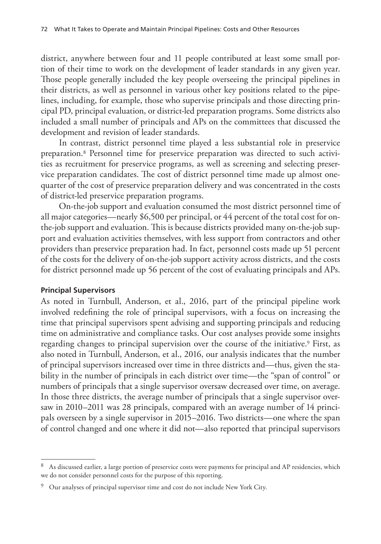district, anywhere between four and 11 people contributed at least some small portion of their time to work on the development of leader standards in any given year. Those people generally included the key people overseeing the principal pipelines in their districts, as well as personnel in various other key positions related to the pipelines, including, for example, those who supervise principals and those directing principal PD, principal evaluation, or district-led preparation programs. Some districts also included a small number of principals and APs on the committees that discussed the development and revision of leader standards.

In contrast, district personnel time played a less substantial role in preservice preparation.8 Personnel time for preservice preparation was directed to such activities as recruitment for preservice programs, as well as screening and selecting preservice preparation candidates. The cost of district personnel time made up almost onequarter of the cost of preservice preparation delivery and was concentrated in the costs of district-led preservice preparation programs.

On-the-job support and evaluation consumed the most district personnel time of all major categories—nearly \$6,500 per principal, or 44 percent of the total cost for onthe-job support and evaluation. This is because districts provided many on-the-job support and evaluation activities themselves, with less support from contractors and other providers than preservice preparation had. In fact, personnel costs made up 51 percent of the costs for the delivery of on-the-job support activity across districts, and the costs for district personnel made up 56 percent of the cost of evaluating principals and APs.

### **Principal Supervisors**

As noted in Turnbull, Anderson, et al., 2016, part of the principal pipeline work involved redefining the role of principal supervisors, with a focus on increasing the time that principal supervisors spent advising and supporting principals and reducing time on administrative and compliance tasks. Our cost analyses provide some insights regarding changes to principal supervision over the course of the initiative.<sup>9</sup> First, as also noted in Turnbull, Anderson, et al., 2016, our analysis indicates that the number of principal supervisors increased over time in three districts and—thus, given the stability in the number of principals in each district over time—the "span of control" or numbers of principals that a single supervisor oversaw decreased over time, on average. In those three districts, the average number of principals that a single supervisor oversaw in 2010–2011 was 28 principals, compared with an average number of 14 principals overseen by a single supervisor in 2015–2016. Two districts—one where the span of control changed and one where it did not—also reported that principal supervisors

<sup>&</sup>lt;sup>8</sup> As discussed earlier, a large portion of preservice costs were payments for principal and AP residencies, which we do not consider personnel costs for the purpose of this reporting.

<sup>&</sup>lt;sup>9</sup> Our analyses of principal supervisor time and cost do not include New York City.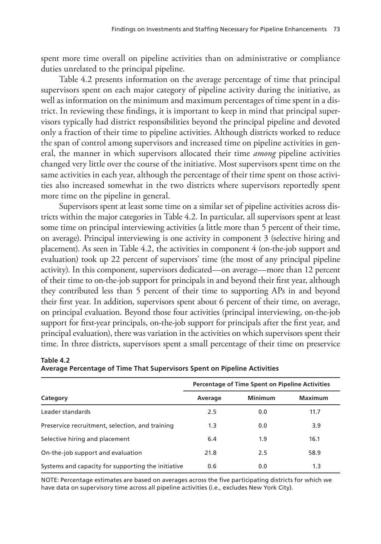spent more time overall on pipeline activities than on administrative or compliance duties unrelated to the principal pipeline.

Table 4.2 presents information on the average percentage of time that principal supervisors spent on each major category of pipeline activity during the initiative, as well as information on the minimum and maximum percentages of time spent in a district. In reviewing these findings, it is important to keep in mind that principal supervisors typically had district responsibilities beyond the principal pipeline and devoted only a fraction of their time to pipeline activities. Although districts worked to reduce the span of control among supervisors and increased time on pipeline activities in general, the manner in which supervisors allocated their time *among* pipeline activities changed very little over the course of the initiative. Most supervisors spent time on the same activities in each year, although the percentage of their time spent on those activities also increased somewhat in the two districts where supervisors reportedly spent more time on the pipeline in general.

Supervisors spent at least some time on a similar set of pipeline activities across districts within the major categories in Table 4.2. In particular, all supervisors spent at least some time on principal interviewing activities (a little more than 5 percent of their time, on average). Principal interviewing is one activity in component 3 (selective hiring and placement). As seen in Table 4.2, the activities in component 4 (on-the-job support and evaluation) took up 22 percent of supervisors' time (the most of any principal pipeline activity). In this component, supervisors dedicated—on average—more than 12 percent of their time to on-the-job support for principals in and beyond their first year, although they contributed less than 5 percent of their time to supporting APs in and beyond their first year. In addition, supervisors spent about 6 percent of their time, on average, on principal evaluation. Beyond those four activities (principal interviewing, on-the-job support for first-year principals, on-the-job support for principals after the first year, and principal evaluation), there was variation in the activities on which supervisors spent their time. In three districts, supervisors spent a small percentage of their time on preservice

|                                                    | Percentage of Time Spent on Pipeline Activities |         |         |
|----------------------------------------------------|-------------------------------------------------|---------|---------|
| Category                                           | Average                                         | Minimum | Maximum |
| Leader standards                                   | 2.5                                             | 0.0     | 11.7    |
| Preservice recruitment, selection, and training    | 1.3                                             | 0.0     | 3.9     |
| Selective hiring and placement                     | 6.4                                             | 1.9     | 16.1    |
| On-the-job support and evaluation                  | 21.8                                            | 2.5     | 58.9    |
| Systems and capacity for supporting the initiative | 0.6                                             | 0.0     | 1.3     |

### **Table 4.2 Average Percentage of Time That Supervisors Spent on Pipeline Activities**

NOTE: Percentage estimates are based on averages across the five participating districts for which we have data on supervisory time across all pipeline activities (i.e., excludes New York City).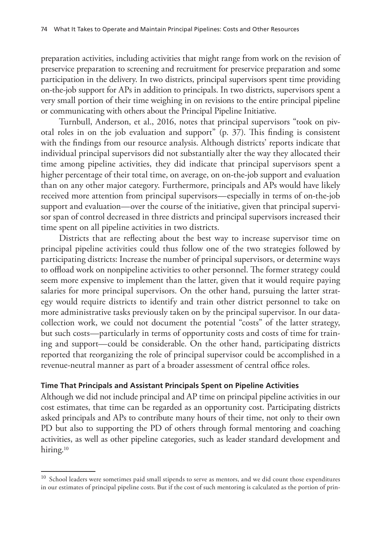preparation activities, including activities that might range from work on the revision of preservice preparation to screening and recruitment for preservice preparation and some participation in the delivery. In two districts, principal supervisors spent time providing on-the-job support for APs in addition to principals. In two districts, supervisors spent a very small portion of their time weighing in on revisions to the entire principal pipeline or communicating with others about the Principal Pipeline Initiative.

Turnbull, Anderson, et al., 2016, notes that principal supervisors "took on pivotal roles in on the job evaluation and support" (p. 37). This finding is consistent with the findings from our resource analysis. Although districts' reports indicate that individual principal supervisors did not substantially alter the way they allocated their time among pipeline activities, they did indicate that principal supervisors spent a higher percentage of their total time, on average, on on-the-job support and evaluation than on any other major category. Furthermore, principals and APs would have likely received more attention from principal supervisors—especially in terms of on-the-job support and evaluation—over the course of the initiative, given that principal supervisor span of control decreased in three districts and principal supervisors increased their time spent on all pipeline activities in two districts.

Districts that are reflecting about the best way to increase supervisor time on principal pipeline activities could thus follow one of the two strategies followed by participating districts: Increase the number of principal supervisors, or determine ways to offload work on nonpipeline activities to other personnel. The former strategy could seem more expensive to implement than the latter, given that it would require paying salaries for more principal supervisors. On the other hand, pursuing the latter strategy would require districts to identify and train other district personnel to take on more administrative tasks previously taken on by the principal supervisor. In our datacollection work, we could not document the potential "costs" of the latter strategy, but such costs—particularly in terms of opportunity costs and costs of time for training and support—could be considerable. On the other hand, participating districts reported that reorganizing the role of principal supervisor could be accomplished in a revenue-neutral manner as part of a broader assessment of central office roles.

### **Time That Principals and Assistant Principals Spent on Pipeline Activities**

Although we did not include principal and AP time on principal pipeline activities in our cost estimates, that time can be regarded as an opportunity cost. Participating districts asked principals and APs to contribute many hours of their time, not only to their own PD but also to supporting the PD of others through formal mentoring and coaching activities, as well as other pipeline categories, such as leader standard development and hiring.<sup>10</sup>

<sup>&</sup>lt;sup>10</sup> School leaders were sometimes paid small stipends to serve as mentors, and we did count those expenditures in our estimates of principal pipeline costs. But if the cost of such mentoring is calculated as the portion of prin-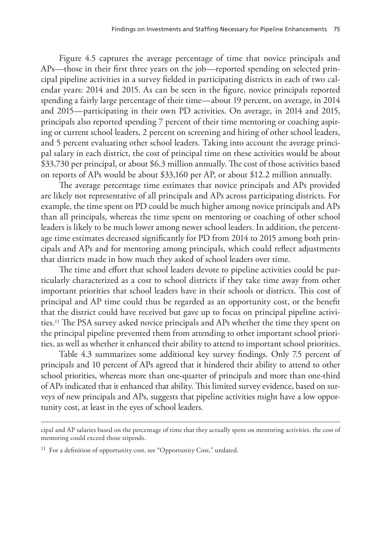Figure 4.5 captures the average percentage of time that novice principals and APs—those in their first three years on the job—reported spending on selected principal pipeline activities in a survey fielded in participating districts in each of two calendar years: 2014 and 2015. As can be seen in the figure, novice principals reported spending a fairly large percentage of their time—about 19 percent, on average, in 2014 and 2015—participating in their own PD activities. On average, in 2014 and 2015, principals also reported spending 7 percent of their time mentoring or coaching aspiring or current school leaders, 2 percent on screening and hiring of other school leaders, and 5 percent evaluating other school leaders. Taking into account the average principal salary in each district, the cost of principal time on these activities would be about \$33,730 per principal, or about \$6.3 million annually. The cost of those activities based on reports of APs would be about \$33,160 per AP, or about \$12.2 million annually.

The average percentage time estimates that novice principals and APs provided are likely not representative of all principals and APs across participating districts. For example, the time spent on PD could be much higher among novice principals and APs than all principals, whereas the time spent on mentoring or coaching of other school leaders is likely to be much lower among newer school leaders. In addition, the percentage time estimates decreased significantly for PD from 2014 to 2015 among both principals and APs and for mentoring among principals, which could reflect adjustments that districts made in how much they asked of school leaders over time.

The time and effort that school leaders devote to pipeline activities could be particularly characterized as a cost to school districts if they take time away from other important priorities that school leaders have in their schools or districts. This cost of principal and AP time could thus be regarded as an opportunity cost, or the benefit that the district could have received but gave up to focus on principal pipeline activities.11 The PSA survey asked novice principals and APs whether the time they spent on the principal pipeline prevented them from attending to other important school priorities, as well as whether it enhanced their ability to attend to important school priorities.

Table 4.3 summarizes some additional key survey findings. Only 7.5 percent of principals and 10 percent of APs agreed that it hindered their ability to attend to other school priorities, whereas more than one-quarter of principals and more than one-third of APs indicated that it enhanced that ability. This limited survey evidence, based on surveys of new principals and APs, suggests that pipeline activities might have a low opportunity cost, at least in the eyes of school leaders.

cipal and AP salaries based on the percentage of time that they actually spent on mentoring activities, the cost of mentoring could exceed those stipends.

<sup>&</sup>lt;sup>11</sup> For a definition of opportunity cost, see "Opportunity Cost," undated.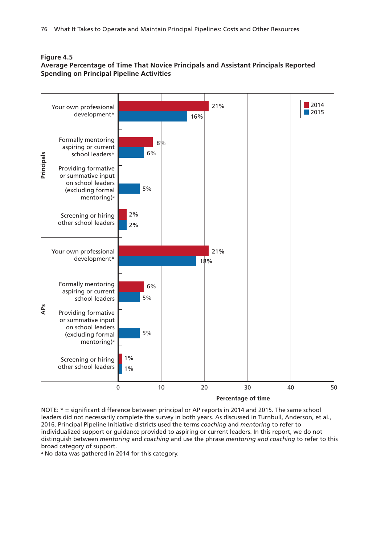

### **Figure 4.5**

**Average Percentage of Time That Novice Principals and Assistant Principals Reported Spending on Principal Pipeline Activities**

NOTE: \* = significant difference between principal or AP reports in 2014 and 2015. The same school leaders did not necessarily complete the survey in both years. As discussed in Turnbull, Anderson, et al., 2016, Principal Pipeline Initiative districts used the terms *coaching* and *mentoring* to refer to individualized support or guidance provided to aspiring or current leaders. In this report, we do not distinguish between *mentoring* and *coaching* and use the phrase *mentoring and coaching* to refer to this broad category of support.

<sup>a</sup> No data was gathered in 2014 for this category.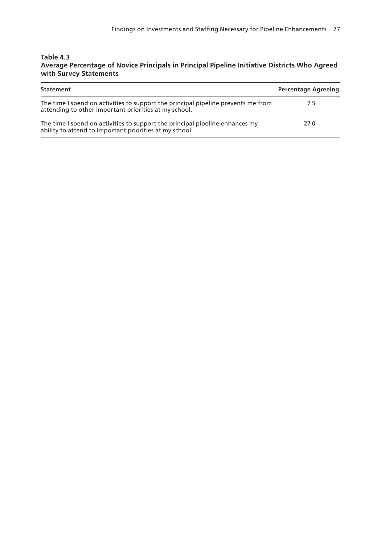#### **Table 4.3 Average Percentage of Novice Principals in Principal Pipeline Initiative Districts Who Agreed with Survey Statements**

| Statement                                                                                                                                  | <b>Percentage Agreeing</b> |
|--------------------------------------------------------------------------------------------------------------------------------------------|----------------------------|
| The time I spend on activities to support the principal pipeline prevents me from<br>attending to other important priorities at my school. | 7.5                        |
| The time I spend on activities to support the principal pipeline enhances my<br>ability to attend to important priorities at my school.    | 27.0                       |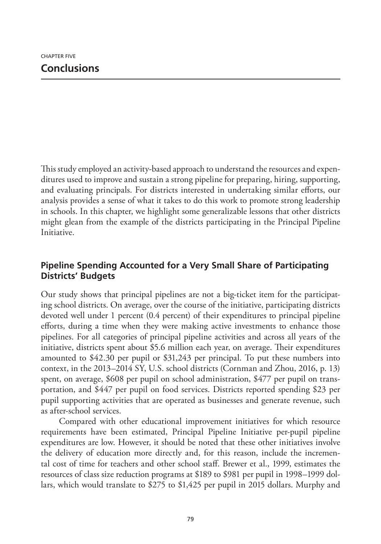This study employed an activity-based approach to understand the resources and expenditures used to improve and sustain a strong pipeline for preparing, hiring, supporting, and evaluating principals. For districts interested in undertaking similar efforts, our analysis provides a sense of what it takes to do this work to promote strong leadership in schools. In this chapter, we highlight some generalizable lessons that other districts might glean from the example of the districts participating in the Principal Pipeline Initiative.

# **Pipeline Spending Accounted for a Very Small Share of Participating Districts' Budgets**

Our study shows that principal pipelines are not a big-ticket item for the participating school districts. On average, over the course of the initiative, participating districts devoted well under 1 percent (0.4 percent) of their expenditures to principal pipeline efforts, during a time when they were making active investments to enhance those pipelines. For all categories of principal pipeline activities and across all years of the initiative, districts spent about \$5.6 million each year, on average. Their expenditures amounted to \$42.30 per pupil or \$31,243 per principal. To put these numbers into context, in the 2013–2014 SY, U.S. school districts (Cornman and Zhou, 2016, p. 13) spent, on average, \$608 per pupil on school administration, \$477 per pupil on transportation, and \$447 per pupil on food services. Districts reported spending \$23 per pupil supporting activities that are operated as businesses and generate revenue, such as after-school services.

Compared with other educational improvement initiatives for which resource requirements have been estimated, Principal Pipeline Initiative per-pupil pipeline expenditures are low. However, it should be noted that these other initiatives involve the delivery of education more directly and, for this reason, include the incremental cost of time for teachers and other school staff. Brewer et al., 1999, estimates the resources of class size reduction programs at \$189 to \$981 per pupil in 1998–1999 dollars, which would translate to \$275 to \$1,425 per pupil in 2015 dollars. Murphy and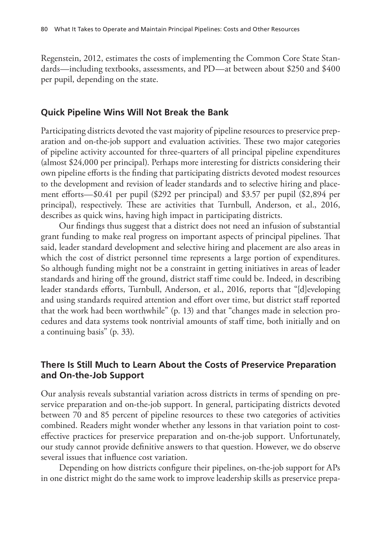Regenstein, 2012, estimates the costs of implementing the Common Core State Standards—including textbooks, assessments, and PD—at between about \$250 and \$400 per pupil, depending on the state.

### **Quick Pipeline Wins Will Not Break the Bank**

Participating districts devoted the vast majority of pipeline resources to preservice preparation and on-the-job support and evaluation activities. These two major categories of pipeline activity accounted for three-quarters of all principal pipeline expenditures (almost \$24,000 per principal). Perhaps more interesting for districts considering their own pipeline efforts is the finding that participating districts devoted modest resources to the development and revision of leader standards and to selective hiring and placement efforts—\$0.41 per pupil (\$292 per principal) and \$3.57 per pupil (\$2,894 per principal), respectively. These are activities that Turnbull, Anderson, et al., 2016, describes as quick wins, having high impact in participating districts.

Our findings thus suggest that a district does not need an infusion of substantial grant funding to make real progress on important aspects of principal pipelines. That said, leader standard development and selective hiring and placement are also areas in which the cost of district personnel time represents a large portion of expenditures. So although funding might not be a constraint in getting initiatives in areas of leader standards and hiring off the ground, district staff time could be. Indeed, in describing leader standards efforts, Turnbull, Anderson, et al., 2016, reports that "[d]eveloping and using standards required attention and effort over time, but district staff reported that the work had been worthwhile" (p. 13) and that "changes made in selection procedures and data systems took nontrivial amounts of staff time, both initially and on a continuing basis" (p. 33).

# **There Is Still Much to Learn About the Costs of Preservice Preparation and On-the-Job Support**

Our analysis reveals substantial variation across districts in terms of spending on preservice preparation and on-the-job support. In general, participating districts devoted between 70 and 85 percent of pipeline resources to these two categories of activities combined. Readers might wonder whether any lessons in that variation point to costeffective practices for preservice preparation and on-the-job support. Unfortunately, our study cannot provide definitive answers to that question. However, we do observe several issues that influence cost variation.

Depending on how districts configure their pipelines, on-the-job support for APs in one district might do the same work to improve leadership skills as preservice prepa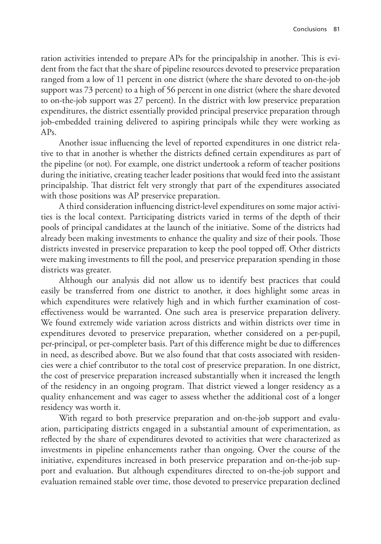ration activities intended to prepare APs for the principalship in another. This is evident from the fact that the share of pipeline resources devoted to preservice preparation ranged from a low of 11 percent in one district (where the share devoted to on-the-job support was 73 percent) to a high of 56 percent in one district (where the share devoted to on-the-job support was 27 percent). In the district with low preservice preparation expenditures, the district essentially provided principal preservice preparation through job-embedded training delivered to aspiring principals while they were working as  $APs$ .

Another issue influencing the level of reported expenditures in one district relative to that in another is whether the districts defined certain expenditures as part of the pipeline (or not). For example, one district undertook a reform of teacher positions during the initiative, creating teacher leader positions that would feed into the assistant principalship. That district felt very strongly that part of the expenditures associated with those positions was AP preservice preparation.

A third consideration influencing district-level expenditures on some major activities is the local context. Participating districts varied in terms of the depth of their pools of principal candidates at the launch of the initiative. Some of the districts had already been making investments to enhance the quality and size of their pools. Those districts invested in preservice preparation to keep the pool topped off. Other districts were making investments to fill the pool, and preservice preparation spending in those districts was greater.

Although our analysis did not allow us to identify best practices that could easily be transferred from one district to another, it does highlight some areas in which expenditures were relatively high and in which further examination of costeffectiveness would be warranted. One such area is preservice preparation delivery. We found extremely wide variation across districts and within districts over time in expenditures devoted to preservice preparation, whether considered on a per-pupil, per-principal, or per-completer basis. Part of this difference might be due to differences in need, as described above. But we also found that that costs associated with residencies were a chief contributor to the total cost of preservice preparation. In one district, the cost of preservice preparation increased substantially when it increased the length of the residency in an ongoing program. That district viewed a longer residency as a quality enhancement and was eager to assess whether the additional cost of a longer residency was worth it.

With regard to both preservice preparation and on-the-job support and evaluation, participating districts engaged in a substantial amount of experimentation, as reflected by the share of expenditures devoted to activities that were characterized as investments in pipeline enhancements rather than ongoing. Over the course of the initiative, expenditures increased in both preservice preparation and on-the-job support and evaluation. But although expenditures directed to on-the-job support and evaluation remained stable over time, those devoted to preservice preparation declined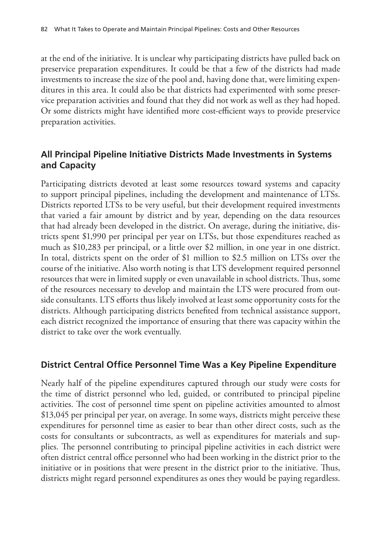at the end of the initiative. It is unclear why participating districts have pulled back on preservice preparation expenditures. It could be that a few of the districts had made investments to increase the size of the pool and, having done that, were limiting expenditures in this area. It could also be that districts had experimented with some preservice preparation activities and found that they did not work as well as they had hoped. Or some districts might have identified more cost-efficient ways to provide preservice preparation activities.

# **All Principal Pipeline Initiative Districts Made Investments in Systems and Capacity**

Participating districts devoted at least some resources toward systems and capacity to support principal pipelines, including the development and maintenance of LTSs. Districts reported LTSs to be very useful, but their development required investments that varied a fair amount by district and by year, depending on the data resources that had already been developed in the district. On average, during the initiative, districts spent \$1,990 per principal per year on LTSs, but those expenditures reached as much as \$10,283 per principal, or a little over \$2 million, in one year in one district. In total, districts spent on the order of \$1 million to \$2.5 million on LTSs over the course of the initiative. Also worth noting is that LTS development required personnel resources that were in limited supply or even unavailable in school districts. Thus, some of the resources necessary to develop and maintain the LTS were procured from outside consultants. LTS efforts thus likely involved at least some opportunity costs for the districts. Although participating districts benefited from technical assistance support, each district recognized the importance of ensuring that there was capacity within the district to take over the work eventually.

# **District Central Office Personnel Time Was a Key Pipeline Expenditure**

Nearly half of the pipeline expenditures captured through our study were costs for the time of district personnel who led, guided, or contributed to principal pipeline activities. The cost of personnel time spent on pipeline activities amounted to almost \$13,045 per principal per year, on average. In some ways, districts might perceive these expenditures for personnel time as easier to bear than other direct costs, such as the costs for consultants or subcontracts, as well as expenditures for materials and supplies. The personnel contributing to principal pipeline activities in each district were often district central office personnel who had been working in the district prior to the initiative or in positions that were present in the district prior to the initiative. Thus, districts might regard personnel expenditures as ones they would be paying regardless.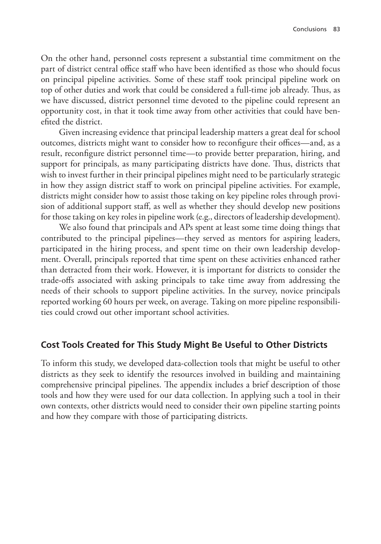On the other hand, personnel costs represent a substantial time commitment on the part of district central office staff who have been identified as those who should focus on principal pipeline activities. Some of these staff took principal pipeline work on top of other duties and work that could be considered a full-time job already. Thus, as we have discussed, district personnel time devoted to the pipeline could represent an opportunity cost, in that it took time away from other activities that could have benefited the district.

Given increasing evidence that principal leadership matters a great deal for school outcomes, districts might want to consider how to reconfigure their offices—and, as a result, reconfigure district personnel time—to provide better preparation, hiring, and support for principals, as many participating districts have done. Thus, districts that wish to invest further in their principal pipelines might need to be particularly strategic in how they assign district staff to work on principal pipeline activities. For example, districts might consider how to assist those taking on key pipeline roles through provision of additional support staff, as well as whether they should develop new positions for those taking on key roles in pipeline work (e.g., directors of leadership development).

We also found that principals and APs spent at least some time doing things that contributed to the principal pipelines—they served as mentors for aspiring leaders, participated in the hiring process, and spent time on their own leadership development. Overall, principals reported that time spent on these activities enhanced rather than detracted from their work. However, it is important for districts to consider the trade-offs associated with asking principals to take time away from addressing the needs of their schools to support pipeline activities. In the survey, novice principals reported working 60 hours per week, on average. Taking on more pipeline responsibilities could crowd out other important school activities.

## **Cost Tools Created for This Study Might Be Useful to Other Districts**

To inform this study, we developed data-collection tools that might be useful to other districts as they seek to identify the resources involved in building and maintaining comprehensive principal pipelines. The appendix includes a brief description of those tools and how they were used for our data collection. In applying such a tool in their own contexts, other districts would need to consider their own pipeline starting points and how they compare with those of participating districts.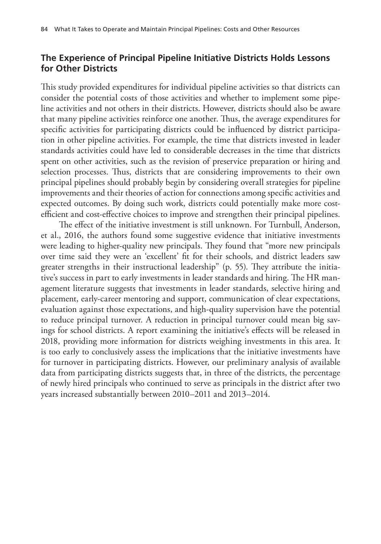## **The Experience of Principal Pipeline Initiative Districts Holds Lessons for Other Districts**

This study provided expenditures for individual pipeline activities so that districts can consider the potential costs of those activities and whether to implement some pipeline activities and not others in their districts. However, districts should also be aware that many pipeline activities reinforce one another. Thus, the average expenditures for specific activities for participating districts could be influenced by district participation in other pipeline activities. For example, the time that districts invested in leader standards activities could have led to considerable decreases in the time that districts spent on other activities, such as the revision of preservice preparation or hiring and selection processes. Thus, districts that are considering improvements to their own principal pipelines should probably begin by considering overall strategies for pipeline improvements and their theories of action for connections among specific activities and expected outcomes. By doing such work, districts could potentially make more costefficient and cost-effective choices to improve and strengthen their principal pipelines.

The effect of the initiative investment is still unknown. For Turnbull, Anderson, et al., 2016, the authors found some suggestive evidence that initiative investments were leading to higher-quality new principals. They found that "more new principals over time said they were an 'excellent' fit for their schools, and district leaders saw greater strengths in their instructional leadership" (p. 55). They attribute the initiative's success in part to early investments in leader standards and hiring. The HR management literature suggests that investments in leader standards, selective hiring and placement, early-career mentoring and support, communication of clear expectations, evaluation against those expectations, and high-quality supervision have the potential to reduce principal turnover. A reduction in principal turnover could mean big savings for school districts. A report examining the initiative's effects will be released in 2018, providing more information for districts weighing investments in this area. It is too early to conclusively assess the implications that the initiative investments have for turnover in participating districts. However, our preliminary analysis of available data from participating districts suggests that, in three of the districts, the percentage of newly hired principals who continued to serve as principals in the district after two years increased substantially between 2010–2011 and 2013–2014.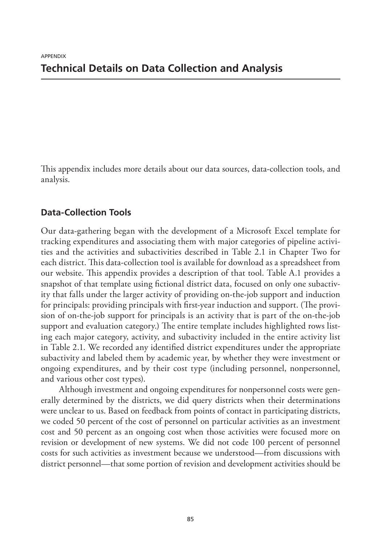This appendix includes more details about our data sources, data-collection tools, and analysis.

## **Data-Collection Tools**

Our data-gathering began with the development of a Microsoft Excel template for tracking expenditures and associating them with major categories of pipeline activities and the activities and subactivities described in Table 2.1 in Chapter Two for each district. This data-collection tool is available for download as a spreadsheet from our website. This appendix provides a description of that tool. Table A.1 provides a snapshot of that template using fictional district data, focused on only one subactivity that falls under the larger activity of providing on-the-job support and induction for principals: providing principals with first-year induction and support. (The provision of on-the-job support for principals is an activity that is part of the on-the-job support and evaluation category.) The entire template includes highlighted rows listing each major category, activity, and subactivity included in the entire activity list in Table 2.1. We recorded any identified district expenditures under the appropriate subactivity and labeled them by academic year, by whether they were investment or ongoing expenditures, and by their cost type (including personnel, nonpersonnel, and various other cost types).

Although investment and ongoing expenditures for nonpersonnel costs were generally determined by the districts, we did query districts when their determinations were unclear to us. Based on feedback from points of contact in participating districts, we coded 50 percent of the cost of personnel on particular activities as an investment cost and 50 percent as an ongoing cost when those activities were focused more on revision or development of new systems. We did not code 100 percent of personnel costs for such activities as investment because we understood—from discussions with district personnel—that some portion of revision and development activities should be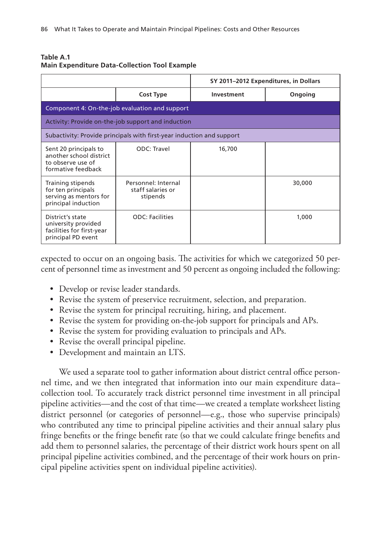| Table A.1 |                                                      |  |  |
|-----------|------------------------------------------------------|--|--|
|           | <b>Main Expenditure Data-Collection Tool Example</b> |  |  |

|                                                                                             |                                                      | SY 2011–2012 Expenditures, in Dollars |         |  |  |
|---------------------------------------------------------------------------------------------|------------------------------------------------------|---------------------------------------|---------|--|--|
|                                                                                             | <b>Cost Type</b>                                     | Investment                            | Ongoing |  |  |
| Component 4: On-the-job evaluation and support                                              |                                                      |                                       |         |  |  |
| Activity: Provide on-the-job support and induction                                          |                                                      |                                       |         |  |  |
| Subactivity: Provide principals with first-year induction and support                       |                                                      |                                       |         |  |  |
| Sent 20 principals to<br>another school district<br>to observe use of<br>formative feedback | ODC: Travel                                          | 16,700                                |         |  |  |
| Training stipends<br>for ten principals<br>serving as mentors for<br>principal induction    | Personnel: Internal<br>staff salaries or<br>stipends |                                       | 30,000  |  |  |
| District's state<br>university provided<br>facilities for first-year<br>principal PD event  | <b>ODC: Facilities</b>                               |                                       | 1,000   |  |  |

expected to occur on an ongoing basis. The activities for which we categorized 50 percent of personnel time as investment and 50 percent as ongoing included the following:

- Develop or revise leader standards.
- Revise the system of preservice recruitment, selection, and preparation.
- Revise the system for principal recruiting, hiring, and placement.
- Revise the system for providing on-the-job support for principals and APs.
- Revise the system for providing evaluation to principals and APs.
- Revise the overall principal pipeline.
- Development and maintain an LTS.

We used a separate tool to gather information about district central office personnel time, and we then integrated that information into our main expenditure data– collection tool. To accurately track district personnel time investment in all principal pipeline activities—and the cost of that time—we created a template worksheet listing district personnel (or categories of personnel—e.g., those who supervise principals) who contributed any time to principal pipeline activities and their annual salary plus fringe benefits or the fringe benefit rate (so that we could calculate fringe benefits and add them to personnel salaries, the percentage of their district work hours spent on all principal pipeline activities combined, and the percentage of their work hours on principal pipeline activities spent on individual pipeline activities).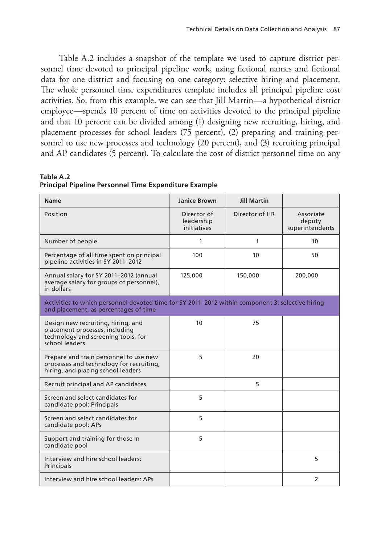Table A.2 includes a snapshot of the template we used to capture district personnel time devoted to principal pipeline work, using fictional names and fictional data for one district and focusing on one category: selective hiring and placement. The whole personnel time expenditures template includes all principal pipeline cost activities. So, from this example, we can see that Jill Martin—a hypothetical district employee—spends 10 percent of time on activities devoted to the principal pipeline and that 10 percent can be divided among (1) designing new recruiting, hiring, and placement processes for school leaders (75 percent), (2) preparing and training personnel to use new processes and technology (20 percent), and (3) recruiting principal and AP candidates (5 percent). To calculate the cost of district personnel time on any

| Table A.2 |  |  |                                                       |  |
|-----------|--|--|-------------------------------------------------------|--|
|           |  |  | Principal Pipeline Personnel Time Expenditure Example |  |

| <b>Name</b>                                                                                                                               | <b>Janice Brown</b>                      | <b>Jill Martin</b> |                                        |  |
|-------------------------------------------------------------------------------------------------------------------------------------------|------------------------------------------|--------------------|----------------------------------------|--|
| Position                                                                                                                                  | Director of<br>leadership<br>initiatives | Director of HR     | Associate<br>deputy<br>superintendents |  |
| Number of people                                                                                                                          | 1                                        | 1                  | 10                                     |  |
| Percentage of all time spent on principal<br>pipeline activities in SY 2011-2012                                                          | 100                                      | 10                 | 50                                     |  |
| Annual salary for SY 2011-2012 (annual<br>average salary for groups of personnel),<br>in dollars                                          | 125,000                                  | 150,000            | 200,000                                |  |
| Activities to which personnel devoted time for SY 2011-2012 within component 3: selective hiring<br>and placement, as percentages of time |                                          |                    |                                        |  |
| Design new recruiting, hiring, and<br>placement processes, including<br>technology and screening tools, for<br>school leaders             | 10                                       | 75                 |                                        |  |
| Prepare and train personnel to use new<br>processes and technology for recruiting,<br>hiring, and placing school leaders                  | 5                                        | 20                 |                                        |  |
| Recruit principal and AP candidates                                                                                                       |                                          | 5                  |                                        |  |
| Screen and select candidates for<br>candidate pool: Principals                                                                            | 5                                        |                    |                                        |  |
| Screen and select candidates for<br>candidate pool: APs                                                                                   | 5                                        |                    |                                        |  |
| Support and training for those in<br>candidate pool                                                                                       | 5                                        |                    |                                        |  |
| Interview and hire school leaders:<br>Principals                                                                                          |                                          |                    | 5                                      |  |
| Interview and hire school leaders: APs                                                                                                    |                                          |                    | 2                                      |  |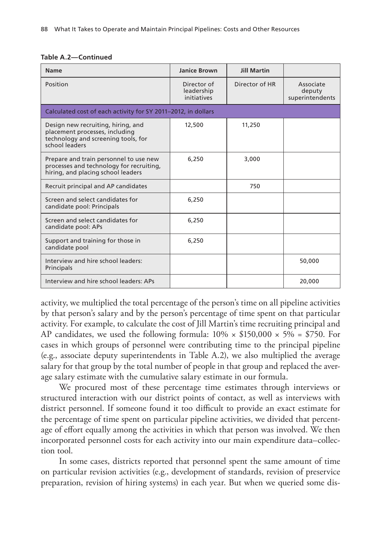|  |  | Table A.2-Continued |  |
|--|--|---------------------|--|
|--|--|---------------------|--|

| <b>Name</b>                                                                                                                   | <b>Janice Brown</b>                      | <b>Jill Martin</b> |                                        |  |  |
|-------------------------------------------------------------------------------------------------------------------------------|------------------------------------------|--------------------|----------------------------------------|--|--|
| Position                                                                                                                      | Director of<br>leadership<br>initiatives | Director of HR     | Associate<br>deputy<br>superintendents |  |  |
| Calculated cost of each activity for SY 2011-2012, in dollars                                                                 |                                          |                    |                                        |  |  |
| Design new recruiting, hiring, and<br>placement processes, including<br>technology and screening tools, for<br>school leaders | 12,500                                   | 11,250             |                                        |  |  |
| Prepare and train personnel to use new<br>processes and technology for recruiting,<br>hiring, and placing school leaders      | 6.250                                    | 3,000              |                                        |  |  |
| Recruit principal and AP candidates                                                                                           |                                          | 750                |                                        |  |  |
| Screen and select candidates for<br>candidate pool: Principals                                                                | 6,250                                    |                    |                                        |  |  |
| Screen and select candidates for<br>candidate pool: APs                                                                       | 6,250                                    |                    |                                        |  |  |
| Support and training for those in<br>candidate pool                                                                           | 6,250                                    |                    |                                        |  |  |
| Interview and hire school leaders:<br>Principals                                                                              |                                          |                    | 50,000                                 |  |  |
| Interview and hire school leaders: APs                                                                                        |                                          |                    | 20,000                                 |  |  |

activity, we multiplied the total percentage of the person's time on all pipeline activities by that person's salary and by the person's percentage of time spent on that particular activity. For example, to calculate the cost of Jill Martin's time recruiting principal and AP candidates, we used the following formula:  $10\% \times $150,000 \times 5\% = $750$ . For cases in which groups of personnel were contributing time to the principal pipeline (e.g., associate deputy superintendents in Table A.2), we also multiplied the average salary for that group by the total number of people in that group and replaced the average salary estimate with the cumulative salary estimate in our formula.

We procured most of these percentage time estimates through interviews or structured interaction with our district points of contact, as well as interviews with district personnel. If someone found it too difficult to provide an exact estimate for the percentage of time spent on particular pipeline activities, we divided that percentage of effort equally among the activities in which that person was involved. We then incorporated personnel costs for each activity into our main expenditure data–collection tool.

In some cases, districts reported that personnel spent the same amount of time on particular revision activities (e.g., development of standards, revision of preservice preparation, revision of hiring systems) in each year. But when we queried some dis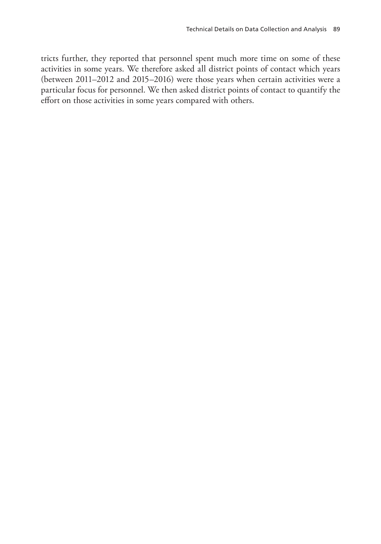tricts further, they reported that personnel spent much more time on some of these activities in some years. We therefore asked all district points of contact which years (between 2011–2012 and 2015–2016) were those years when certain activities were a particular focus for personnel. We then asked district points of contact to quantify the effort on those activities in some years compared with others.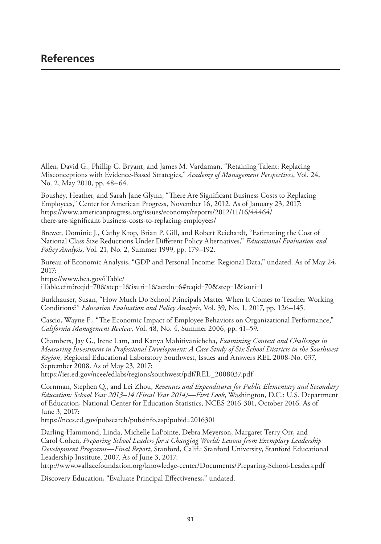Allen, David G., Phillip C. Bryant, and James M. Vardaman, "Retaining Talent: Replacing Misconceptions with Evidence-Based Strategies," *Academy of Management Perspectives*, Vol. 24, No. 2, May 2010, pp. 48–64.

Boushey, Heather, and Sarah Jane Glynn, "There Are Significant Business Costs to Replacing Employees," Center for American Progress, November 16, 2012. As of January 23, 2017: https://www.americanprogress.org/issues/economy/reports/2012/11/16/44464/ there-are-significant-business-costs-to-replacing-employees/

Brewer, Dominic J., Cathy Krop, Brian P. Gill, and Robert Reichardt, "Estimating the Cost of National Class Size Reductions Under Different Policy Alternatives," *Educational Evaluation and Policy Analysis*, Vol. 21, No. 2, Summer 1999, pp. 179–192.

Bureau of Economic Analysis, "GDP and Personal Income: Regional Data," undated. As of May 24, 2017:

https://www.bea.gov/iTable/

iTable.cfm?reqid=70&step=1&isuri=1&acrdn=6#reqid=70&step=1&isuri=1

Burkhauser, Susan, "How Much Do School Principals Matter When It Comes to Teacher Working Conditions?" *Education Evaluation and Policy Analysis*, Vol. 39, No. 1, 2017, pp. 126–145.

Cascio, Wayne F., "The Economic Impact of Employee Behaviors on Organizational Performance," *California Management Review*, Vol. 48, No. 4, Summer 2006, pp. 41–59.

Chambers, Jay G., Irene Lam, and Kanya Mahitivanichcha, *Examining Context and Challenges in Measuring Investment in Professional Development: A Case Study of Six School Districts in the Southwest Region*, Regional Educational Laboratory Southwest, Issues and Answers REL 2008-No. 037, September 2008. As of May 23, 2017:

https://ies.ed.gov/ncee/edlabs/regions/southwest/pdf/REL\_2008037.pdf

Cornman, Stephen Q., and Lei Zhou, *Revenues and Expenditures for Public Elementary and Secondary Education: School Year 2013–14 (Fiscal Year 2014)—First Look*, Washington, D.C.: U.S. Department of Education, National Center for Education Statistics, NCES 2016-301, October 2016. As of June 3, 2017:

https://nces.ed.gov/pubsearch/pubsinfo.asp?pubid=2016301

Darling-Hammond, Linda, Michelle LaPointe, Debra Meyerson, Margaret Terry Orr, and Carol Cohen, *Preparing School Leaders for a Changing World: Lessons from Exemplary Leadership Development Programs—Final Report*, Stanford, Calif.: Stanford University, Stanford Educational Leadership Institute, 2007. As of June 3, 2017:

http://www.wallacefoundation.org/knowledge-center/Documents/Preparing-School-Leaders.pdf

Discovery Education, "Evaluate Principal Effectiveness," undated.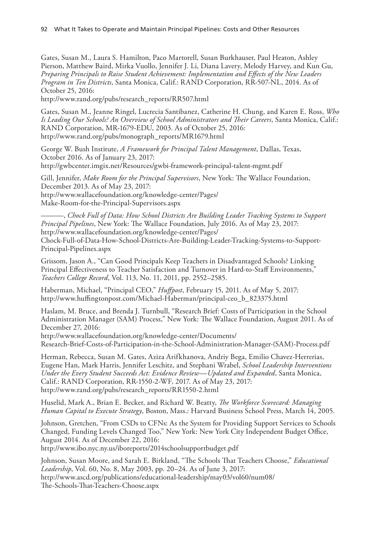Gates, Susan M., Laura S. Hamilton, Paco Martorell, Susan Burkhauser, Paul Heaton, Ashley Pierson, Matthew Baird, Mirka Vuollo, Jennifer J. Li, Diana Lavery, Melody Harvey, and Kun Gu, *Preparing Principals to Raise Student Achievement: Implementation and Effects of the New Leaders Program in Ten Districts*, Santa Monica, Calif.: RAND Corporation, RR-507-NL, 2014. As of October 25, 2016:

http://www.rand.org/pubs/research\_reports/RR507.html

Gates, Susan M., Jeanne Ringel, Lucrecia Santibanez, Catherine H. Chung, and Karen E. Ross, *Who Is Leading Our Schools? An Overview of School Administrators and Their Careers*, Santa Monica, Calif.: RAND Corporation, MR-1679-EDU, 2003. As of October 25, 2016: http://www.rand.org/pubs/monograph\_reports/MR1679.html

George W. Bush Institute, *A Framework for Principal Talent Management*, Dallas, Texas, October 2016. As of January 23, 2017: http://gwbcenter.imgix.net/Resources/gwbi-framework-principal-talent-mgmt.pdf

Gill, Jennifer, *Make Room for the Principal Supervisors*, New York: The Wallace Foundation, December 2013. As of May 23, 2017: http://www.wallacefoundation.org/knowledge-center/Pages/ Make-Room-for-the-Principal-Supervisors.aspx

———, *Chock Full of Data: How School Districts Are Building Leader Tracking Systems to Support Principal Pipelines*, New York: The Wallace Foundation, July 2016. As of May 23, 2017: http://www.wallacefoundation.org/knowledge-center/Pages/ Chock-Full-of-Data-How-School-Districts-Are-Building-Leader-Tracking-Systems-to-Support-Principal-Pipelines.aspx

Grissom, Jason A., "Can Good Principals Keep Teachers in Disadvantaged Schools? Linking Principal Effectiveness to Teacher Satisfaction and Turnover in Hard-to-Staff Environments," *Teachers College Record*, Vol. 113, No. 11, 2011, pp. 2552–2585.

Haberman, Michael, "Principal CEO," *Huffpost*, February 15, 2011. As of May 5, 2017: http://www.huffingtonpost.com/Michael-Haberman/principal-ceo\_b\_823375.html

Haslam, M. Bruce, and Brenda J. Turnbull, "Research Brief: Costs of Participation in the School Administration Manager (SAM) Process," New York: The Wallace Foundation, August 2011. As of December 27, 2016:

http://www.wallacefoundation.org/knowledge-center/Documents/ Research-Brief-Costs-of-Participation-in-the-School-Administration-Manager-(SAM)-Process.pdf

Herman, Rebecca, Susan M. Gates, Aziza Arifkhanova, Andriy Bega, Emilio Chavez-Herrerias, Eugene Han, Mark Harris, Jennifer Leschitz, and Stephani Wrabel, *School Leadership Interventions Under the Every Student Succeeds Act: Evidence Review—Updated and Expanded*, Santa Monica, Calif.: RAND Corporation, RR-1550-2-WF, 2017. As of May 23, 2017: http://www.rand.org/pubs/research\_reports/RR1550-2.html

Huselid, Mark A., Brian E. Becker, and Richard W. Beatty, *The Workforce Scorecard: Managing Human Capital to Execute Strategy*, Boston, Mass.: Harvard Business School Press, March 14, 2005.

Johnson, Gretchen, "From CSDs to CFNs: As the System for Providing Support Services to Schools Changed, Funding Levels Changed Too," New York: New York City Independent Budget Office, August 2014. As of December 22, 2016:

http://www.ibo.nyc.ny.us/iboreports/2014schoolsupportbudget.pdf

Johnson, Susan Moore, and Sarah E. Birkland, "The Schools That Teachers Choose," *Educational Leadership*, Vol. 60, No. 8, May 2003, pp. 20–24. As of June 3, 2017: http://www.ascd.org/publications/educational-leadership/may03/vol60/num08/ The-Schools-That-Teachers-Choose.aspx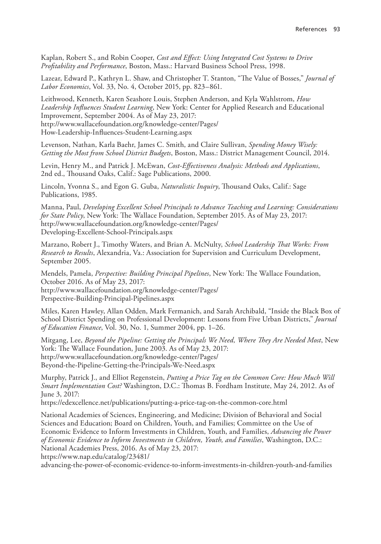Kaplan, Robert S., and Robin Cooper, *Cost and Effect: Using Integrated Cost Systems to Drive Profitability and Performance*, Boston, Mass.: Harvard Business School Press, 1998.

Lazear, Edward P., Kathryn L. Shaw, and Christopher T. Stanton, "The Value of Bosses," *Journal of Labor Economics*, Vol. 33, No. 4, October 2015, pp. 823–861.

Leithwood, Kenneth, Karen Seashore Louis, Stephen Anderson, and Kyla Wahlstrom, *How Leadership Influences Student Learning*, New York: Center for Applied Research and Educational Improvement, September 2004. As of May 23, 2017: http://www.wallacefoundation.org/knowledge-center/Pages/ How-Leadership-Influences-Student-Learning.aspx

Levenson, Nathan, Karla Baehr, James C. Smith, and Claire Sullivan, *Spending Money Wisely: Getting the Most from School District Budgets*, Boston, Mass.: District Management Council, 2014.

Levin, Henry M., and Patrick J. McEwan, *Cost-Effectiveness Analysis: Methods and Applications*, 2nd ed., Thousand Oaks, Calif.: Sage Publications, 2000.

Lincoln, Yvonna S., and Egon G. Guba, *Naturalistic Inquiry*, Thousand Oaks, Calif.: Sage Publications, 1985.

Manna, Paul, *Developing Excellent School Principals to Advance Teaching and Learning: Considerations for State Policy*, New York: The Wallace Foundation, September 2015. As of May 23, 2017: http://www.wallacefoundation.org/knowledge-center/Pages/ Developing-Excellent-School-Principals.aspx

Marzano, Robert J., Timothy Waters, and Brian A. McNulty, *School Leadership That Works: From Research to Results*, Alexandria, Va.: Association for Supervision and Curriculum Development, September 2005.

Mendels, Pamela, *Perspective: Building Principal Pipelines*, New York: The Wallace Foundation, October 2016. As of May 23, 2017: http://www.wallacefoundation.org/knowledge-center/Pages/ Perspective-Building-Principal-Pipelines.aspx

Miles, Karen Hawley, Allan Odden, Mark Fermanich, and Sarah Archibald, "Inside the Black Box of School District Spending on Professional Development: Lessons from Five Urban Districts," *Journal of Education Finance*, Vol. 30, No. 1, Summer 2004, pp. 1–26.

Mitgang, Lee, *Beyond the Pipeline: Getting the Principals We Need, Where They Are Needed Most*, New York: The Wallace Foundation, June 2003. As of May 23, 2017: http://www.wallacefoundation.org/knowledge-center/Pages/ Beyond-the-Pipeline-Getting-the-Principals-We-Need.aspx

Murphy, Patrick J., and Elliot Regenstein, *Putting a Price Tag on the Common Core: How Much Will Smart Implementation Cost?* Washington, D.C.: Thomas B. Fordham Institute, May 24, 2012. As of June 3, 2017:

https://edexcellence.net/publications/putting-a-price-tag-on-the-common-core.html

National Academies of Sciences, Engineering, and Medicine; Division of Behavioral and Social Sciences and Education; Board on Children, Youth, and Families; Committee on the Use of Economic Evidence to Inform Investments in Children, Youth, and Families, *Advancing the Power of Economic Evidence to Inform Investments in Children, Youth, and Families*, Washington, D.C.: National Academies Press, 2016. As of May 23, 2017:

https://www.nap.edu/catalog/23481/

advancing-the-power-of-economic-evidence-to-inform-investments-in-children-youth-and-families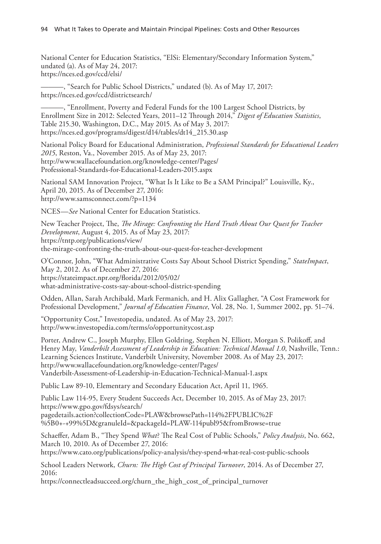National Center for Education Statistics, "ElSi: Elementary/Secondary Information System," undated (a). As of May 24, 2017: https://nces.ed.gov/ccd/elsi/

———, "Search for Public School Districts," undated (b). As of May 17, 2017: https://nces.ed.gov/ccd/districtsearch/

———, "Enrollment, Poverty and Federal Funds for the 100 Largest School Districts, by Enrollment Size in 2012: Selected Years, 2011–12 Through 2014," *Digest of Education Statistics*, Table 215.30, Washington, D.C., May 2015. As of May 3, 2017: https://nces.ed.gov/programs/digest/d14/tables/dt14\_215.30.asp

National Policy Board for Educational Administration, *Professional Standards for Educational Leaders 2015*, Reston, Va., November 2015. As of May 23, 2017: http://www.wallacefoundation.org/knowledge-center/Pages/ Professional-Standards-for-Educational-Leaders-2015.aspx

National SAM Innovation Project, "What Is It Like to Be a SAM Principal?" Louisville, Ky., April 20, 2015. As of December 27, 2016: http://www.samsconnect.com/?p=1134

NCES—*See* National Center for Education Statistics.

New Teacher Project, The, *The Mirage: Confronting the Hard Truth About Our Quest for Teacher Development*, August 4, 2015. As of May 23, 2017: https://tntp.org/publications/view/ the-mirage-confronting-the-truth-about-our-quest-for-teacher-development

O'Connor, John, "What Administrative Costs Say About School District Spending," *StateImpact*, May 2, 2012. As of December 27, 2016: https://stateimpact.npr.org/florida/2012/05/02/ what-administrative-costs-say-about-school-district-spending

Odden, Allan, Sarah Archibald, Mark Fermanich, and H. Alix Gallagher, "A Cost Framework for Professional Development," *Journal of Education Finance*, Vol. 28, No. 1, Summer 2002, pp. 51–74.

"Opportunity Cost," Investopedia, undated. As of May 23, 2017: http://www.investopedia.com/terms/o/opportunitycost.asp

Porter, Andrew C., Joseph Murphy, Ellen Goldring, Stephen N. Elliott, Morgan S. Polikoff, and Henry May, *Vanderbilt Assessment of Leadership in Education: Technical Manual 1.0*, Nashville, Tenn.: Learning Sciences Institute, Vanderbilt University, November 2008. As of May 23, 2017: http://www.wallacefoundation.org/knowledge-center/Pages/ Vanderbilt-Assessment-of-Leadership-in-Education-Technical-Manual-1.aspx

Public Law 89-10, Elementary and Secondary Education Act, April 11, 1965.

Public Law 114-95, Every Student Succeeds Act, December 10, 2015. As of May 23, 2017: https://www.gpo.gov/fdsys/search/ pagedetails.action?collectionCode=PLAW&browsePath=114%2FPUBLIC%2F %5B0+-+99%5D&granuleId=&packageId=PLAW-114publ95&fromBrowse=true

Schaeffer, Adam B., "They Spend *What*? The Real Cost of Public Schools," *Policy Analysis*, No. 662, March 10, 2010. As of December 27, 2016:

https://www.cato.org/publications/policy-analysis/they-spend-what-real-cost-public-schools

School Leaders Network, *Churn: The High Cost of Principal Turnover*, 2014. As of December 27, 2016:

https://connectleadsucceed.org/churn\_the\_high\_cost\_of\_principal\_turnover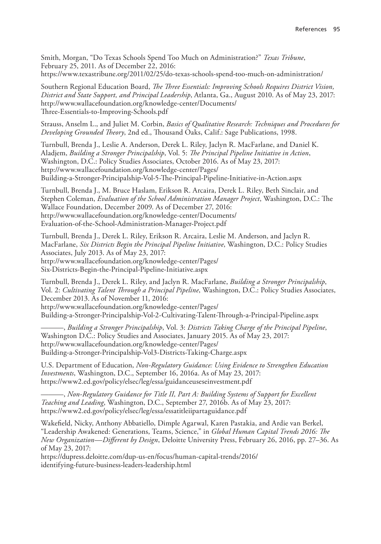Smith, Morgan, "Do Texas Schools Spend Too Much on Administration?" *Texas Tribune*, February 25, 2011. As of December 22, 2016: https://www.texastribune.org/2011/02/25/do-texas-schools-spend-too-much-on-administration/

Southern Regional Education Board, *The Three Essentials: Improving Schools Requires District Vision, District and State Support, and Principal Leadership*, Atlanta, Ga., August 2010. As of May 23, 2017: http://www.wallacefoundation.org/knowledge-center/Documents/ Three-Essentials-to-Improving-Schools.pdf

Strauss, Anselm L., and Juliet M. Corbin, *Basics of Qualitative Research: Techniques and Procedures for Developing Grounded Theory*, 2nd ed., Thousand Oaks, Calif.: Sage Publications, 1998.

Turnbull, Brenda J., Leslie A. Anderson, Derek L. Riley, Jaclyn R. MacFarlane, and Daniel K. Aladjem, *Building a Stronger Principalship*, Vol. 5: *The Principal Pipeline Initiative in Action*, Washington, D.C.: Policy Studies Associates, October 2016. As of May 23, 2017: http://www.wallacefoundation.org/knowledge-center/Pages/ Building-a-Stronger-Principalship-Vol-5-The-Principal-Pipeline-Initiative-in-Action.aspx

Turnbull, Brenda J., M. Bruce Haslam, Erikson R. Arcaira, Derek L. Riley, Beth Sinclair, and Stephen Coleman, *Evaluation of the School Administration Manager Project*, Washington, D.C.: The Wallace Foundation, December 2009. As of December 27, 2016: http://www.wallacefoundation.org/knowledge-center/Documents/ Evaluation-of-the-School-Administration-Manager-Project.pdf

Turnbull, Brenda J., Derek L. Riley, Erikson R. Arcaira, Leslie M. Anderson, and Jaclyn R. MacFarlane, *Six Districts Begin the Principal Pipeline Initiative*, Washington, D.C.: Policy Studies Associates, July 2013. As of May 23, 2017: http://www.wallacefoundation.org/knowledge-center/Pages/ Six-Districts-Begin-the-Principal-Pipeline-Initiative.aspx

Turnbull, Brenda J., Derek L. Riley, and Jaclyn R. MacFarlane, *Building a Stronger Principalship*, Vol. 2: *Cultivating Talent Through a Principal Pipeline*, Washington, D.C.: Policy Studies Associates, December 2013. As of November 11, 2016: http://www.wallacefoundation.org/knowledge-center/Pages/ Building-a-Stronger-Principalship-Vol-2-Cultivating-Talent-Through-a-Principal-Pipeline.aspx

———, *Building a Stronger Principalship*, Vol. 3: *Districts Taking Charge of the Principal Pipeline*, Washington D.C.: Policy Studies and Associates, January 2015. As of May 23, 2017: http://www.wallacefoundation.org/knowledge-center/Pages/ Building-a-Stronger-Principalship-Vol3-Districts-Taking-Charge.aspx

U.S. Department of Education, *Non-Regulatory Guidance: Using Evidence to Strengthen Education Investments*, Washington, D.C., September 16, 2016a. As of May 23, 2017: https://www2.ed.gov/policy/elsec/leg/essa/guidanceuseseinvestment.pdf

———, *Non-Regulatory Guidance for Title II, Part A: Building Systems of Support for Excellent Teaching and Leading*, Washington, D.C., September 27, 2016b. As of May 23, 2017: https://www2.ed.gov/policy/elsec/leg/essa/essatitleiipartaguidance.pdf

Wakefield, Nicky, Anthony Abbatiello, Dimple Agarwal, Karen Pastakia, and Ardie van Berkel, "Leadership Awakened: Generations, Teams, Science," in *Global Human Capital Trends 2016: The New Organization—Different by Design*, Deloitte University Press, February 26, 2016, pp. 27–36. As of May 23, 2017:

https://dupress.deloitte.com/dup-us-en/focus/human-capital-trends/2016/ identifying-future-business-leaders-leadership.html